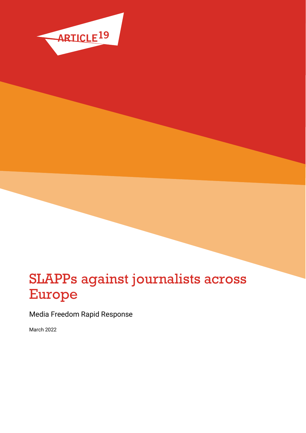

# SLAPPs against journalists across Europe

Media Freedom Rapid Response

March 2022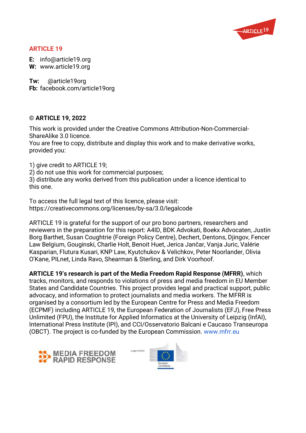

### **ARTICLE 19**

**E:** info@article19.org **W:** www.article19.org

**Tw:** @article19org **Fb:** facebook.com/article19org

#### **© ARTICLE 19, 2022**

This work is provided under the Creative Commons Attribution-Non-Commercial-ShareAlike 3.0 licence.

You are free to copy, distribute and display this work and to make derivative works, provided you:

1) give credit to ARTICLE 19;

2) do not use this work for commercial purposes;

3) distribute any works derived from this publication under a licence identical to this one.

To access the full legal text of this licence, please visit: https://creativecommons.org/licenses/by-sa/3.0/legalcode

ARTICLE 19 is grateful for the support of our pro bono partners, researchers and reviewers in the preparation for this report: A4ID, BDK Advokati, Boekx Advocaten, Justin Borg Barthet, Susan Coughtrie (Foreign Policy Centre), Dechert, Dentons, Djingov, Fencer Law Belgium, Gouginski, Charlie Holt, Benoit Huet, Jerica Jančar, Vanja Juric, Valérie Kasparian, Flutura Kusari, KNP Law, Kyutchukov & Velichkov, Peter Noorlander, Olivia O'Kane, PILnet, Linda Ravo, Shearman & Sterling, and Dirk Voorhoof.

**ARTICLE 19's research is part of the Media Freedom Rapid Response (MFRR)**, which tracks, monitors, and responds to violations of press and media freedom in EU Member States and Candidate Countries. This project provides legal and practical support, public advocacy, and information to protect journalists and media workers. The MFRR is organised by a consortium led by the European Centre for Press and Media Freedom (ECPMF) including ARTICLE 19, the European Federation of Journalists (EFJ), Free Press Unlimited (FPU), the Institute for Applied Informatics at the University of Leipzig (InfAI), International Press Institute (IPI), and CCI/Osservatorio Balcani e Caucaso Transeuropa (OBCT). The project is co-funded by the European Commission. [www.mfrr.eu](http://www.mfrr.eu/)



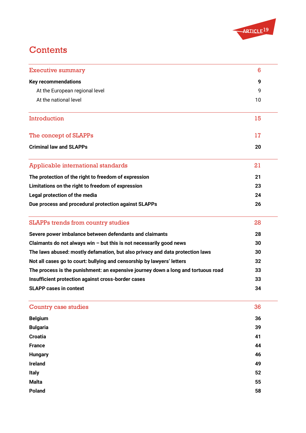

# **Contents**

| <b>Executive summary</b>                                                          | 6  |
|-----------------------------------------------------------------------------------|----|
| <b>Key recommendations</b>                                                        | 9  |
| At the European regional level                                                    | 9  |
| At the national level                                                             | 10 |
| Introduction                                                                      | 15 |
| The concept of SLAPPs                                                             | 17 |
| <b>Criminal law and SLAPPs</b>                                                    | 20 |
| Applicable international standards                                                | 21 |
| The protection of the right to freedom of expression                              | 21 |
| Limitations on the right to freedom of expression                                 | 23 |
| Legal protection of the media                                                     | 24 |
| Due process and procedural protection against SLAPPs                              | 26 |
| <b>SLAPPs trends from country studies</b>                                         | 28 |
| Severe power imbalance between defendants and claimants                           | 28 |
| Claimants do not always win $-$ but this is not necessarily good news             | 30 |
| The laws abused: mostly defamation, but also privacy and data protection laws     | 30 |
| Not all cases go to court: bullying and censorship by lawyers' letters            | 32 |
| The process is the punishment: an expensive journey down a long and tortuous road | 33 |
| Insufficient protection against cross-border cases                                | 33 |
| <b>SLAPP cases in context</b>                                                     | 34 |
| <b>Country case studies</b>                                                       | 36 |
| <b>Belgium</b>                                                                    | 36 |
| <b>Bulgaria</b>                                                                   | 39 |
| <b>Croatia</b>                                                                    | 41 |
| <b>France</b>                                                                     | 44 |
| <b>Hungary</b>                                                                    | 46 |
| <b>Ireland</b>                                                                    | 49 |
| <b>Italy</b>                                                                      | 52 |
| <b>Malta</b>                                                                      | 55 |
| <b>Poland</b>                                                                     | 58 |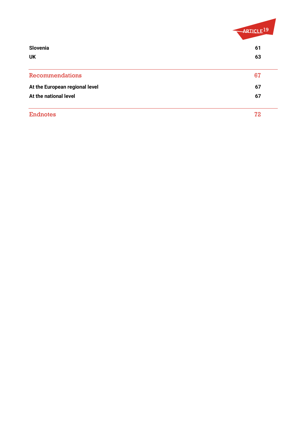|                                | ARTICLE <sup>19</sup> |
|--------------------------------|-----------------------|
| Slovenia                       | 61                    |
| <b>UK</b>                      | 63                    |
| Recommendations                | 67                    |
| At the European regional level | 67                    |
| At the national level          | 67                    |
| <b>Endnotes</b>                | 72                    |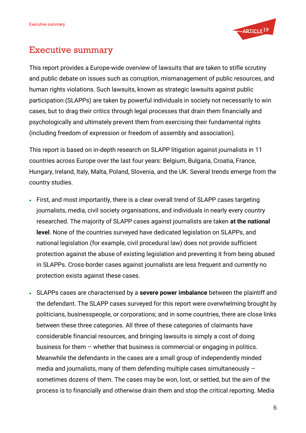

# <span id="page-4-0"></span>Executive summary

This report provides a Europe-wide overview of lawsuits that are taken to stifle scrutiny and public debate on issues such as corruption, mismanagement of public resources, and human rights violations. Such lawsuits, known as strategic lawsuits against public participation (SLAPPs) are taken by powerful individuals in society not necessarily to win cases, but to drag their critics through legal processes that drain them financially and psychologically and ultimately prevent them from exercising their fundamental rights (including freedom of expression or freedom of assembly and association).

This report is based on in-depth research on SLAPP litigation against journalists in 11 countries across Europe over the last four years: Belgium, Bulgaria, Croatia, France, Hungary, Ireland, Italy, Malta, Poland, Slovenia, and the UK. Several trends emerge from the country studies.

- First, and most importantly, there is a clear overall trend of SLAPP cases targeting journalists, media, civil society organisations, and individuals in nearly every country researched. The majority of SLAPP cases against journalists are taken **at the national level**. None of the countries surveyed have dedicated legislation on SLAPPs, and national legislation (for example, civil procedural law) does not provide sufficient protection against the abuse of existing legislation and preventing it from being abused in SLAPPs. Cross-border cases against journalists are less frequent and currently no protection exists against these cases.
- SLAPPs cases are characterised by a **severe power imbalance** between the plaintiff and the defendant. The SLAPP cases surveyed for this report were overwhelming brought by politicians, businesspeople, or corporations; and in some countries, there are close links between these three categories. All three of these categories of claimants have considerable financial resources, and bringing lawsuits is simply a cost of doing business for them – whether that business is commercial or engaging in politics. Meanwhile the defendants in the cases are a small group of independently minded media and journalists, many of them defending multiple cases simultaneously – sometimes dozens of them. The cases may be won, lost, or settled, but the aim of the process is to financially and otherwise drain them and stop the critical reporting. Media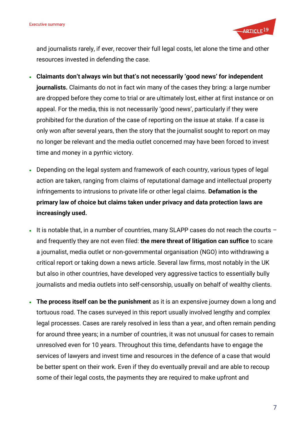

and journalists rarely, if ever, recover their full legal costs, let alone the time and other resources invested in defending the case.

- **Claimants don't always win but that's not necessarily 'good news' for independent journalists.** Claimants do not in fact win many of the cases they bring: a large number are dropped before they come to trial or are ultimately lost, either at first instance or on appeal. For the media, this is not necessarily 'good news', particularly if they were prohibited for the duration of the case of reporting on the issue at stake. If a case is only won after several years, then the story that the journalist sought to report on may no longer be relevant and the media outlet concerned may have been forced to invest time and money in a pyrrhic victory.
- Depending on the legal system and framework of each country, various types of legal action are taken, ranging from claims of reputational damage and intellectual property infringements to intrusions to private life or other legal claims. **Defamation is the primary law of choice but claims taken under privacy and data protection laws are increasingly used.**
- It is notable that, in a number of countries, many SLAPP cases do not reach the courts and frequently they are not even filed: **the mere threat of litigation can suffice** to scare a journalist, media outlet or non-governmental organisation (NGO) into withdrawing a critical report or taking down a news article. Several law firms, most notably in the UK but also in other countries, have developed very aggressive tactics to essentially bully journalists and media outlets into self-censorship, usually on behalf of wealthy clients.
- **The process itself can be the punishment** as it is an expensive journey down a long and tortuous road. The cases surveyed in this report usually involved lengthy and complex legal processes. Cases are rarely resolved in less than a year, and often remain pending for around three years; in a number of countries, it was not unusual for cases to remain unresolved even for 10 years. Throughout this time, defendants have to engage the services of lawyers and invest time and resources in the defence of a case that would be better spent on their work. Even if they do eventually prevail and are able to recoup some of their legal costs, the payments they are required to make upfront and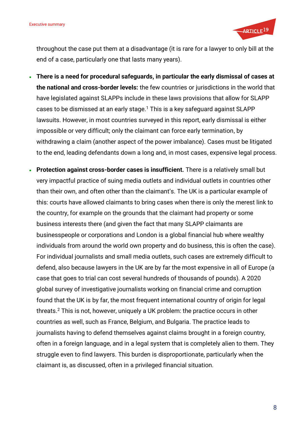

throughout the case put them at a disadvantage (it is rare for a lawyer to only bill at the end of a case, particularly one that lasts many years).

- **There is a need for procedural safeguards, in particular the early dismissal of cases at the national and cross-border levels:** the few countries or jurisdictions in the world that have legislated against SLAPPs include in these laws provisions that allow for SLAPP cases to be dismissed at an early stage.<sup>1</sup> This is a key safeguard against SLAPP lawsuits. However, in most countries surveyed in this report, early dismissal is either impossible or very difficult; only the claimant can force early termination, by withdrawing a claim (another aspect of the power imbalance). Cases must be litigated to the end, leading defendants down a long and, in most cases, expensive legal process.
- **Protection against cross-border cases is insufficient.** There is a relatively small but very impactful practice of suing media outlets and individual outlets in countries other than their own, and often other than the claimant's. The UK is a particular example of this: courts have allowed claimants to bring cases when there is only the merest link to the country, for example on the grounds that the claimant had property or some business interests there (and given the fact that many SLAPP claimants are businesspeople or corporations and London is a global financial hub where wealthy individuals from around the world own property and do business, this is often the case). For individual journalists and small media outlets, such cases are extremely difficult to defend, also because lawyers in the UK are by far the most expensive in all of Europe (a case that goes to trial can cost several hundreds of thousands of pounds). A 2020 global survey of investigative journalists working on financial crime and corruption found that the UK is by far, the most frequent international country of origin for legal threats.<sup>2</sup> This is not, however, uniquely a UK problem: the practice occurs in other countries as well, such as France, Belgium, and Bulgaria. The practice leads to journalists having to defend themselves against claims brought in a foreign country, often in a foreign language, and in a legal system that is completely alien to them. They struggle even to find lawyers. This burden is disproportionate, particularly when the claimant is, as discussed, often in a privileged financial situation.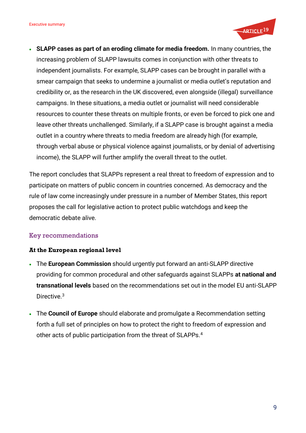

• **SLAPP cases as part of an eroding climate for media freedom.** In many countries, the increasing problem of SLAPP lawsuits comes in conjunction with other threats to independent journalists. For example, SLAPP cases can be brought in parallel with a smear campaign that seeks to undermine a journalist or media outlet's reputation and credibility or, as the research in the UK discovered, even alongside (illegal) surveillance campaigns. In these situations, a media outlet or journalist will need considerable resources to counter these threats on multiple fronts, or even be forced to pick one and leave other threats unchallenged. Similarly, if a SLAPP case is brought against a media outlet in a country where threats to media freedom are already high (for example, through verbal abuse or physical violence against journalists, or by denial of advertising income), the SLAPP will further amplify the overall threat to the outlet.

The report concludes that SLAPPs represent a real threat to freedom of expression and to participate on matters of public concern in countries concerned. As democracy and the rule of law come increasingly under pressure in a number of Member States, this report proposes the call for legislative action to protect public watchdogs and keep the democratic debate alive.

### <span id="page-7-0"></span>Key recommendations

#### <span id="page-7-1"></span>**At the European regional level**

- The **European Commission** should urgently put forward an anti-SLAPP directive providing for common procedural and other safeguards against SLAPPs **at national and transnational levels** based on the recommendations set out in the model EU anti-SLAPP Directive.<sup>3</sup>
- The **Council of Europe** should elaborate and promulgate a Recommendation setting forth a full set of principles on how to protect the right to freedom of expression and other acts of public participation from the threat of SLAPPs.4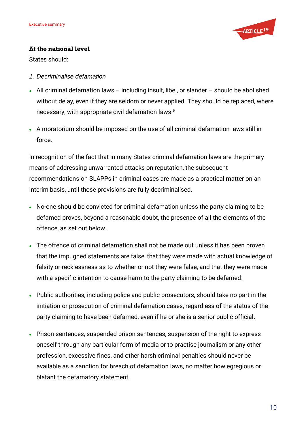

#### <span id="page-8-0"></span>**At the national level**

States should:

- *1. Decriminalise defamation*
- All criminal defamation laws including insult, libel, or slander should be abolished without delay, even if they are seldom or never applied. They should be replaced, where necessary, with appropriate civil defamation laws.<sup>5</sup>
- A moratorium should be imposed on the use of all criminal defamation laws still in force.

In recognition of the fact that in many States criminal defamation laws are the primary means of addressing unwarranted attacks on reputation, the subsequent recommendations on SLAPPs in criminal cases are made as a practical matter on an interim basis, until those provisions are fully decriminalised.

- No-one should be convicted for criminal defamation unless the party claiming to be defamed proves, beyond a reasonable doubt, the presence of all the elements of the offence, as set out below.
- The offence of criminal defamation shall not be made out unless it has been proven that the impugned statements are false, that they were made with actual knowledge of falsity or recklessness as to whether or not they were false, and that they were made with a specific intention to cause harm to the party claiming to be defamed.
- Public authorities, including police and public prosecutors, should take no part in the initiation or prosecution of criminal defamation cases, regardless of the status of the party claiming to have been defamed, even if he or she is a senior public official.
- Prison sentences, suspended prison sentences, suspension of the right to express oneself through any particular form of media or to practise journalism or any other profession, excessive fines, and other harsh criminal penalties should never be available as a sanction for breach of defamation laws, no matter how egregious or blatant the defamatory statement.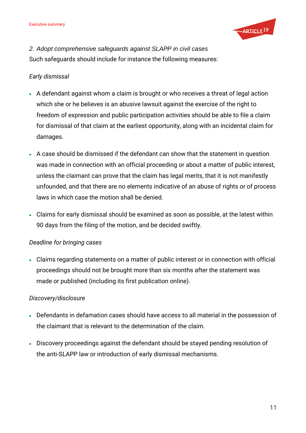

*2. Adopt comprehensive safeguards against SLAPP in civil cases* Such safeguards should include for instance the following measures:

### *Early dismissal*

- A defendant against whom a claim is brought or who receives a threat of legal action which she or he believes is an abusive lawsuit against the exercise of the right to freedom of expression and public participation activities should be able to file a claim for dismissal of that claim at the earliest opportunity, along with an incidental claim for damages.
- A case should be dismissed if the defendant can show that the statement in question was made in connection with an official proceeding or about a matter of public interest, unless the claimant can prove that the claim has legal merits, that it is not manifestly unfounded, and that there are no elements indicative of an abuse of rights or of process laws in which case the motion shall be denied.
- Claims for early dismissal should be examined as soon as possible, at the latest within 90 days from the filing of the motion, and be decided swiftly.

### *Deadline for bringing cases*

• Claims regarding statements on a matter of public interest or in connection with official proceedings should not be brought more than six months after the statement was made or published (including its first publication online).

### *Discovery/disclosure*

- Defendants in defamation cases should have access to all material in the possession of the claimant that is relevant to the determination of the claim.
- Discovery proceedings against the defendant should be stayed pending resolution of the anti-SLAPP law or introduction of early dismissal mechanisms.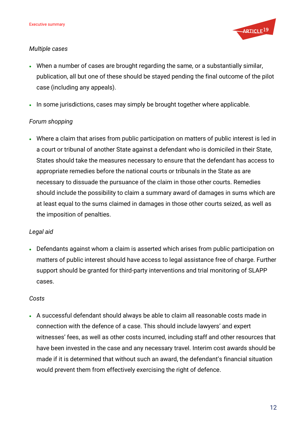

### *Multiple cases*

- When a number of cases are brought regarding the same, or a substantially similar, publication, all but one of these should be stayed pending the final outcome of the pilot case (including any appeals).
- In some jurisdictions, cases may simply be brought together where applicable.

### *Forum shopping*

• Where a claim that arises from public participation on matters of public interest is led in a court or tribunal of another State against a defendant who is domiciled in their State, States should take the measures necessary to ensure that the defendant has access to appropriate remedies before the national courts or tribunals in the State as are necessary to dissuade the pursuance of the claim in those other courts. Remedies should include the possibility to claim a summary award of damages in sums which are at least equal to the sums claimed in damages in those other courts seized, as well as the imposition of penalties.

### *Legal aid*

• Defendants against whom a claim is asserted which arises from public participation on matters of public interest should have access to legal assistance free of charge. Further support should be granted for third-party interventions and trial monitoring of SLAPP cases.

### *Costs*

• A successful defendant should always be able to claim all reasonable costs made in connection with the defence of a case. This should include lawyers' and expert witnesses' fees, as well as other costs incurred, including staff and other resources that have been invested in the case and any necessary travel. Interim cost awards should be made if it is determined that without such an award, the defendant's financial situation would prevent them from effectively exercising the right of defence.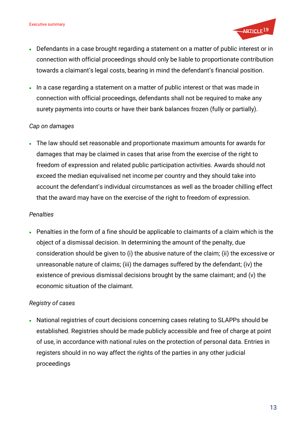

- Defendants in a case brought regarding a statement on a matter of public interest or in connection with official proceedings should only be liable to proportionate contribution towards a claimant's legal costs, bearing in mind the defendant's financial position.
- In a case regarding a statement on a matter of public interest or that was made in connection with official proceedings, defendants shall not be required to make any surety payments into courts or have their bank balances frozen (fully or partially).

### *Cap on damages*

• The law should set reasonable and proportionate maximum amounts for awards for damages that may be claimed in cases that arise from the exercise of the right to freedom of expression and related public participation activities. Awards should not exceed the median equivalised net income per country and they should take into account the defendant's individual circumstances as well as the broader chilling effect that the award may have on the exercise of the right to freedom of expression.

#### *Penalties*

• Penalties in the form of a fine should be applicable to claimants of a claim which is the object of a dismissal decision. In determining the amount of the penalty, due consideration should be given to (i) the abusive nature of the claim; (ii) the excessive or unreasonable nature of claims; (iii) the damages suffered by the defendant; (iv) the existence of previous dismissal decisions brought by the same claimant; and (v) the economic situation of the claimant.

### *Registry of cases*

• National registries of court decisions concerning cases relating to SLAPPs should be established. Registries should be made publicly accessible and free of charge at point of use, in accordance with national rules on the protection of personal data. Entries in registers should in no way affect the rights of the parties in any other judicial proceedings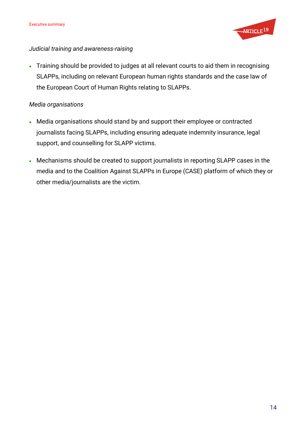

#### *Judicial training and awareness-raising*

• Training should be provided to judges at all relevant courts to aid them in recognising SLAPPs, including on relevant European human rights standards and the case law of the European Court of Human Rights relating to SLAPPs.

### *Media organisations*

- Media organisations should stand by and support their employee or contracted journalists facing SLAPPs, including ensuring adequate indemnity insurance, legal support, and counselling for SLAPP victims.
- Mechanisms should be created to support journalists in reporting SLAPP cases in the media and to the Coalition Against SLAPPs in Europe (CASE) platform of which they or other media/journalists are the victim.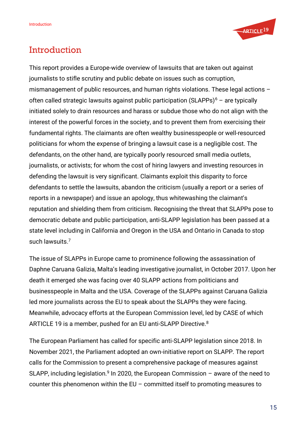

# <span id="page-13-0"></span>**Introduction**

This report provides a Europe-wide overview of lawsuits that are taken out against journalists to stifle scrutiny and public debate on issues such as corruption, mismanagement of public resources, and human rights violations. These legal actions – often called strategic lawsuits against public participation (SLAPPs) $6 -$  are typically initiated solely to drain resources and harass or subdue those who do not align with the interest of the powerful forces in the society, and to prevent them from exercising their fundamental rights. The claimants are often wealthy businesspeople or well-resourced politicians for whom the expense of bringing a lawsuit case is a negligible cost. The defendants, on the other hand, are typically poorly resourced small media outlets, journalists, or activists; for whom the cost of hiring lawyers and investing resources in defending the lawsuit is very significant. Claimants exploit this disparity to force defendants to settle the lawsuits, abandon the criticism (usually a report or a series of reports in a newspaper) and issue an apology, thus whitewashing the claimant's reputation and shielding them from criticism. Recognising the threat that SLAPPs pose to democratic debate and public participation, anti-SLAPP legislation has been passed at a state level including in California and Oregon in the USA and Ontario in Canada to stop such lawsuits.<sup>7</sup>

The issue of SLAPPs in Europe came to prominence following the assassination of Daphne Caruana Galizia, Malta's leading investigative journalist, in October 2017. Upon her death it emerged she was facing over 40 SLAPP actions from politicians and businesspeople in Malta and the USA. Coverage of the SLAPPs against Caruana Galizia led more journalists across the EU to speak about the SLAPPs they were facing. Meanwhile, advocacy efforts at the European Commission level, led by CASE of which ARTICLE 19 is a member, pushed for an EU anti-SLAPP Directive.<sup>8</sup>

The European Parliament has called for specific anti-SLAPP legislation since 2018. In November 2021, the Parliament adopted an own-initiative report on SLAPP. The report calls for the Commission to present a comprehensive package of measures against SLAPP, including legislation.<sup>9</sup> In 2020, the European Commission  $-$  aware of the need to counter this phenomenon within the EU – committed itself to promoting measures to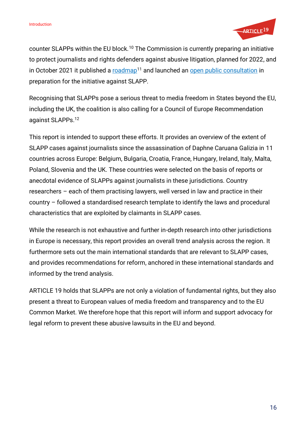

counter SLAPPs within the EU block.<sup>10</sup> The Commission is currently preparing an initiative to protect journalists and rights defenders against abusive litigation, planned for 2022, and in October 2021 it published a [roadmap](https://ec.europa.eu/info/law/better-regulation/have-your-say/initiatives_en?text=slapp)<sup>11</sup> and launched an [open public consultation](https://ec.europa.eu/info/law/better-regulation/have-your-say/initiatives/13194-EU-action-against-abusive-litigation-SLAPP-targeting-journalists-and-rights-defenders-Recommendation_en) in preparation for the initiative against SLAPP.

Recognising that SLAPPs pose a serious threat to media freedom in States beyond the EU, including the UK, the coalition is also calling for a Council of Europe Recommendation against SLAPPs.<sup>12</sup>

This report is intended to support these efforts. It provides an overview of the extent of SLAPP cases against journalists since the assassination of Daphne Caruana Galizia in 11 countries across Europe: Belgium, Bulgaria, Croatia, France, Hungary, Ireland, Italy, Malta, Poland, Slovenia and the UK. These countries were selected on the basis of reports or anecdotal evidence of SLAPPs against journalists in these jurisdictions. Country researchers – each of them practising lawyers, well versed in law and practice in their country – followed a standardised research template to identify the laws and procedural characteristics that are exploited by claimants in SLAPP cases.

While the research is not exhaustive and further in-depth research into other jurisdictions in Europe is necessary, this report provides an overall trend analysis across the region. It furthermore sets out the main international standards that are relevant to SLAPP cases, and provides recommendations for reform, anchored in these international standards and informed by the trend analysis.

ARTICLE 19 holds that SLAPPs are not only a violation of fundamental rights, but they also present a threat to European values of media freedom and transparency and to the EU Common Market. We therefore hope that this report will inform and support advocacy for legal reform to prevent these abusive lawsuits in the EU and beyond.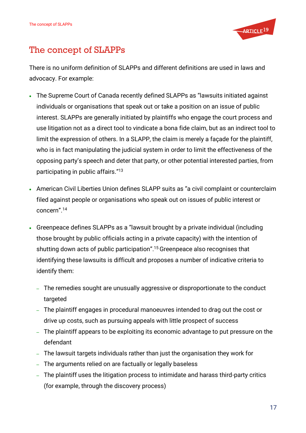

# <span id="page-15-0"></span>The concept of SLAPPs

There is no uniform definition of SLAPPs and different definitions are used in laws and advocacy. For example:

- The Supreme Court of Canada recently defined SLAPPs as "lawsuits initiated against individuals or organisations that speak out or take a position on an issue of public interest. SLAPPs are generally initiated by plaintiffs who engage the court process and use litigation not as a direct tool to vindicate a bona fide claim, but as an indirect tool to limit the expression of others. In a SLAPP, the claim is merely a façade for the plaintiff, who is in fact manipulating the judicial system in order to limit the effectiveness of the opposing party's speech and deter that party, or other potential interested parties, from participating in public affairs."<sup>13</sup>
- American Civil Liberties Union defines SLAPP suits as "a civil complaint or counterclaim filed against people or organisations who speak out on issues of public interest or concern".<sup>14</sup>
- Greenpeace defines SLAPPs as a "lawsuit brought by a private individual (including those brought by public officials acting in a private capacity) with the intention of shutting down acts of public participation".<sup>15</sup>Greenpeace also recognises that identifying these lawsuits is difficult and proposes a number of indicative criteria to identify them:
	- The remedies sought are unusually aggressive or disproportionate to the conduct targeted
	- The plaintiff engages in procedural manoeuvres intended to drag out the cost or drive up costs, such as pursuing appeals with little prospect of success
	- The plaintiff appears to be exploiting its economic advantage to put pressure on the defendant
	- The lawsuit targets individuals rather than just the organisation they work for
	- The arguments relied on are factually or legally baseless
	- The plaintiff uses the litigation process to intimidate and harass third-party critics (for example, through the discovery process)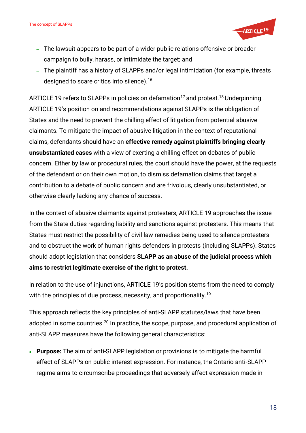

- The lawsuit appears to be part of a wider public relations offensive or broader campaign to bully, harass, or intimidate the target; and
- The plaintiff has a history of SLAPPs and/or legal intimidation (for example, threats designed to scare critics into silence). 16

ARTICLE 19 refers to SLAPPs in policies on defamation<sup>17</sup> and protest.<sup>18</sup> Underpinning ARTICLE 19's position on and recommendations against SLAPPs is the obligation of States and the need to prevent the chilling effect of litigation from potential abusive claimants. To mitigate the impact of abusive litigation in the context of reputational claims, defendants should have an **effective remedy against plaintiffs bringing clearly unsubstantiated cases** with a view of exerting a chilling effect on debates of public concern. Either by law or procedural rules, the court should have the power, at the requests of the defendant or on their own motion, to dismiss defamation claims that target a contribution to a debate of public concern and are frivolous, clearly unsubstantiated, or otherwise clearly lacking any chance of success.

In the context of abusive claimants against protesters, ARTICLE 19 approaches the issue from the State duties regarding liability and sanctions against protesters. This means that States must restrict the possibility of civil law remedies being used to silence protesters and to obstruct the work of human rights defenders in protests (including SLAPPs). States should adopt legislation that considers **SLAPP as an abuse of the judicial process which aims to restrict legitimate exercise of the right to protest.**

In relation to the use of injunctions, ARTICLE 19's position stems from the need to comply with the principles of due process, necessity, and proportionality.<sup>19</sup>

This approach reflects the key principles of anti-SLAPP statutes/laws that have been adopted in some countries.<sup>20</sup> In practice, the scope, purpose, and procedural application of anti-SLAPP measures have the following general characteristics:

• **Purpose:** The aim of anti-SLAPP legislation or provisions is to mitigate the harmful effect of SLAPPs on public interest expression. For instance, the Ontario anti-SLAPP regime aims to circumscribe proceedings that adversely affect expression made in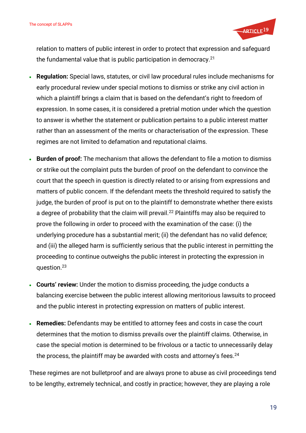

relation to matters of public interest in order to protect that expression and safeguard the fundamental value that is public participation in democracy.<sup>21</sup>

- **Regulation:** Special laws, statutes, or civil law procedural rules include mechanisms for early procedural review under special motions to dismiss or strike any civil action in which a plaintiff brings a claim that is based on the defendant's right to freedom of expression. In some cases, it is considered a pretrial motion under which the question to answer is whether the statement or publication pertains to a public interest matter rather than an assessment of the merits or characterisation of the expression. These regimes are not limited to defamation and reputational claims.
- **Burden of proof:** The mechanism that allows the defendant to file a motion to dismiss or strike out the complaint puts the burden of proof on the defendant to convince the court that the speech in question is directly related to or arising from expressions and matters of public concern. If the defendant meets the threshold required to satisfy the judge, the burden of proof is put on to the plaintiff to demonstrate whether there exists a degree of probability that the claim will prevail.<sup>22</sup> Plaintiffs may also be required to prove the following in order to proceed with the examination of the case: (i) the underlying procedure has a substantial merit; (ii) the defendant has no valid defence; and (iii) the alleged harm is sufficiently serious that the public interest in permitting the proceeding to continue outweighs the public interest in protecting the expression in question.<sup>23</sup>
- **Courts' review:** Under the motion to dismiss proceeding, the judge conducts a balancing exercise between the public interest allowing meritorious lawsuits to proceed and the public interest in protecting expression on matters of public interest.
- **Remedies:** Defendants may be entitled to attorney fees and costs in case the court determines that the motion to dismiss prevails over the plaintiff claims. Otherwise, in case the special motion is determined to be frivolous or a tactic to unnecessarily delay the process, the plaintiff may be awarded with costs and attorney's fees. $24$

These regimes are not bulletproof and are always prone to abuse as civil proceedings tend to be lengthy, extremely technical, and costly in practice; however, they are playing a role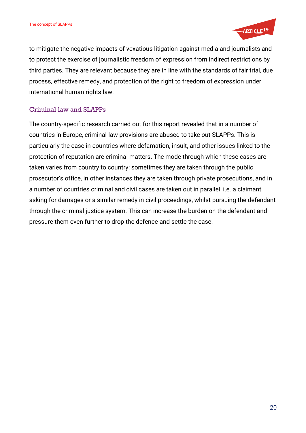

to mitigate the negative impacts of vexatious litigation against media and journalists and to protect the exercise of journalistic freedom of expression from indirect restrictions by third parties. They are relevant because they are in line with the standards of fair trial, due process, effective remedy, and protection of the right to freedom of expression under international human rights law.

### <span id="page-18-0"></span>Criminal law and SLAPPs

The country-specific research carried out for this report revealed that in a number of countries in Europe, criminal law provisions are abused to take out SLAPPs. This is particularly the case in countries where defamation, insult, and other issues linked to the protection of reputation are criminal matters. The mode through which these cases are taken varies from country to country: sometimes they are taken through the public prosecutor's office, in other instances they are taken through private prosecutions, and in a number of countries criminal and civil cases are taken out in parallel, i.e. a claimant asking for damages or a similar remedy in civil proceedings, whilst pursuing the defendant through the criminal justice system. This can increase the burden on the defendant and pressure them even further to drop the defence and settle the case.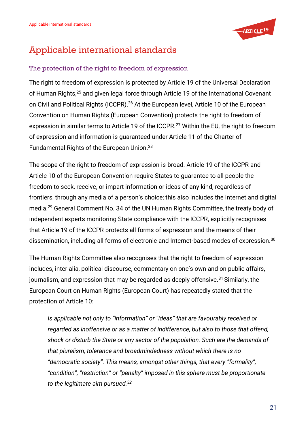

# <span id="page-19-0"></span>Applicable international standards

### <span id="page-19-1"></span>The protection of the right to freedom of expression

The right to freedom of expression is protected by Article 19 of the Universal Declaration of Human Rights,<sup>25</sup> and given legal force through Article 19 of the International Covenant on Civil and Political Rights (ICCPR).<sup>26</sup> At the European level, Article 10 of the European Convention on Human Rights (European Convention) protects the right to freedom of expression in similar terms to Article 19 of the ICCPR.<sup>27</sup> Within the EU, the right to freedom of expression and information is guaranteed under Article 11 of the Charter of Fundamental Rights of the European Union.<sup>28</sup>

The scope of the right to freedom of expression is broad. Article 19 of the ICCPR and Article 10 of the European Convention require States to guarantee to all people the freedom to seek, receive, or impart information or ideas of any kind, regardless of frontiers, through any media of a person's choice; this also includes the Internet and digital media.<sup>29</sup> General Comment No. 34 of the UN Human Rights Committee, the treaty body of independent experts monitoring State compliance with the ICCPR, explicitly recognises that Article 19 of the ICCPR protects all forms of expression and the means of their dissemination, including all forms of electronic and Internet-based modes of expression.<sup>30</sup>

The Human Rights Committee also recognises that the right to freedom of expression includes, inter alia, political discourse, commentary on one's own and on public affairs, journalism, and expression that may be regarded as deeply offensive.<sup>31</sup> Similarly, the European Court on Human Rights (European Court) has repeatedly stated that the protection of Article 10:

*Is applicable not only to "information" or "ideas" that are favourably received or regarded as inoffensive or as a matter of indifference, but also to those that offend, shock or disturb the State or any sector of the population. Such are the demands of that pluralism, tolerance and broadmindedness without which there is no "democratic society". This means, amongst other things, that every "formality", "condition", "restriction" or "penalty" imposed in this sphere must be proportionate to the legitimate aim pursued.32*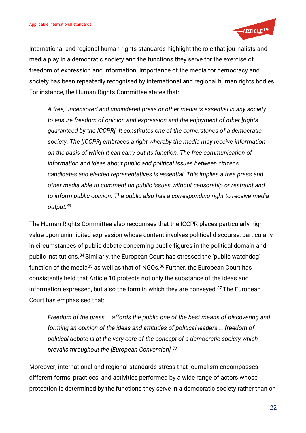

International and regional human rights standards highlight the role that journalists and media play in a democratic society and the functions they serve for the exercise of freedom of expression and information. Importance of the media for democracy and society has been repeatedly recognised by international and regional human rights bodies. For instance, the Human Rights Committee states that:

*A free, uncensored and unhindered press or other media is essential in any society to ensure freedom of opinion and expression and the enjoyment of other [rights guaranteed by the ICCPR]. It constitutes one of the cornerstones of a democratic society. The [ICCPR] embraces a right whereby the media may receive information on the basis of which it can carry out its function. The free communication of information and ideas about public and political issues between citizens, candidates and elected representatives is essential. This implies a free press and other media able to comment on public issues without censorship or restraint and to inform public opinion. The public also has a corresponding right to receive media output.<sup>33</sup>*

The Human Rights Committee also recognises that the ICCPR places particularly high value upon uninhibited expression whose content involves political discourse, particularly in circumstances of public debate concerning public figures in the political domain and public institutions.<sup>34</sup> Similarly, the European Court has stressed the 'public watchdog' function of the media<sup>35</sup> as well as that of NGOs.<sup>36</sup> Further, the European Court has consistently held that Article 10 protects not only the substance of the ideas and information expressed, but also the form in which they are conveyed. $37$  The European Court has emphasised that:

*Freedom of the press … affords the public one of the best means of discovering and forming an opinion of the ideas and attitudes of political leaders … freedom of political debate is at the very core of the concept of a democratic society which prevails throughout the [European Convention].<sup>38</sup>*

Moreover, international and regional standards stress that journalism encompasses different forms, practices, and activities performed by a wide range of actors whose protection is determined by the functions they serve in a democratic society rather than on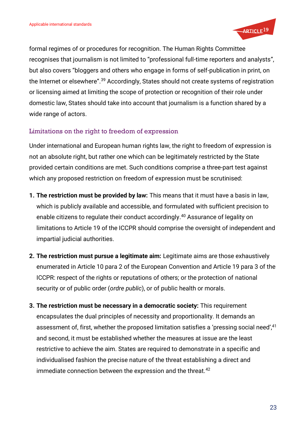

formal regimes of or procedures for recognition. The Human Rights Committee recognises that journalism is not limited to "professional full-time reporters and analysts", but also covers "bloggers and others who engage in forms of self-publication in print, on the Internet or elsewhere". <sup>39</sup> Accordingly, States should not create systems of registration or licensing aimed at limiting the scope of protection or recognition of their role under domestic law, States should take into account that journalism is a function shared by a wide range of actors.

### <span id="page-21-0"></span>Limitations on the right to freedom of expression

Under international and European human rights law, the right to freedom of expression is not an absolute right, but rather one which can be legitimately restricted by the State provided certain conditions are met. Such conditions comprise a three-part test against which any proposed restriction on freedom of expression must be scrutinised:

- **1. The restriction must be provided by law:** This means that it must have a basis in law, which is publicly available and accessible, and formulated with sufficient precision to enable citizens to regulate their conduct accordingly. <sup>40</sup> Assurance of legality on limitations to Article 19 of the ICCPR should comprise the oversight of independent and impartial judicial authorities.
- **2. The restriction must pursue a legitimate aim:** Legitimate aims are those exhaustively enumerated in Article 10 para 2 of the European Convention and Article 19 para 3 of the ICCPR: respect of the rights or reputations of others; or the protection of national security or of public order (*ordre public*), or of public health or morals.
- **3. The restriction must be necessary in a democratic society:** This requirement encapsulates the dual principles of necessity and proportionality. It demands an assessment of, first, whether the proposed limitation satisfies a 'pressing social need', 41 and second, it must be established whether the measures at issue are the least restrictive to achieve the aim. States are required to demonstrate in a specific and individualised fashion the precise nature of the threat establishing a direct and immediate connection between the expression and the threat.<sup>42</sup>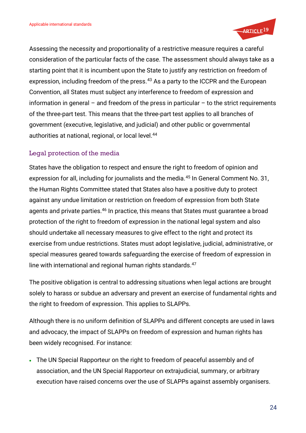

Assessing the necessity and proportionality of a restrictive measure requires a careful consideration of the particular facts of the case. The assessment should always take as a starting point that it is incumbent upon the State to justify any restriction on freedom of expression, including freedom of the press.<sup>43</sup> As a party to the ICCPR and the European Convention, all States must subject any interference to freedom of expression and information in general – and freedom of the press in particular – to the strict requirements of the three-part test. This means that the three-part test applies to all branches of government (executive, legislative, and judicial) and other public or governmental authorities at national, regional, or local level.<sup>44</sup>

### <span id="page-22-0"></span>Legal protection of the media

States have the obligation to respect and ensure the right to freedom of opinion and expression for all, including for journalists and the media.<sup>45</sup> In General Comment No. 31, the Human Rights Committee stated that States also have a positive duty to protect against any undue limitation or restriction on freedom of expression from both State agents and private parties.<sup>46</sup> In practice, this means that States must quarantee a broad protection of the right to freedom of expression in the national legal system and also should undertake all necessary measures to give effect to the right and protect its exercise from undue restrictions. States must adopt legislative, judicial, administrative, or special measures geared towards safeguarding the exercise of freedom of expression in line with international and regional human rights standards.<sup>47</sup>

The positive obligation is central to addressing situations when legal actions are brought solely to harass or subdue an adversary and prevent an exercise of fundamental rights and the right to freedom of expression. This applies to SLAPPs.

Although there is no uniform definition of SLAPPs and different concepts are used in laws and advocacy, the impact of SLAPPs on freedom of expression and human rights has been widely recognised. For instance:

• The UN Special Rapporteur on the right to freedom of peaceful assembly and of association, and the UN Special Rapporteur on extrajudicial, summary, or arbitrary execution have raised concerns over the use of SLAPPs against assembly organisers.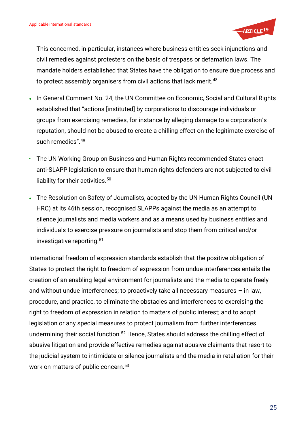

This concerned, in particular, instances where business entities seek injunctions and civil remedies against protesters on the basis of trespass or defamation laws. The mandate holders established that States have the obligation to ensure due process and to protect assembly organisers from civil actions that lack merit.<sup>48</sup>

- In General Comment No. 24, the UN Committee on Economic, Social and Cultural Rights established that "actions [instituted] by corporations to discourage individuals or groups from exercising remedies, for instance by alleging damage to a corporation's reputation, should not be abused to create a chilling effect on the legitimate exercise of such remedies".<sup>49</sup>
- The UN Working Group on Business and Human Rights recommended States enact anti-SLAPP legislation to ensure that human rights defenders are not subjected to civil liability for their activities.<sup>50</sup>
- The Resolution on Safety of Journalists, adopted by the UN Human Rights Council (UN HRC) at its 46th session, recognised SLAPPs against the media as an attempt to silence journalists and media workers and as a means used by business entities and individuals to exercise pressure on journalists and stop them from critical and/or investigative reporting.<sup>51</sup>

International freedom of expression standards establish that the positive obligation of States to protect the right to freedom of expression from undue interferences entails the creation of an enabling legal environment for journalists and the media to operate freely and without undue interferences; to proactively take all necessary measures – in law, procedure, and practice, to eliminate the obstacles and interferences to exercising the right to freedom of expression in relation to matters of public interest; and to adopt legislation or any special measures to protect journalism from further interferences undermining their social function.<sup>52</sup> Hence, States should address the chilling effect of abusive litigation and provide effective remedies against abusive claimants that resort to the judicial system to intimidate or silence journalists and the media in retaliation for their work on matters of public concern.<sup>53</sup>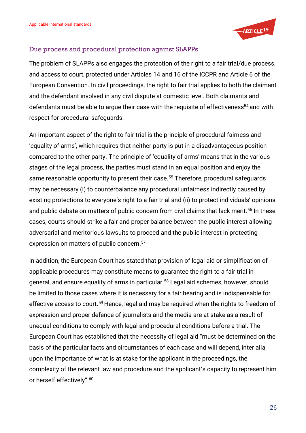

#### <span id="page-24-0"></span>Due process and procedural protection against SLAPPs

The problem of SLAPPs also engages the protection of the right to a fair trial/due process, and access to court, protected under Articles 14 and 16 of the ICCPR and Article 6 of the European Convention. In civil proceedings, the right to fair trial applies to both the claimant and the defendant involved in any civil dispute at domestic level. Both claimants and defendants must be able to argue their case with the requisite of effectiveness<sup>54</sup> and with respect for procedural safeguards.

An important aspect of the right to fair trial is the principle of procedural fairness and 'equality of arms', which requires that neither party is put in a disadvantageous position compared to the other party. The principle of 'equality of arms' means that in the various stages of the legal process, the parties must stand in an equal position and enjoy the same reasonable opportunity to present their case.<sup>55</sup> Therefore, procedural safeguards may be necessary (i) to counterbalance any procedural unfairness indirectly caused by existing protections to everyone's right to a fair trial and (ii) to protect individuals' opinions and public debate on matters of public concern from civil claims that lack merit.<sup>56</sup> In these cases, courts should strike a fair and proper balance between the public interest allowing adversarial and meritorious lawsuits to proceed and the public interest in protecting expression on matters of public concern.<sup>57</sup>

In addition, the European Court has stated that provision of legal aid or simplification of applicable procedures may constitute means to guarantee the right to a fair trial in general, and ensure equality of arms in particular.<sup>58</sup> Legal aid schemes, however, should be limited to those cases where it is necessary for a fair hearing and is indispensable for effective access to court.<sup>59</sup> Hence, legal aid may be required when the rights to freedom of expression and proper defence of journalists and the media are at stake as a result of unequal conditions to comply with legal and procedural conditions before a trial. The European Court has established that the necessity of legal aid "must be determined on the basis of the particular facts and circumstances of each case and will depend, inter alia, upon the importance of what is at stake for the applicant in the proceedings, the complexity of the relevant law and procedure and the applicant's capacity to represent him or herself effectively".<sup>60</sup>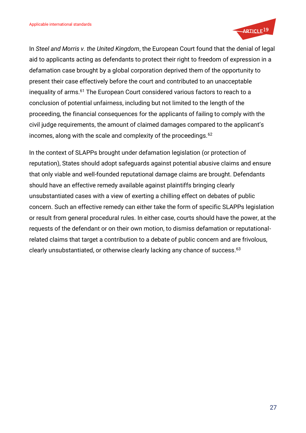

In *Steel and Morris v. the United Kingdom*, the European Court found that the denial of legal aid to applicants acting as defendants to protect their right to freedom of expression in a defamation case brought by a global corporation deprived them of the opportunity to present their case effectively before the court and contributed to an unacceptable inequality of arms.<sup>61</sup> The European Court considered various factors to reach to a conclusion of potential unfairness, including but not limited to the length of the proceeding, the financial consequences for the applicants of failing to comply with the civil judge requirements, the amount of claimed damages compared to the applicant's incomes, along with the scale and complexity of the proceedings.<sup>62</sup>

In the context of SLAPPs brought under defamation legislation (or protection of reputation), States should adopt safeguards against potential abusive claims and ensure that only viable and well-founded reputational damage claims are brought. Defendants should have an effective remedy available against plaintiffs bringing clearly unsubstantiated cases with a view of exerting a chilling effect on debates of public concern. Such an effective remedy can either take the form of specific SLAPPs legislation or result from general procedural rules. In either case, courts should have the power, at the requests of the defendant or on their own motion, to dismiss defamation or reputationalrelated claims that target a contribution to a debate of public concern and are frivolous, clearly unsubstantiated, or otherwise clearly lacking any chance of success.<sup>63</sup>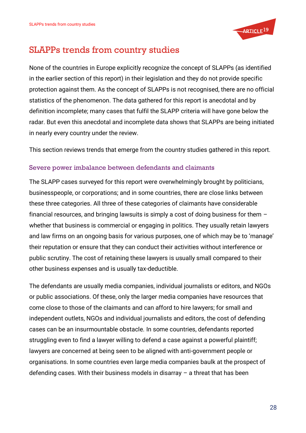

# <span id="page-26-0"></span>SLAPPs trends from country studies

None of the countries in Europe explicitly recognize the concept of SLAPPs (as identified in the earlier section of this report) in their legislation and they do not provide specific protection against them. As the concept of SLAPPs is not recognised, there are no official statistics of the phenomenon. The data gathered for this report is anecdotal and by definition incomplete; many cases that fulfil the SLAPP criteria will have gone below the radar. But even this anecdotal and incomplete data shows that SLAPPs are being initiated in nearly every country under the review.

This section reviews trends that emerge from the country studies gathered in this report.

### <span id="page-26-1"></span>Severe power imbalance between defendants and claimants

The SLAPP cases surveyed for this report were overwhelmingly brought by politicians, businesspeople, or corporations; and in some countries, there are close links between these three categories. All three of these categories of claimants have considerable financial resources, and bringing lawsuits is simply a cost of doing business for them – whether that business is commercial or engaging in politics. They usually retain lawyers and law firms on an ongoing basis for various purposes, one of which may be to 'manage' their reputation or ensure that they can conduct their activities without interference or public scrutiny. The cost of retaining these lawyers is usually small compared to their other business expenses and is usually tax-deductible.

The defendants are usually media companies, individual journalists or editors, and NGOs or public associations. Of these, only the larger media companies have resources that come close to those of the claimants and can afford to hire lawyers; for small and independent outlets, NGOs and individual journalists and editors, the cost of defending cases can be an insurmountable obstacle. In some countries, defendants reported struggling even to find a lawyer willing to defend a case against a powerful plaintiff; lawyers are concerned at being seen to be aligned with anti-government people or organisations. In some countries even large media companies baulk at the prospect of defending cases. With their business models in disarray – a threat that has been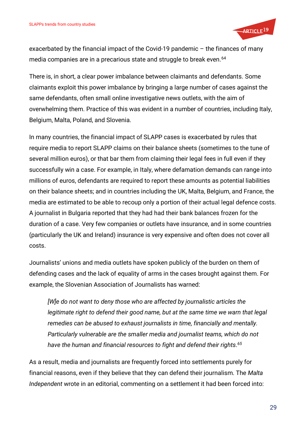

exacerbated by the financial impact of the Covid-19 pandemic – the finances of many media companies are in a precarious state and struggle to break even.<sup>64</sup>

There is, in short, a clear power imbalance between claimants and defendants. Some claimants exploit this power imbalance by bringing a large number of cases against the same defendants, often small online investigative news outlets, with the aim of overwhelming them. Practice of this was evident in a number of countries, including Italy, Belgium, Malta, Poland, and Slovenia.

In many countries, the financial impact of SLAPP cases is exacerbated by rules that require media to report SLAPP claims on their balance sheets (sometimes to the tune of several million euros), or that bar them from claiming their legal fees in full even if they successfully win a case. For example, in Italy, where defamation demands can range into millions of euros, defendants are required to report these amounts as potential liabilities on their balance sheets; and in countries including the UK, Malta, Belgium, and France, the media are estimated to be able to recoup only a portion of their actual legal defence costs. A journalist in Bulgaria reported that they had had their bank balances frozen for the duration of a case. Very few companies or outlets have insurance, and in some countries (particularly the UK and Ireland) insurance is very expensive and often does not cover all costs.

Journalists' unions and media outlets have spoken publicly of the burden on them of defending cases and the lack of equality of arms in the cases brought against them. For example, the Slovenian Association of Journalists has warned:

*[W]e do not want to deny those who are affected by journalistic articles the legitimate right to defend their good name, but at the same time we warn that legal remedies can be abused to exhaust journalists in time, financially and mentally. Particularly vulnerable are the smaller media and journalist teams, which do not have the human and financial resources to fight and defend their rights. 65*

As a result, media and journalists are frequently forced into settlements purely for financial reasons, even if they believe that they can defend their journalism. The *Malta Independent* wrote in an editorial, commenting on a settlement it had been forced into: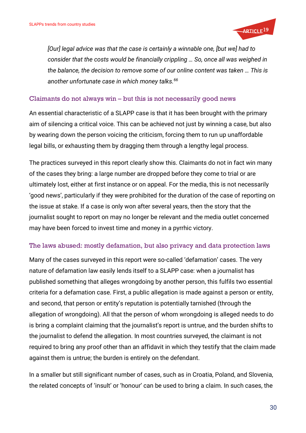

*[Our] legal advice was that the case is certainly a winnable one, [but we] had to consider that the costs would be financially crippling … So, once all was weighed in the balance, the decision to remove some of our online content was taken … This is another unfortunate case in which money talks.<sup>66</sup>*

### <span id="page-28-0"></span>Claimants do not always win – but this is not necessarily good news

An essential characteristic of a SLAPP case is that it has been brought with the primary aim of silencing a critical voice. This can be achieved not just by winning a case, but also by wearing down the person voicing the criticism, forcing them to run up unaffordable legal bills, or exhausting them by dragging them through a lengthy legal process.

The practices surveyed in this report clearly show this. Claimants do not in fact win many of the cases they bring: a large number are dropped before they come to trial or are ultimately lost, either at first instance or on appeal. For the media, this is not necessarily 'good news', particularly if they were prohibited for the duration of the case of reporting on the issue at stake. If a case is only won after several years, then the story that the journalist sought to report on may no longer be relevant and the media outlet concerned may have been forced to invest time and money in a pyrrhic victory.

#### <span id="page-28-1"></span>The laws abused: mostly defamation, but also privacy and data protection laws

Many of the cases surveyed in this report were so-called 'defamation' cases. The very nature of defamation law easily lends itself to a SLAPP case: when a journalist has published something that alleges wrongdoing by another person, this fulfils two essential criteria for a defamation case. First, a public allegation is made against a person or entity, and second, that person or entity's reputation is potentially tarnished (through the allegation of wrongdoing). All that the person of whom wrongdoing is alleged needs to do is bring a complaint claiming that the journalist's report is untrue, and the burden shifts to the journalist to defend the allegation. In most countries surveyed, the claimant is not required to bring any proof other than an affidavit in which they testify that the claim made against them is untrue; the burden is entirely on the defendant.

In a smaller but still significant number of cases, such as in Croatia, Poland, and Slovenia, the related concepts of 'insult' or 'honour' can be used to bring a claim. In such cases, the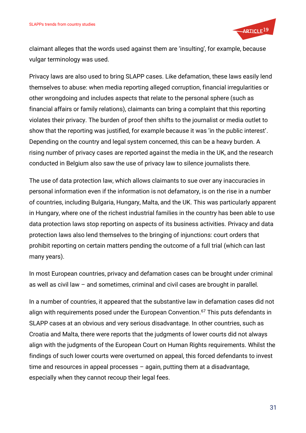

claimant alleges that the words used against them are 'insulting', for example, because vulgar terminology was used.

Privacy laws are also used to bring SLAPP cases. Like defamation, these laws easily lend themselves to abuse: when media reporting alleged corruption, financial irregularities or other wrongdoing and includes aspects that relate to the personal sphere (such as financial affairs or family relations), claimants can bring a complaint that this reporting violates their privacy. The burden of proof then shifts to the journalist or media outlet to show that the reporting was justified, for example because it was 'in the public interest'. Depending on the country and legal system concerned, this can be a heavy burden. A rising number of privacy cases are reported against the media in the UK, and the research conducted in Belgium also saw the use of privacy law to silence journalists there.

The use of data protection law, which allows claimants to sue over any inaccuracies in personal information even if the information is not defamatory, is on the rise in a number of countries, including Bulgaria, Hungary, Malta, and the UK. This was particularly apparent in Hungary, where one of the richest industrial families in the country has been able to use data protection laws stop reporting on aspects of its business activities. Privacy and data protection laws also lend themselves to the bringing of injunctions: court orders that prohibit reporting on certain matters pending the outcome of a full trial (which can last many years).

In most European countries, privacy and defamation cases can be brought under criminal as well as civil law – and sometimes, criminal and civil cases are brought in parallel.

In a number of countries, it appeared that the substantive law in defamation cases did not align with requirements posed under the European Convention.<sup>67</sup> This puts defendants in SLAPP cases at an obvious and very serious disadvantage. In other countries, such as Croatia and Malta, there were reports that the judgments of lower courts did not always align with the judgments of the European Court on Human Rights requirements. Whilst the findings of such lower courts were overturned on appeal, this forced defendants to invest time and resources in appeal processes – again, putting them at a disadvantage, especially when they cannot recoup their legal fees.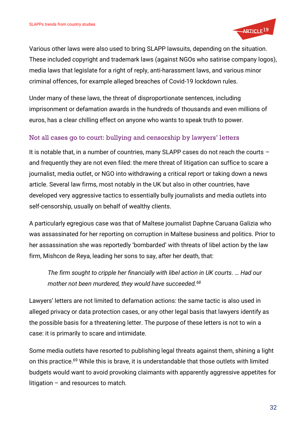

Various other laws were also used to bring SLAPP lawsuits, depending on the situation. These included copyright and trademark laws (against NGOs who satirise company logos), media laws that legislate for a right of reply, anti-harassment laws, and various minor criminal offences, for example alleged breaches of Covid-19 lockdown rules.

Under many of these laws, the threat of disproportionate sentences, including imprisonment or defamation awards in the hundreds of thousands and even millions of euros, has a clear chilling effect on anyone who wants to speak truth to power.

### <span id="page-30-0"></span>Not all cases go to court: bullying and censorship by lawyers' letters

It is notable that, in a number of countries, many SLAPP cases do not reach the courts – and frequently they are not even filed: the mere threat of litigation can suffice to scare a journalist, media outlet, or NGO into withdrawing a critical report or taking down a news article. Several law firms, most notably in the UK but also in other countries, have developed very aggressive tactics to essentially bully journalists and media outlets into self-censorship, usually on behalf of wealthy clients.

A particularly egregious case was that of Maltese journalist Daphne Caruana Galizia who was assassinated for her reporting on corruption in Maltese business and politics. Prior to her assassination she was reportedly 'bombarded' with threats of libel action by the law firm, Mishcon de Reya, leading her sons to say, after her death, that:

*The firm sought to cripple her financially with libel action in UK courts. … Had our mother not been murdered, they would have succeeded.<sup>68</sup>*

Lawyers' letters are not limited to defamation actions: the same tactic is also used in alleged privacy or data protection cases, or any other legal basis that lawyers identify as the possible basis for a threatening letter. The purpose of these letters is not to win a case: it is primarily to scare and intimidate.

Some media outlets have resorted to publishing legal threats against them, shining a light on this practice.<sup>69</sup> While this is brave, it is understandable that those outlets with limited budgets would want to avoid provoking claimants with apparently aggressive appetites for litigation – and resources to match.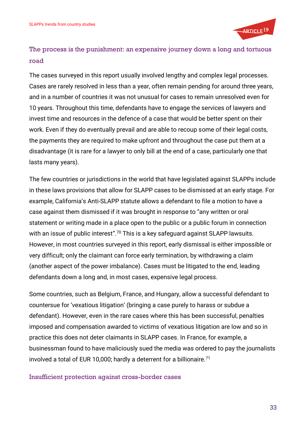

## <span id="page-31-0"></span>The process is the punishment: an expensive journey down a long and tortuous road

The cases surveyed in this report usually involved lengthy and complex legal processes. Cases are rarely resolved in less than a year, often remain pending for around three years, and in a number of countries it was not unusual for cases to remain unresolved even for 10 years. Throughout this time, defendants have to engage the services of lawyers and invest time and resources in the defence of a case that would be better spent on their work. Even if they do eventually prevail and are able to recoup some of their legal costs, the payments they are required to make upfront and throughout the case put them at a disadvantage (it is rare for a lawyer to only bill at the end of a case, particularly one that lasts many years).

The few countries or jurisdictions in the world that have legislated against SLAPPs include in these laws provisions that allow for SLAPP cases to be dismissed at an early stage. For example, California's Anti-SLAPP statute allows a defendant to file a motion to have a case against them dismissed if it was brought in response to "any written or oral statement or writing made in a place open to the public or a public forum in connection with an issue of public interest".<sup>70</sup> This is a key safeguard against SLAPP lawsuits. However, in most countries surveyed in this report, early dismissal is either impossible or very difficult; only the claimant can force early termination, by withdrawing a claim (another aspect of the power imbalance). Cases must be litigated to the end, leading defendants down a long and, in most cases, expensive legal process.

Some countries, such as Belgium, France, and Hungary, allow a successful defendant to countersue for 'vexatious litigation' (bringing a case purely to harass or subdue a defendant). However, even in the rare cases where this has been successful, penalties imposed and compensation awarded to victims of vexatious litigation are low and so in practice this does not deter claimants in SLAPP cases. In France, for example, a businessman found to have maliciously sued the media was ordered to pay the journalists involved a total of EUR 10,000; hardly a deterrent for a billionaire.<sup>71</sup>

#### <span id="page-31-1"></span>Insufficient protection against cross-border cases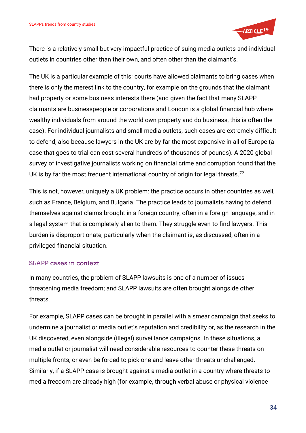

There is a relatively small but very impactful practice of suing media outlets and individual outlets in countries other than their own, and often other than the claimant's.

The UK is a particular example of this: courts have allowed claimants to bring cases when there is only the merest link to the country, for example on the grounds that the claimant had property or some business interests there (and given the fact that many SLAPP claimants are businesspeople or corporations and London is a global financial hub where wealthy individuals from around the world own property and do business, this is often the case). For individual journalists and small media outlets, such cases are extremely difficult to defend, also because lawyers in the UK are by far the most expensive in all of Europe (a case that goes to trial can cost several hundreds of thousands of pounds). A 2020 global survey of investigative journalists working on financial crime and corruption found that the UK is by far the most frequent international country of origin for legal threats.<sup>72</sup>

This is not, however, uniquely a UK problem: the practice occurs in other countries as well, such as France, Belgium, and Bulgaria. The practice leads to journalists having to defend themselves against claims brought in a foreign country, often in a foreign language, and in a legal system that is completely alien to them. They struggle even to find lawyers. This burden is disproportionate, particularly when the claimant is, as discussed, often in a privileged financial situation.

### <span id="page-32-0"></span>SLAPP cases in context

In many countries, the problem of SLAPP lawsuits is one of a number of issues threatening media freedom; and SLAPP lawsuits are often brought alongside other threats.

For example, SLAPP cases can be brought in parallel with a smear campaign that seeks to undermine a journalist or media outlet's reputation and credibility or, as the research in the UK discovered, even alongside (illegal) surveillance campaigns. In these situations, a media outlet or journalist will need considerable resources to counter these threats on multiple fronts, or even be forced to pick one and leave other threats unchallenged. Similarly, if a SLAPP case is brought against a media outlet in a country where threats to media freedom are already high (for example, through verbal abuse or physical violence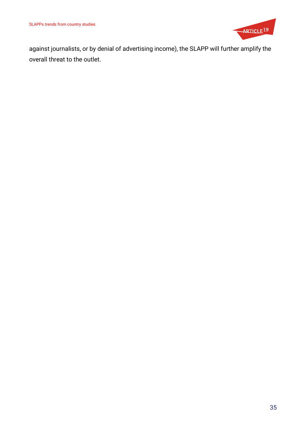

against journalists, or by denial of advertising income), the SLAPP will further amplify the overall threat to the outlet.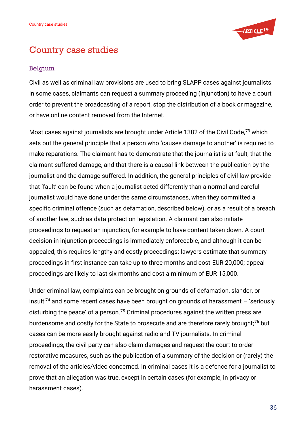

# <span id="page-34-0"></span>Country case studies

### <span id="page-34-1"></span>Belgium

Civil as well as criminal law provisions are used to bring SLAPP cases against journalists. In some cases, claimants can request a summary proceeding (injunction) to have a court order to prevent the broadcasting of a report, stop the distribution of a book or magazine, or have online content removed from the Internet.

Most cases against journalists are brought under Article 1382 of the Civil Code,<sup>73</sup> which sets out the general principle that a person who 'causes damage to another' is required to make reparations. The claimant has to demonstrate that the journalist is at fault, that the claimant suffered damage, and that there is a causal link between the publication by the journalist and the damage suffered. In addition, the general principles of civil law provide that 'fault' can be found when a journalist acted differently than a normal and careful journalist would have done under the same circumstances, when they committed a specific criminal offence (such as defamation, described below), or as a result of a breach of another law, such as data protection legislation. A claimant can also initiate proceedings to request an injunction, for example to have content taken down. A court decision in injunction proceedings is immediately enforceable, and although it can be appealed, this requires lengthy and costly proceedings: lawyers estimate that summary proceedings in first instance can take up to three months and cost EUR 20,000; appeal proceedings are likely to last six months and cost a minimum of EUR 15,000.

Under criminal law, complaints can be brought on grounds of defamation, slander, or insult;<sup>74</sup> and some recent cases have been brought on grounds of harassment  $-$  'seriously disturbing the peace' of a person.<sup>75</sup> Criminal procedures against the written press are burdensome and costly for the State to prosecute and are therefore rarely brought;<sup>76</sup> but cases can be more easily brought against radio and TV journalists. In criminal proceedings, the civil party can also claim damages and request the court to order restorative measures, such as the publication of a summary of the decision or (rarely) the removal of the articles/video concerned. In criminal cases it is a defence for a journalist to prove that an allegation was true, except in certain cases (for example, in privacy or harassment cases).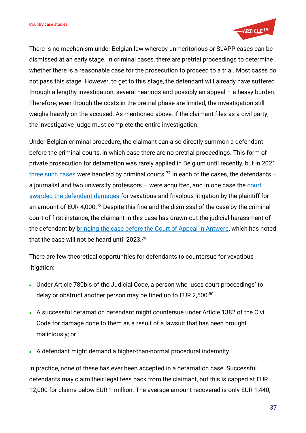

There is no mechanism under Belgian law whereby unmeritorious or SLAPP cases can be dismissed at an early stage. In criminal cases, there are pretrial proceedings to determine whether there is a reasonable case for the prosecution to proceed to a trial. Most cases do not pass this stage. However, to get to this stage, the defendant will already have suffered through a lengthy investigation, several hearings and possibly an appeal – a heavy burden. Therefore, even though the costs in the pretrial phase are limited, the investigation still weighs heavily on the accused. As mentioned above, if the claimant files as a civil party, the investigative judge must complete the entire investigation.

Under Belgian criminal procedure, the claimant can also directly summon a defendant before the criminal courts, in which case there are no pretrial proceedings. This form of private prosecution for defamation was rarely applied in Belgium until recently, but in 2021 [three such cases](https://inforrm.org/2022/01/04/anti-slapp-professor-goes-free-after-vexatious-and-frivolous-suit-dirk-voorhoof/) were handled by criminal courts.<sup>77</sup> In each of the cases, the defendants  $$ a journalist and two university professors  $-$  were acquitted, and in one case the court [awarded the defendant damages](https://inforrm.org/2022/01/04/anti-slapp-professor-goes-free-after-vexatious-and-frivolous-suit-dirk-voorhoof/) for vexatious and frivolous litigation by the plaintiff for an amount of EUR 4,000.<sup>78</sup> Despite this fine and the dismissal of the case by the criminal court of first instance, the claimant in this case has drawn-out the judicial harassment of the defendant by [bringing the case before the](https://inforrm.org/2022/01/04/anti-slapp-professor-goes-free-after-vexatious-and-frivolous-suit-dirk-voorhoof/) Court of Appeal in Antwerp, which has noted that the case will not be heard until 2023.<sup>79</sup>

There are few theoretical opportunities for defendants to countersue for vexatious litigation:

- Under Article 780bis of the Judicial Code, a person who 'uses court proceedings' to delay or obstruct another person may be fined up to EUR 2,500;80
- A successful defamation defendant might countersue under Article 1382 of the Civil Code for damage done to them as a result of a lawsuit that has been brought maliciously; or
- A defendant might demand a higher-than-normal procedural indemnity.

In practice, none of these has ever been accepted in a defamation case. Successful defendants may claim their legal fees back from the claimant, but this is capped at EUR 12,000 for claims below EUR 1 million. The average amount recovered is only EUR 1,440,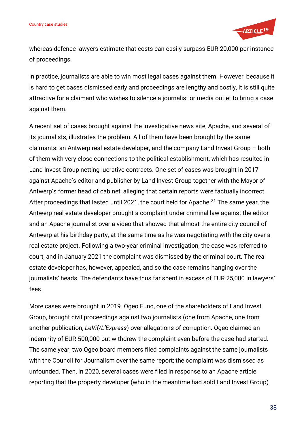

whereas defence lawyers estimate that costs can easily surpass EUR 20,000 per instance of proceedings.

In practice, journalists are able to win most legal cases against them. However, because it is hard to get cases dismissed early and proceedings are lengthy and costly, it is still quite attractive for a claimant who wishes to silence a journalist or media outlet to bring a case against them.

A recent set of cases brought against the investigative news site, Apache, and several of its journalists, illustrates the problem. All of them have been brought by the same claimants: an Antwerp real estate developer, and the company Land Invest Group – both of them with very close connections to the political establishment, which has resulted in Land Invest Group netting lucrative contracts. One set of cases was brought in 2017 against Apache's editor and publisher by Land Invest Group together with the Mayor of Antwerp's former head of cabinet, alleging that certain reports were factually incorrect. After proceedings that lasted until 2021, the court held for Apache.<sup>81</sup> The same year, the Antwerp real estate developer brought a complaint under criminal law against the editor and an Apache journalist over a video that showed that almost the entire city council of Antwerp at his birthday party, at the same time as he was negotiating with the city over a real estate project. Following a two-year criminal investigation, the case was referred to court, and in January 2021 the complaint was dismissed by the criminal court. The real estate developer has, however, appealed, and so the case remains hanging over the journalists' heads. The defendants have thus far spent in excess of EUR 25,000 in lawyers' fees.

More cases were brought in 2019. Ogeo Fund, one of the shareholders of Land Invest Group, brought civil proceedings against two journalists (one from Apache, one from another publication, *LeVif/L'Express*) over allegations of corruption. Ogeo claimed an indemnity of EUR 500,000 but withdrew the complaint even before the case had started. The same year, two Ogeo board members filed complaints against the same journalists with the Council for Journalism over the same report; the complaint was dismissed as unfounded. Then, in 2020, several cases were filed in response to an Apache article reporting that the property developer (who in the meantime had sold Land Invest Group)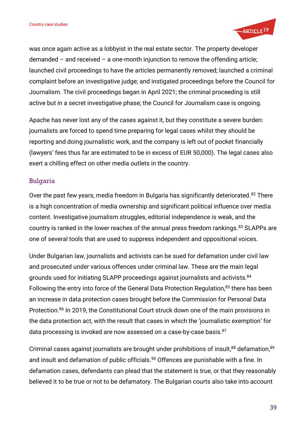

was once again active as a lobbyist in the real estate sector. The property developer demanded – and received – a one-month injunction to remove the offending article; launched civil proceedings to have the articles permanently removed; launched a criminal complaint before an investigative judge; and instigated proceedings before the Council for Journalism. The civil proceedings began in April 2021; the criminal proceeding is still active but in a secret investigative phase; the Council for Journalism case is ongoing.

Apache has never lost any of the cases against it, but they constitute a severe burden: journalists are forced to spend time preparing for legal cases whilst they should be reporting and doing journalistic work, and the company is left out of pocket financially (lawyers' fees thus far are estimated to be in excess of EUR 50,000). The legal cases also exert a chilling effect on other media outlets in the country.

#### Bulgaria

Over the past few years, media freedom in Bulgaria has significantly deteriorated.<sup>82</sup> There is a high concentration of media ownership and significant political influence over media content. Investigative journalism struggles, editorial independence is weak, and the country is ranked in the lower reaches of the annual press freedom rankings.<sup>83</sup> SLAPPs are one of several tools that are used to suppress independent and oppositional voices.

Under Bulgarian law, journalists and activists can be sued for defamation under civil law and prosecuted under various offences under criminal law. These are the main legal grounds used for initiating SLAPP proceedings against journalists and activists.<sup>84</sup> Following the entry into force of the General Data Protection Regulation,<sup>85</sup> there has been an increase in data protection cases brought before the Commission for Personal Data Protection.<sup>86</sup> In 2019, the Constitutional Court struck down one of the main provisions in the data protection act, with the result that cases in which the 'journalistic exemption' for data processing is invoked are now assessed on a case-by-case basis.<sup>87</sup>

Criminal cases against journalists are brought under prohibitions of insult,<sup>88</sup> defamation,<sup>89</sup> and insult and defamation of public officials.<sup>90</sup> Offences are punishable with a fine. In defamation cases, defendants can plead that the statement is true, or that they reasonably believed it to be true or not to be defamatory. The Bulgarian courts also take into account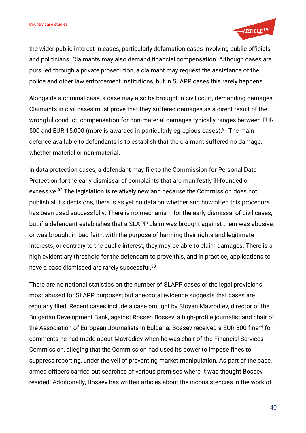

the wider public interest in cases, particularly defamation cases involving public officials and politicians. Claimants may also demand financial compensation. Although cases are pursued through a private prosecution, a claimant may request the assistance of the police and other law enforcement institutions, but in SLAPP cases this rarely happens.

Alongside a criminal case, a case may also be brought in civil court, demanding damages. Claimants in civil cases must prove that they suffered damages as a direct result of the wrongful conduct; compensation for non-material damages typically ranges between EUR 500 and EUR 15,000 (more is awarded in particularly egregious cases).<sup>91</sup> The main defence available to defendants is to establish that the claimant suffered no damage, whether material or non-material.

In data protection cases, a defendant may file to the Commission for Personal Data Protection for the early dismissal of complaints that are manifestly ill-founded or excessive.<sup>92</sup> The legislation is relatively new and because the Commission does not publish all its decisions, there is as yet no data on whether and how often this procedure has been used successfully. There is no mechanism for the early dismissal of civil cases, but if a defendant establishes that a SLAPP claim was brought against them was abusive, or was brought in bad faith, with the purpose of harming their rights and legitimate interests, or contrary to the public interest, they may be able to claim damages. There is a high evidentiary threshold for the defendant to prove this, and in practice, applications to have a case dismissed are rarely successful.<sup>93</sup>

There are no national statistics on the number of SLAPP cases or the legal provisions most abused for SLAPP purposes; but anecdotal evidence suggests that cases are regularly filed. Recent cases include a case brought by Stoyan Mavrodiev, director of the Bulgarian Development Bank, against Rossen Bossev, a high-profile journalist and chair of the Association of European Journalists in Bulgaria. Bossev received a EUR 500 fine<sup>94</sup> for comments he had made about Mavrodiev when he was chair of the Financial Services Commission, alleging that the Commission had used its power to impose fines to suppress reporting, under the veil of preventing market manipulation. As part of the case, armed officers carried out searches of various premises where it was thought Bossev resided. Additionally, Bossev has written articles about the inconsistencies in the work of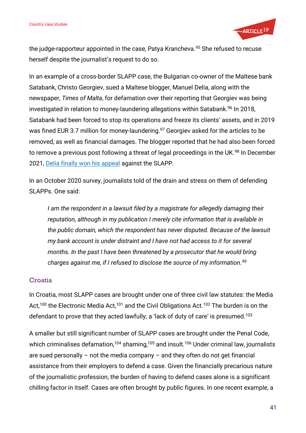

the judge-rapporteur appointed in the case, Patya Krancheva.<sup>95</sup> She refused to recuse herself despite the journalist's request to do so.

In an example of a cross-border SLAPP case, the Bulgarian co-owner of the Maltese bank Satabank, Christo Georgiev, sued a Maltese blogger, Manuel Delia, along with the newspaper, *Times of Malta*, for defamation over their reporting that Georgiev was being investigated in relation to money-laundering allegations within Satabank.<sup>96</sup> In 2018, Satabank had been forced to stop its operations and freeze its clients' assets, and in 2019 was fined EUR 3.7 million for money-laundering.<sup>97</sup> Georgiev asked for the articles to be removed, as well as financial damages. The blogger reported that he had also been forced to remove a previous post following a threat of legal proceedings in the UK.<sup>98</sup> In December 2021, [Delia finally won his appeal](https://lovinmalta.com/news/bulgarian-court-throws-out-satabank-owners-slapp-suit-against-manuel-delia/) against the SLAPP.

In an October 2020 survey, journalists told of the drain and stress on them of defending SLAPPs. One said:

*I* am the respondent in a lawsuit filed by a magistrate for allegedly damaging their *reputation, although in my publication I merely cite information that is available in the public domain, which the respondent has never disputed. Because of the lawsuit my bank account is under distraint and I have not had access to it for several months. In the past I have been threatened by a prosecutor that he would bring charges against me, if I refused to disclose the source of my information.<sup>99</sup>*

## **Croatia**

In Croatia, most SLAPP cases are brought under one of three civil law statutes: the Media Act,<sup>100</sup> the Electronic Media Act,<sup>101</sup> and the Civil Obligations Act.<sup>102</sup> The burden is on the defendant to prove that they acted lawfully; a 'lack of duty of care' is presumed.<sup>103</sup>

A smaller but still significant number of SLAPP cases are brought under the Penal Code, which criminalises defamation,<sup>104</sup> shaming,<sup>105</sup> and insult.<sup>106</sup> Under criminal law, journalists are sued personally – not the media company – and they often do not get financial assistance from their employers to defend a case. Given the financially precarious nature of the journalistic profession, the burden of having to defend cases alone is a significant chilling factor in itself. Cases are often brought by public figures. In one recent example, a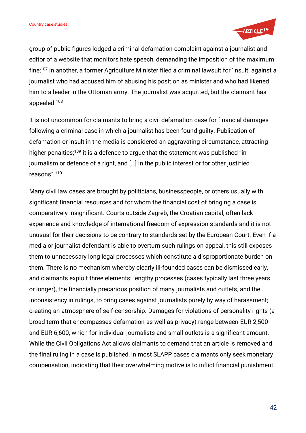

group of public figures lodged a criminal defamation complaint against a journalist and editor of a website that monitors hate speech, demanding the imposition of the maximum fine;<sup>107</sup> in another, a former Agriculture Minister filed a criminal lawsuit for 'insult' against a journalist who had accused him of abusing his position as minister and who had likened him to a leader in the Ottoman army. The journalist was acquitted, but the claimant has appealed.<sup>108</sup>

It is not uncommon for claimants to bring a civil defamation case for financial damages following a criminal case in which a journalist has been found guilty. Publication of defamation or insult in the media is considered an aggravating circumstance, attracting higher penalties;<sup>109</sup> it is a defence to argue that the statement was published "in journalism or defence of a right, and […] in the public interest or for other justified reasons".<sup>110</sup>

Many civil law cases are brought by politicians, businesspeople, or others usually with significant financial resources and for whom the financial cost of bringing a case is comparatively insignificant. Courts outside Zagreb, the Croatian capital, often lack experience and knowledge of international freedom of expression standards and it is not unusual for their decisions to be contrary to standards set by the European Court. Even if a media or journalist defendant is able to overturn such rulings on appeal, this still exposes them to unnecessary long legal processes which constitute a disproportionate burden on them. There is no mechanism whereby clearly ill-founded cases can be dismissed early, and claimants exploit three elements: lengthy processes (cases typically last three years or longer), the financially precarious position of many journalists and outlets, and the inconsistency in rulings, to bring cases against journalists purely by way of harassment; creating an atmosphere of self-censorship. Damages for violations of personality rights (a broad term that encompasses defamation as well as privacy) range between EUR 2,500 and EUR 6,600, which for individual journalists and small outlets is a significant amount. While the Civil Obligations Act allows claimants to demand that an article is removed and the final ruling in a case is published, in most SLAPP cases claimants only seek monetary compensation, indicating that their overwhelming motive is to inflict financial punishment.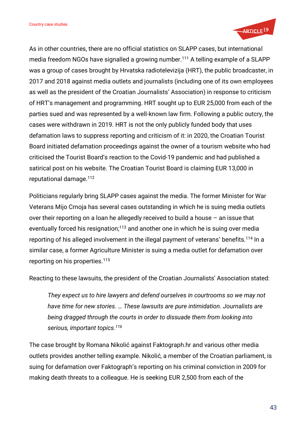

As in other countries, there are no official statistics on SLAPP cases, but international media freedom NGOs have signalled a growing number.<sup>111</sup> A telling example of a SLAPP was a group of cases brought by Hrvatska radiotelevizija (HRT), the public broadcaster, in 2017 and 2018 against media outlets and journalists (including one of its own employees as well as the president of the Croatian Journalists' Association) in response to criticism of HRT's management and programming. HRT sought up to EUR 25,000 from each of the parties sued and was represented by a well-known law firm. Following a public outcry, the cases were withdrawn in 2019. HRT is not the only publicly funded body that uses defamation laws to suppress reporting and criticism of it: in 2020, the Croatian Tourist Board initiated defamation proceedings against the owner of a tourism website who had criticised the Tourist Board's reaction to the Covid-19 pandemic and had published a satirical post on his website. The Croatian Tourist Board is claiming EUR 13,000 in reputational damage.<sup>112</sup>

Politicians regularly bring SLAPP cases against the media. The former Minister for War Veterans Mijo Crnoja has several cases outstanding in which he is suing media outlets over their reporting on a loan he allegedly received to build a house – an issue that eventually forced his resignation; $113$  and another one in which he is suing over media reporting of his alleged involvement in the illegal payment of veterans' benefits.<sup>114</sup> In a similar case, a former Agriculture Minister is suing a media outlet for defamation over reporting on his properties.<sup>115</sup>

Reacting to these lawsuits, the president of the Croatian Journalists' Association stated:

*They expect us to hire lawyers and defend ourselves in courtrooms so we may not have time for new stories. … These lawsuits are pure intimidation. Journalists are being dragged through the courts in order to dissuade them from looking into serious, important topics.<sup>116</sup>*

The case brought by Romana Nikolić against Faktograph.hr and various other media outlets provides another telling example. Nikolić, a member of the Croatian parliament, is suing for defamation over Faktograph's reporting on his criminal conviction in 2009 for making death threats to a colleague. He is seeking EUR 2,500 from each of the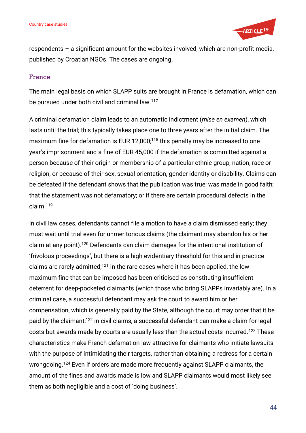

respondents – a significant amount for the websites involved, which are non-profit media, published by Croatian NGOs. The cases are ongoing.

## France

The main legal basis on which SLAPP suits are brought in France is defamation, which can be pursued under both civil and criminal law.<sup>117</sup>

A criminal defamation claim leads to an automatic indictment (*mise en examen*), which lasts until the trial; this typically takes place one to three years after the initial claim. The maximum fine for defamation is EUR 12,000;<sup>118</sup> this penalty may be increased to one year's imprisonment and a fine of EUR 45,000 if the defamation is committed against a person because of their origin or membership of a particular ethnic group, nation, race or religion, or because of their sex, sexual orientation, gender identity or disability. Claims can be defeated if the defendant shows that the publication was true; was made in good faith; that the statement was not defamatory; or if there are certain procedural defects in the claim.<sup>119</sup>

In civil law cases, defendants cannot file a motion to have a claim dismissed early; they must wait until trial even for unmeritorious claims (the claimant may abandon his or her claim at any point).<sup>120</sup> Defendants can claim damages for the intentional institution of 'frivolous proceedings', but there is a high evidentiary threshold for this and in practice claims are rarely admitted;<sup>121</sup> in the rare cases where it has been applied, the low maximum fine that can be imposed has been criticised as constituting insufficient deterrent for deep-pocketed claimants (which those who bring SLAPPs invariably are). In a criminal case, a successful defendant may ask the court to award him or her compensation, which is generally paid by the State, although the court may order that it be paid by the claimant;<sup>122</sup> in civil claims, a successful defendant can make a claim for legal costs but awards made by courts are usually less than the actual costs incurred.<sup>123</sup> These characteristics make French defamation law attractive for claimants who initiate lawsuits with the purpose of intimidating their targets, rather than obtaining a redress for a certain wrongdoing.<sup>124</sup> Even if orders are made more frequently against SLAPP claimants, the amount of the fines and awards made is low and SLAPP claimants would most likely see them as both negligible and a cost of 'doing business'.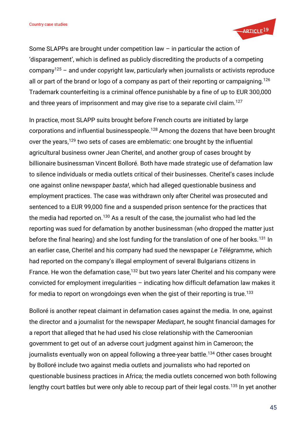

Some SLAPPs are brought under competition law – in particular the action of 'disparagement', which is defined as publicly discrediting the products of a competing company<sup>125</sup> – and under copyright law, particularly when journalists or activists reproduce all or part of the brand or logo of a company as part of their reporting or campaigning.<sup>126</sup> Trademark counterfeiting is a criminal offence punishable by a fine of up to EUR 300,000 and three years of imprisonment and may give rise to a separate civil claim.<sup>127</sup>

In practice, most SLAPP suits brought before French courts are initiated by large corporations and influential businesspeople. <sup>128</sup> Among the dozens that have been brought over the years,<sup>129</sup> two sets of cases are emblematic: one brought by the influential agricultural business owner Jean Cheritel, and another group of cases brought by billionaire businessman Vincent Bolloré. Both have made strategic use of defamation law to silence individuals or media outlets critical of their businesses. Cheritel's cases include one against online newspaper *basta!*, which had alleged questionable business and employment practices. The case was withdrawn only after Cheritel was prosecuted and sentenced to a EUR 99,000 fine and a suspended prison sentence for the practices that the media had reported on.<sup>130</sup> As a result of the case, the journalist who had led the reporting was sued for defamation by another businessman (who dropped the matter just before the final hearing) and she lost funding for the translation of one of her books.<sup>131</sup> In an earlier case, Cheritel and his company had sued the newspaper *Le Télégramme*, which had reported on the company's illegal employment of several Bulgarians citizens in France. He won the defamation case,<sup>132</sup> but two years later Cheritel and his company were convicted for employment irregularities – indicating how difficult defamation law makes it for media to report on wrongdoings even when the gist of their reporting is true.<sup>133</sup>

Bolloré is another repeat claimant in defamation cases against the media. In one, against the director and a journalist for the newspaper *Mediapart*, he sought financial damages for a report that alleged that he had used his close relationship with the Cameroonian government to get out of an adverse court judgment against him in Cameroon; the journalists eventually won on appeal following a three-year battle.<sup>134</sup> Other cases brought by Bolloré include two against media outlets and journalists who had reported on questionable business practices in Africa; the media outlets concerned won both following lengthy court battles but were only able to recoup part of their legal costs.<sup>135</sup> In yet another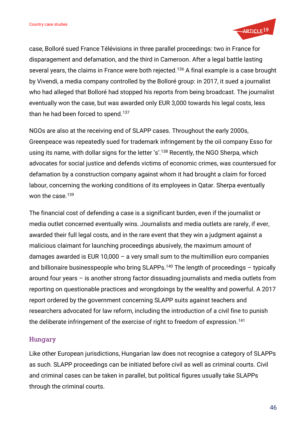

case, Bolloré sued France Télévisions in three parallel proceedings: two in France for disparagement and defamation, and the third in Cameroon. After a legal battle lasting several years, the claims in France were both rejected.<sup>136</sup> A final example is a case brought by Vivendi, a media company controlled by the Bolloré group: in 2017, it sued a journalist who had alleged that Bolloré had stopped his reports from being broadcast. The journalist eventually won the case, but was awarded only EUR 3,000 towards his legal costs, less than he had been forced to spend.<sup>137</sup>

NGOs are also at the receiving end of SLAPP cases. Throughout the early 2000s, Greenpeace was repeatedly sued for trademark infringement by the oil company Esso for using its name, with dollar signs for the letter 's'.<sup>138</sup> Recently, the NGO Sherpa, which advocates for social justice and defends victims of economic crimes, was countersued for defamation by a construction company against whom it had brought a claim for forced labour, concerning the working conditions of its employees in Qatar. Sherpa eventually won the case.<sup>139</sup>

The financial cost of defending a case is a significant burden, even if the journalist or media outlet concerned eventually wins. Journalists and media outlets are rarely, if ever, awarded their full legal costs, and in the rare event that they win a judgment against a malicious claimant for launching proceedings abusively, the maximum amount of damages awarded is EUR 10,000 – a very small sum to the multimillion euro companies and billionaire businesspeople who bring SLAPPs.<sup>140</sup> The length of proceedings  $-$  typically around four years – is another strong factor dissuading journalists and media outlets from reporting on questionable practices and wrongdoings by the wealthy and powerful. A 2017 report ordered by the government concerning SLAPP suits against teachers and researchers advocated for law reform, including the introduction of a civil fine to punish the deliberate infringement of the exercise of right to freedom of expression.<sup>141</sup>

## Hungary

Like other European jurisdictions, Hungarian law does not recognise a category of SLAPPs as such. SLAPP proceedings can be initiated before civil as well as criminal courts. Civil and criminal cases can be taken in parallel, but political figures usually take SLAPPs through the criminal courts.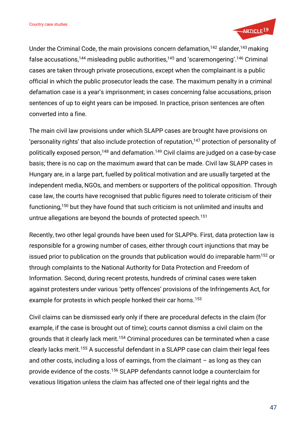

Under the Criminal Code, the main provisions concern defamation,<sup>142</sup> slander,<sup>143</sup> making false accusations,<sup>144</sup> misleading public authorities,<sup>145</sup> and 'scaremongering'. <sup>146</sup> Criminal cases are taken through private prosecutions, except when the complainant is a public official in which the public prosecutor leads the case. The maximum penalty in a criminal defamation case is a year's imprisonment; in cases concerning false accusations, prison sentences of up to eight years can be imposed. In practice, prison sentences are often converted into a fine.

The main civil law provisions under which SLAPP cases are brought have provisions on 'personality rights' that also include protection of reputation, $147$  protection of personality of politically exposed person, <sup>148</sup> and defamation.<sup>149</sup> Civil claims are judged on a case-by-case basis; there is no cap on the maximum award that can be made. Civil law SLAPP cases in Hungary are, in a large part, fuelled by political motivation and are usually targeted at the independent media, NGOs, and members or supporters of the political opposition. Through case law, the courts have recognised that public figures need to tolerate criticism of their functioning,<sup>150</sup> but they have found that such criticism is not unlimited and insults and untrue allegations are beyond the bounds of protected speech.<sup>151</sup>

Recently, two other legal grounds have been used for SLAPPs. First, data protection law is responsible for a growing number of cases, either through court injunctions that may be issued prior to publication on the grounds that publication would do irreparable harm<sup>152</sup> or through complaints to the National Authority for Data Protection and Freedom of Information. Second, during recent protests, hundreds of criminal cases were taken against protesters under various 'petty offences' provisions of the Infringements Act, for example for protests in which people honked their car horns.<sup>153</sup>

Civil claims can be dismissed early only if there are procedural defects in the claim (for example, if the case is brought out of time); courts cannot dismiss a civil claim on the grounds that it clearly lack merit.<sup>154</sup> Criminal procedures can be terminated when a case clearly lacks merit.<sup>155</sup> A successful defendant in a SLAPP case can claim their legal fees and other costs, including a loss of earnings, from the claimant – as long as they can provide evidence of the costs.<sup>156</sup> SLAPP defendants cannot lodge a counterclaim for vexatious litigation unless the claim has affected one of their legal rights and the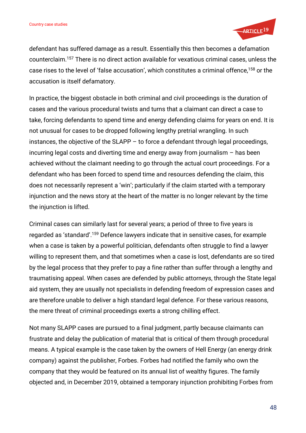

defendant has suffered damage as a result. Essentially this then becomes a defamation counterclaim.<sup>157</sup> There is no direct action available for vexatious criminal cases, unless the case rises to the level of 'false accusation', which constitutes a criminal offence,<sup>158</sup> or the accusation is itself defamatory.

In practice, the biggest obstacle in both criminal and civil proceedings is the duration of cases and the various procedural twists and turns that a claimant can direct a case to take, forcing defendants to spend time and energy defending claims for years on end. It is not unusual for cases to be dropped following lengthy pretrial wrangling. In such instances, the objective of the SLAPP – to force a defendant through legal proceedings, incurring legal costs and diverting time and energy away from journalism – has been achieved without the claimant needing to go through the actual court proceedings. For a defendant who has been forced to spend time and resources defending the claim, this does not necessarily represent a 'win'; particularly if the claim started with a temporary injunction and the news story at the heart of the matter is no longer relevant by the time the injunction is lifted.

Criminal cases can similarly last for several years; a period of three to five years is regarded as 'standard'. <sup>159</sup> Defence lawyers indicate that in sensitive cases, for example when a case is taken by a powerful politician, defendants often struggle to find a lawyer willing to represent them, and that sometimes when a case is lost, defendants are so tired by the legal process that they prefer to pay a fine rather than suffer through a lengthy and traumatising appeal. When cases are defended by public attorneys, through the State legal aid system, they are usually not specialists in defending freedom of expression cases and are therefore unable to deliver a high standard legal defence. For these various reasons, the mere threat of criminal proceedings exerts a strong chilling effect.

Not many SLAPP cases are pursued to a final judgment, partly because claimants can frustrate and delay the publication of material that is critical of them through procedural means. A typical example is the case taken by the owners of Hell Energy (an energy drink company) against the publisher, Forbes. Forbes had notified the family who own the company that they would be featured on its annual list of wealthy figures. The family objected and, in December 2019, obtained a temporary injunction prohibiting Forbes from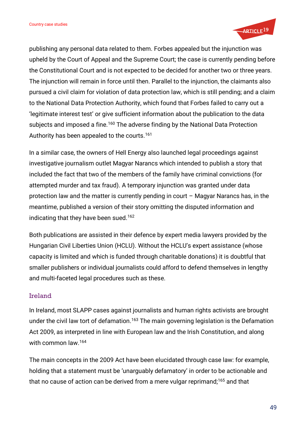

publishing any personal data related to them. Forbes appealed but the injunction was upheld by the Court of Appeal and the Supreme Court; the case is currently pending before the Constitutional Court and is not expected to be decided for another two or three years. The injunction will remain in force until then. Parallel to the injunction, the claimants also pursued a civil claim for violation of data protection law, which is still pending; and a claim to the National Data Protection Authority, which found that Forbes failed to carry out a 'legitimate interest test' or give sufficient information about the publication to the data subjects and imposed a fine.<sup>160</sup> The adverse finding by the National Data Protection Authority has been appealed to the courts.<sup>161</sup>

In a similar case, the owners of Hell Energy also launched legal proceedings against investigative journalism outlet Magyar Narancs which intended to publish a story that included the fact that two of the members of the family have criminal convictions (for attempted murder and tax fraud). A temporary injunction was granted under data protection law and the matter is currently pending in court – Magyar Narancs has, in the meantime, published a version of their story omitting the disputed information and indicating that they have been sued.<sup>162</sup>

Both publications are assisted in their defence by expert media lawyers provided by the Hungarian Civil Liberties Union (HCLU). Without the HCLU's expert assistance (whose capacity is limited and which is funded through charitable donations) it is doubtful that smaller publishers or individual journalists could afford to defend themselves in lengthy and multi-faceted legal procedures such as these.

## Ireland

In Ireland, most SLAPP cases against journalists and human rights activists are brought under the civil law tort of defamation.<sup>163</sup> The main governing legislation is the Defamation Act 2009, as interpreted in line with European law and the Irish Constitution, and along with common law.<sup>164</sup>

The main concepts in the 2009 Act have been elucidated through case law: for example, holding that a statement must be 'unarguably defamatory' in order to be actionable and that no cause of action can be derived from a mere vulgar reprimand;<sup>165</sup> and that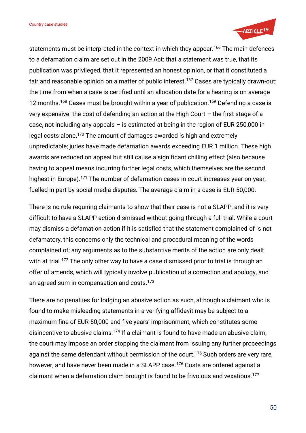

statements must be interpreted in the context in which they appear.<sup>166</sup> The main defences to a defamation claim are set out in the 2009 Act: that a statement was true, that its publication was privileged, that it represented an honest opinion, or that it constituted a fair and reasonable opinion on a matter of public interest.<sup>167</sup> Cases are typically drawn-out: the time from when a case is certified until an allocation date for a hearing is on average 12 months.<sup>168</sup> Cases must be brought within a year of publication.<sup>169</sup> Defending a case is very expensive: the cost of defending an action at the High Court – the first stage of a case, not including any appeals – is estimated at being in the region of EUR 250,000 in legal costs alone.<sup>170</sup> The amount of damages awarded is high and extremely unpredictable; juries have made defamation awards exceeding EUR 1 million. These high awards are reduced on appeal but still cause a significant chilling effect (also because having to appeal means incurring further legal costs, which themselves are the second highest in Europe).<sup>171</sup> The number of defamation cases in court increases year on year, fuelled in part by social media disputes. The average claim in a case is EUR 50,000.

There is no rule requiring claimants to show that their case is not a SLAPP, and it is very difficult to have a SLAPP action dismissed without going through a full trial. While a court may dismiss a defamation action if it is satisfied that the statement complained of is not defamatory, this concerns only the technical and procedural meaning of the words complained of; any arguments as to the substantive merits of the action are only dealt with at trial.<sup>172</sup> The only other way to have a case dismissed prior to trial is through an offer of amends, which will typically involve publication of a correction and apology, and an agreed sum in compensation and costs.<sup>173</sup>

There are no penalties for lodging an abusive action as such, although a claimant who is found to make misleading statements in a verifying affidavit may be subject to a maximum fine of EUR 50,000 and five years' imprisonment, which constitutes some disincentive to abusive claims.<sup>174</sup> If a claimant is found to have made an abusive claim, the court may impose an order stopping the claimant from issuing any further proceedings against the same defendant without permission of the court.<sup>175</sup> Such orders are very rare, however, and have never been made in a SLAPP case.<sup>176</sup> Costs are ordered against a claimant when a defamation claim brought is found to be frivolous and vexatious.177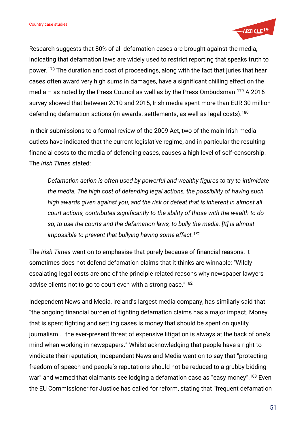

Research suggests that 80% of all defamation cases are brought against the media, indicating that defamation laws are widely used to restrict reporting that speaks truth to power.<sup>178</sup> The duration and cost of proceedings, along with the fact that juries that hear cases often award very high sums in damages, have a significant chilling effect on the media – as noted by the Press Council as well as by the Press Ombudsman.<sup>179</sup> A 2016 survey showed that between 2010 and 2015, Irish media spent more than EUR 30 million defending defamation actions (in awards, settlements, as well as legal costs).<sup>180</sup>

In their submissions to a formal review of the 2009 Act, two of the main Irish media outlets have indicated that the current legislative regime, and in particular the resulting financial costs to the media of defending cases, causes a high level of self-censorship. The *Irish Times* stated:

*Defamation action is often used by powerful and wealthy figures to try to intimidate the media. The high cost of defending legal actions, the possibility of having such high awards given against you, and the risk of defeat that is inherent in almost all court actions, contributes significantly to the ability of those with the wealth to do so, to use the courts and the defamation laws, to bully the media. [It] is almost impossible to prevent that bullying having some effect.<sup>181</sup>*

The *Irish Times* went on to emphasise that purely because of financial reasons, it sometimes does not defend defamation claims that it thinks are winnable: "Wildly escalating legal costs are one of the principle related reasons why newspaper lawyers advise clients not to go to court even with a strong case."<sup>182</sup>

Independent News and Media, Ireland's largest media company, has similarly said that "the ongoing financial burden of fighting defamation claims has a major impact. Money that is spent fighting and settling cases is money that should be spent on quality journalism … the ever-present threat of expensive litigation is always at the back of one's mind when working in newspapers." Whilst acknowledging that people have a right to vindicate their reputation, Independent News and Media went on to say that "protecting freedom of speech and people's reputations should not be reduced to a grubby bidding war" and warned that claimants see lodging a defamation case as "easy money".<sup>183</sup> Even the EU Commissioner for Justice has called for reform, stating that "frequent defamation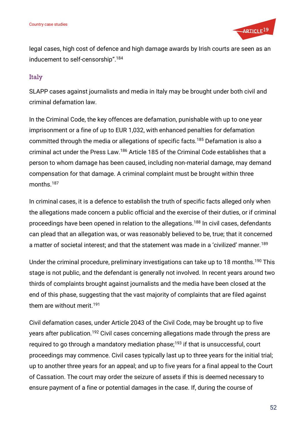

legal cases, high cost of defence and high damage awards by Irish courts are seen as an inducement to self-censorship".<sup>184</sup>

## Italy

SLAPP cases against journalists and media in Italy may be brought under both civil and criminal defamation law.

In the Criminal Code, the key offences are defamation, punishable with up to one year imprisonment or a fine of up to EUR 1,032, with enhanced penalties for defamation committed through the media or allegations of specific facts.<sup>185</sup> Defamation is also a criminal act under the Press Law.<sup>186</sup> Article 185 of the Criminal Code establishes that a person to whom damage has been caused, including non-material damage, may demand compensation for that damage. A criminal complaint must be brought within three months.<sup>187</sup>

In criminal cases, it is a defence to establish the truth of specific facts alleged only when the allegations made concern a public official and the exercise of their duties, or if criminal proceedings have been opened in relation to the allegations.<sup>188</sup> In civil cases, defendants can plead that an allegation was, or was reasonably believed to be, true; that it concerned a matter of societal interest; and that the statement was made in a 'civilized' manner.<sup>189</sup>

Under the criminal procedure, preliminary investigations can take up to 18 months.<sup>190</sup> This stage is not public, and the defendant is generally not involved. In recent years around two thirds of complaints brought against journalists and the media have been closed at the end of this phase, suggesting that the vast majority of complaints that are filed against them are without merit.<sup>191</sup>

Civil defamation cases, under Article 2043 of the Civil Code, may be brought up to five years after publication.<sup>192</sup> Civil cases concerning allegations made through the press are required to go through a mandatory mediation phase; $193$  if that is unsuccessful, court proceedings may commence. Civil cases typically last up to three years for the initial trial; up to another three years for an appeal; and up to five years for a final appeal to the Court of Cassation. The court may order the seizure of assets if this is deemed necessary to ensure payment of a fine or potential damages in the case. If, during the course of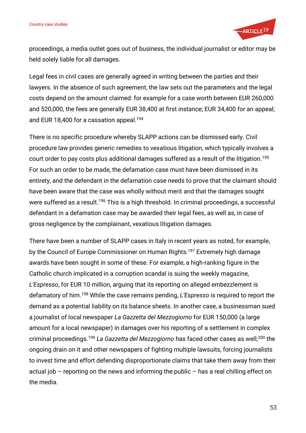

proceedings, a media outlet goes out of business, the individual journalist or editor may be held solely liable for all damages.

Legal fees in civil cases are generally agreed in writing between the parties and their lawyers. In the absence of such agreement, the law sets out the parameters and the legal costs depend on the amount claimed: for example for a case worth between EUR 260,000 and 520,000, the fees are generally EUR 38,400 at first instance; EUR 34,400 for an appeal; and EUR 18,400 for a cassation appeal.<sup>194</sup>

There is no specific procedure whereby SLAPP actions can be dismissed early. Civil procedure law provides generic remedies to vexatious litigation, which typically involves a court order to pay costs plus additional damages suffered as a result of the litigation.<sup>195</sup> For such an order to be made, the defamation case must have been dismissed in its entirety, and the defendant in the defamation case needs to prove that the claimant should have been aware that the case was wholly without merit and that the damages sought were suffered as a result.<sup>196</sup> This is a high threshold. In criminal proceedings, a successful defendant in a defamation case may be awarded their legal fees, as well as, in case of gross negligence by the complainant, vexatious litigation damages.

There have been a number of SLAPP cases in Italy in recent years as noted, for example, by the Council of Europe Commissioner on Human Rights.<sup>197</sup> Extremely high damage awards have been sought in some of these. For example, a high-ranking figure in the Catholic church implicated in a corruption scandal is suing the weekly magazine, *L'Espresso*, for EUR 10 million, arguing that its reporting on alleged embezzlement is defamatory of him.<sup>198</sup> While the case remains pending, *L'Espresso* is required to report the demand as a potential liability on its balance sheets. In another case, a businessman sued a journalist of local newspaper *La Gazzetta del Mezzogiorno* for EUR 150,000 (a large amount for a local newspaper) in damages over his reporting of a settlement in complex criminal proceedings.<sup>199</sup> *La Gazzetta del Mezzogiorno* has faced other cases as well;<sup>200</sup> the ongoing drain on it and other newspapers of fighting multiple lawsuits, forcing journalists to invest time and effort defending disproportionate claims that take them away from their actual job – reporting on the news and informing the public – has a real chilling effect on the media.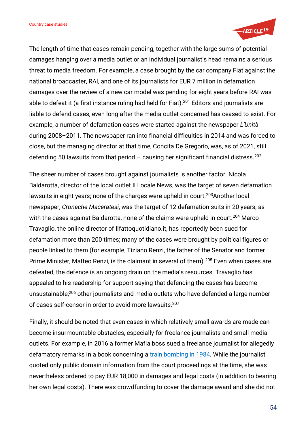

The length of time that cases remain pending, together with the large sums of potential damages hanging over a media outlet or an individual journalist's head remains a serious threat to media freedom. For example, a case brought by the car company Fiat against the national broadcaster, RAI, and one of its journalists for EUR 7 million in defamation damages over the review of a new car model was pending for eight years before RAI was able to defeat it (a first instance ruling had held for Fiat).<sup>201</sup> Editors and journalists are liable to defend cases, even long after the media outlet concerned has ceased to exist. For example, a number of defamation cases were started against the newspaper *L'Unit*à during 2008–2011. The newspaper ran into financial difficulties in 2014 and was forced to close, but the managing director at that time, Concita De Gregorio, was, as of 2021, still defending 50 lawsuits from that period  $-$  causing her significant financial distress.<sup>202</sup>

The sheer number of cases brought against journalists is another factor. Nicola Baldarotta, director of the local outlet Il Locale News, was the target of seven defamation lawsuits in eight years; none of the charges were upheld in court.<sup>203</sup>Another local newspaper, *Cronache Maceratesi*, was the target of 12 defamation suits in 20 years; as with the cases against Baldarotta, none of the claims were upheld in court.<sup>204</sup> Marco Travaglio, the online director of Ilfattoquotidiano.it, has reportedly been sued for defamation more than 200 times; many of the cases were brought by political figures or people linked to them (for example, Tiziano Renzi, the father of the Senator and former Prime Minister, Matteo Renzi, is the claimant in several of them).<sup>205</sup> Even when cases are defeated, the defence is an ongoing drain on the media's resources. Travaglio has appealed to his readership for support saying that defending the cases has become unsustainable;<sup>206</sup> other journalists and media outlets who have defended a large number of cases self-censor in order to avoid more lawsuits.<sup>207</sup>

Finally, it should be noted that even cases in which relatively small awards are made can become insurmountable obstacles, especially for freelance journalists and small media outlets. For example, in 2016 a former Mafia boss sued a freelance journalist for allegedly defamatory remarks in a book concerning a [train bombing in 1984.](https://en.wikipedia.org/wiki/Train_904_bombing) While the journalist quoted only public domain information from the court proceedings at the time, she was nevertheless ordered to pay EUR 18,000 in damages and legal costs (in addition to bearing her own legal costs). There was crowdfunding to cover the damage award and she did not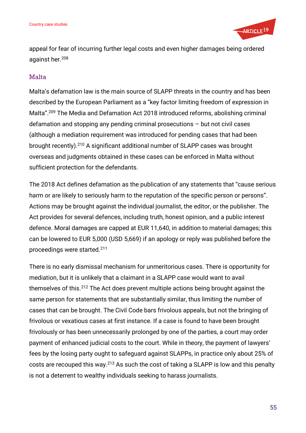

appeal for fear of incurring further legal costs and even higher damages being ordered against her.<sup>208</sup>

## Malta

Malta's defamation law is the main source of SLAPP threats in the country and has been described by the European Parliament as a "key factor limiting freedom of expression in Malta". <sup>209</sup> The Media and Defamation Act 2018 introduced reforms, abolishing criminal defamation and stopping any pending criminal prosecutions – but not civil cases (although a mediation requirement was introduced for pending cases that had been brought recently).<sup>210</sup> A significant additional number of SLAPP cases was brought overseas and judgments obtained in these cases can be enforced in Malta without sufficient protection for the defendants.

The 2018 Act defines defamation as the publication of any statements that "cause serious harm or are likely to seriously harm to the reputation of the specific person or persons". Actions may be brought against the individual journalist, the editor, or the publisher. The Act provides for several defences, including truth, honest opinion, and a public interest defence. Moral damages are capped at EUR 11,640, in addition to material damages; this can be lowered to EUR 5,000 (USD 5,669) if an apology or reply was published before the proceedings were started.<sup>211</sup>

There is no early dismissal mechanism for unmeritorious cases. There is opportunity for mediation, but it is unlikely that a claimant in a SLAPP case would want to avail themselves of this.<sup>212</sup> The Act does prevent multiple actions being brought against the same person for statements that are substantially similar, thus limiting the number of cases that can be brought. The Civil Code bars frivolous appeals, but not the bringing of frivolous or vexatious cases at first instance. If a case is found to have been brought frivolously or has been unnecessarily prolonged by one of the parties, a court may order payment of enhanced judicial costs to the court. While in theory, the payment of lawyers' fees by the losing party ought to safeguard against SLAPPs, in practice only about 25% of costs are recouped this way.<sup>213</sup> As such the cost of taking a SLAPP is low and this penalty is not a deterrent to wealthy individuals seeking to harass journalists.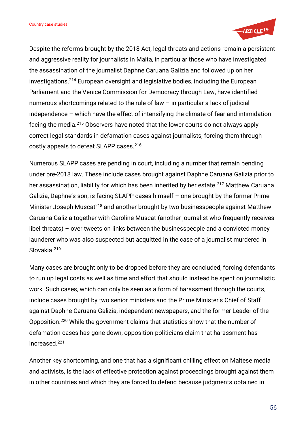

Despite the reforms brought by the 2018 Act, legal threats and actions remain a persistent and aggressive reality for journalists in Malta, in particular those who have investigated the assassination of the journalist Daphne Caruana Galizia and followed up on her investigations.<sup>214</sup> European oversight and legislative bodies, including the European Parliament and the Venice Commission for Democracy through Law, have identified numerous shortcomings related to the rule of law – in particular a lack of judicial independence – which have the effect of intensifying the climate of fear and intimidation facing the media.<sup>215</sup> Observers have noted that the lower courts do not always apply correct legal standards in defamation cases against journalists, forcing them through costly appeals to defeat SLAPP cases.<sup>216</sup>

Numerous SLAPP cases are pending in court, including a number that remain pending under pre-2018 law. These include cases brought against Daphne Caruana Galizia prior to her assassination, liability for which has been inherited by her estate.<sup>217</sup> Matthew Caruana Galizia, Daphne's son, is facing SLAPP cases himself – one brought by the former Prime Minister Joseph Muscat<sup>218</sup> and another brought by two businesspeople against Matthew Caruana Galizia together with Caroline Muscat (another journalist who frequently receives libel threats) – over tweets on links between the businesspeople and a convicted money launderer who was also suspected but acquitted in the case of a journalist murdered in Slovakia.<sup>219</sup>

Many cases are brought only to be dropped before they are concluded, forcing defendants to run up legal costs as well as time and effort that should instead be spent on journalistic work. Such cases, which can only be seen as a form of harassment through the courts, include cases brought by two senior ministers and the Prime Minister's Chief of Staff against Daphne Caruana Galizia, independent newspapers, and the former Leader of the Opposition.<sup>220</sup> While the government claims that statistics show that the number of defamation cases has gone down, opposition politicians claim that harassment has increased.<sup>221</sup>

Another key shortcoming, and one that has a significant chilling effect on Maltese media and activists, is the lack of effective protection against proceedings brought against them in other countries and which they are forced to defend because judgments obtained in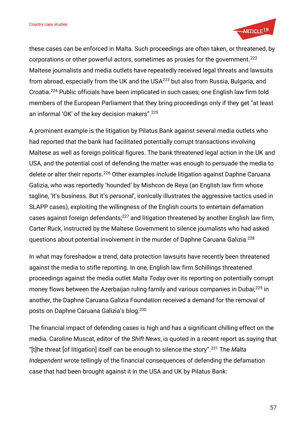

these cases can be enforced in Malta. Such proceedings are often taken, or threatened, by corporations or other powerful actors, sometimes as proxies for the government.<sup>222</sup> Maltese journalists and media outlets have repeatedly received legal threats and lawsuits from abroad, especially from the UK and the USA <sup>223</sup> but also from Russia, Bulgaria, and Croatia.<sup>224</sup> Public officials have been implicated in such cases; one English law firm told members of the European Parliament that they bring proceedings only if they get "at least an informal 'OK' of the key decision makers". 225

A prominent example is the litigation by Pilatus Bank against several media outlets who had reported that the bank had facilitated potentially corrupt transactions involving Maltese as well as foreign political figures. The bank threatened legal action in the UK and USA, and the potential cost of defending the matter was enough to persuade the media to delete or alter their reports.<sup>226</sup> Other examples include litigation against Daphne Caruana Galizia, who was reportedly 'hounded' by Mishcon de Reya (an English law firm whose tagline, 'It's business. But it's personal', ironically illustrates the aggressive tactics used in SLAPP cases), exploiting the willingness of the English courts to entertain defamation cases against foreign defendants;<sup>227</sup> and litigation threatened by another English law firm, Carter Ruck, instructed by the Maltese Government to silence journalists who had asked questions about potential involvement in the murder of Daphne Caruana Galizia.<sup>228</sup>

In what may foreshadow a trend, data protection lawsuits have recently been threatened against the media to stifle reporting. In one, English law firm Schillings threatened proceedings against the media outlet *Malta Today* over its reporting on potentially corrupt money flows between the Azerbaijan ruling family and various companies in Dubai;<sup>229</sup> in another, the Daphne Caruana Galizia Foundation received a demand for the removal of posts on Daphne Caruana Galizia's blog.<sup>230</sup>

The financial impact of defending cases is high and has a significant chilling effect on the media. Caroline Muscat, editor of the *Shift News*, is quoted in a recent report as saying that "[t]he threat [of litigation] itself can be enough to silence the story". <sup>231</sup> The *Malta Independent* wrote tellingly of the financial consequences of defending the defamation case that had been brought against it in the USA and UK by Pilatus Bank: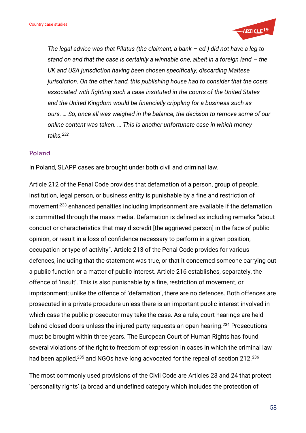

*The legal advice was that Pilatus (the claimant, a bank – ed.) did not have a leg to stand on and that the case is certainly a winnable one, albeit in a foreign land – the UK and USA jurisdiction having been chosen specifically, discarding Maltese jurisdiction. On the other hand, this publishing house had to consider that the costs associated with fighting such a case instituted in the courts of the United States and the United Kingdom would be financially crippling for a business such as ours. … So, once all was weighed in the balance, the decision to remove some of our online content was taken. … This is another unfortunate case in which money talks.<sup>232</sup>*

#### Poland

In Poland, SLAPP cases are brought under both civil and criminal law.

Article 212 of the Penal Code provides that defamation of a person, group of people, institution, legal person, or business entity is punishable by a fine and restriction of movement;<sup>233</sup> enhanced penalties including imprisonment are available if the defamation is committed through the mass media. Defamation is defined as including remarks "about conduct or characteristics that may discredit [the aggrieved person] in the face of public opinion, or result in a loss of confidence necessary to perform in a given position, occupation or type of activity". Article 213 of the Penal Code provides for various defences, including that the statement was true, or that it concerned someone carrying out a public function or a matter of public interest. Article 216 establishes, separately, the offence of 'insult'. This is also punishable by a fine, restriction of movement, or imprisonment; unlike the offence of 'defamation', there are no defences. Both offences are prosecuted in a private procedure unless there is an important public interest involved in which case the public prosecutor may take the case. As a rule, court hearings are held behind closed doors unless the injured party requests an open hearing.<sup>234</sup> Prosecutions must be brought within three years. The European Court of Human Rights has found several violations of the right to freedom of expression in cases in which the criminal law had been applied,<sup>235</sup> and NGOs have long advocated for the repeal of section 212.<sup>236</sup>

The most commonly used provisions of the Civil Code are Articles 23 and 24 that protect 'personality rights' (a broad and undefined category which includes the protection of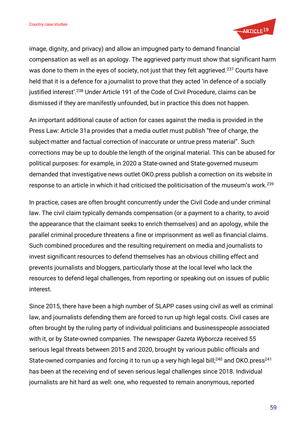

image, dignity, and privacy) and allow an impugned party to demand financial compensation as well as an apology. The aggrieved party must show that significant harm was done to them in the eyes of society, not just that they felt aggrieved.<sup>237</sup> Courts have held that it is a defence for a journalist to prove that they acted 'in defence of a socially justified interest'. <sup>238</sup> Under Article 191 of the Code of Civil Procedure, claims can be dismissed if they are manifestly unfounded, but in practice this does not happen.

An important additional cause of action for cases against the media is provided in the Press Law: Article 31a provides that a media outlet must publish "free of charge, the subject-matter and factual correction of inaccurate or untrue press material". Such corrections may be up to double the length of the original material. This can be abused for political purposes: for example, in 2020 a State-owned and State-governed museum demanded that investigative news outlet OKO.press publish a correction on its website in response to an article in which it had criticised the politicisation of the museum's work.<sup>239</sup>

In practice, cases are often brought concurrently under the Civil Code and under criminal law. The civil claim typically demands compensation (or a payment to a charity, to avoid the appearance that the claimant seeks to enrich themselves) and an apology, while the parallel criminal procedure threatens a fine or imprisonment as well as financial claims. Such combined procedures and the resulting requirement on media and journalists to invest significant resources to defend themselves has an obvious chilling effect and prevents journalists and bloggers, particularly those at the local level who lack the resources to defend legal challenges, from reporting or speaking out on issues of public interest.

Since 2015, there have been a high number of SLAPP cases using civil as well as criminal law, and journalists defending them are forced to run up high legal costs. Civil cases are often brought by the ruling party of individual politicians and businesspeople associated with it, or by State-owned companies. The newspaper *Gazeta Wyborcza* received 55 serious legal threats between 2015 and 2020, brought by various public officials and State-owned companies and forcing it to run up a very high legal bill;<sup>240</sup> and OKO.press<sup>241</sup> has been at the receiving end of seven serious legal challenges since 2018. Individual journalists are hit hard as well: one, who requested to remain anonymous, reported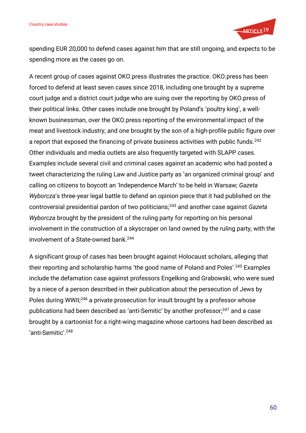

spending EUR 20,000 to defend cases against him that are still ongoing, and expects to be spending more as the cases go on.

A recent group of cases against OKO.press illustrates the practice. OKO.press has been forced to defend at least seven cases since 2018, including one brought by a supreme court judge and a district court judge who are suing over the reporting by OKO.press of their political links. Other cases include one brought by Poland's 'poultry king', a wellknown businessman, over the OKO.press reporting of the environmental impact of the meat and livestock industry; and one brought by the son of a high-profile public figure over a report that exposed the financing of private business activities with public funds.<sup>242</sup> Other individuals and media outlets are also frequently targeted with SLAPP cases. Examples include several civil and criminal cases against an academic who had posted a tweet characterizing the ruling Law and Justice party as 'an organized criminal group' and calling on citizens to boycott an 'Independence March' to be held in Warsaw; *Gazeta Wyborcza*'s three-year legal battle to defend an opinion piece that it had published on the controversial presidential pardon of two politicians;<sup>243</sup> and another case against *Gazeta Wyborcza* brought by the president of the ruling party for reporting on his personal involvement in the construction of a skyscraper on land owned by the ruling party, with the involvement of a State-owned bank.<sup>244</sup>

A significant group of cases has been brought against Holocaust scholars, alleging that their reporting and scholarship harms 'the good name of Poland and Poles'. <sup>245</sup> Examples include the defamation case against professors Engelking and Grabowski, who were sued by a niece of a person described in their publication about the persecution of Jews by Poles during WWII;<sup>246</sup> a private prosecution for insult brought by a professor whose publications had been described as 'anti-Semitic' by another professor;<sup>247</sup> and a case brought by a cartoonist for a right-wing magazine whose cartoons had been described as 'anti-Semitic'. 248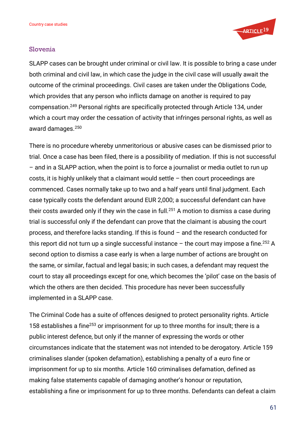

#### Slovenia

SLAPP cases can be brought under criminal or civil law. It is possible to bring a case under both criminal and civil law, in which case the judge in the civil case will usually await the outcome of the criminal proceedings. Civil cases are taken under the Obligations Code, which provides that any person who inflicts damage on another is required to pay compensation.<sup>249</sup> Personal rights are specifically protected through Article 134, under which a court may order the cessation of activity that infringes personal rights, as well as award damages.<sup>250</sup>

There is no procedure whereby unmeritorious or abusive cases can be dismissed prior to trial. Once a case has been filed, there is a possibility of mediation. If this is not successful – and in a SLAPP action, when the point is to force a journalist or media outlet to run up costs, it is highly unlikely that a claimant would settle – then court proceedings are commenced. Cases normally take up to two and a half years until final judgment. Each case typically costs the defendant around EUR 2,000; a successful defendant can have their costs awarded only if they win the case in full.<sup>251</sup> A motion to dismiss a case during trial is successful only if the defendant can prove that the claimant is abusing the court process, and therefore lacks standing. If this is found – and the research conducted for this report did not turn up a single successful instance  $-$  the court may impose a fine.<sup>252</sup> A second option to dismiss a case early is when a large number of actions are brought on the same, or similar, factual and legal basis; in such cases, a defendant may request the court to stay all proceedings except for one, which becomes the 'pilot' case on the basis of which the others are then decided. This procedure has never been successfully implemented in a SLAPP case.

The Criminal Code has a suite of offences designed to protect personality rights. Article 158 establishes a fine<sup>253</sup> or imprisonment for up to three months for insult; there is a public interest defence, but only if the manner of expressing the words or other circumstances indicate that the statement was not intended to be derogatory. Article 159 criminalises slander (spoken defamation), establishing a penalty of a euro fine or imprisonment for up to six months. Article 160 criminalises defamation, defined as making false statements capable of damaging another's honour or reputation, establishing a fine or imprisonment for up to three months. Defendants can defeat a claim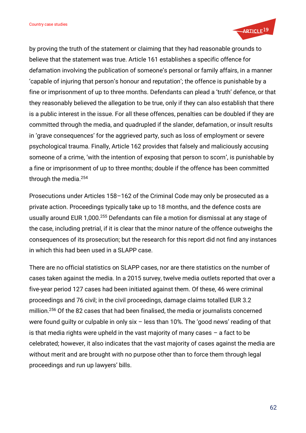

by proving the truth of the statement or claiming that they had reasonable grounds to believe that the statement was true. Article 161 establishes a specific offence for defamation involving the publication of someone's personal or family affairs, in a manner 'capable of injuring that person's honour and reputation'; the offence is punishable by a fine or imprisonment of up to three months. Defendants can plead a 'truth' defence, or that they reasonably believed the allegation to be true, only if they can also establish that there is a public interest in the issue. For all these offences, penalties can be doubled if they are committed through the media, and quadrupled if the slander, defamation, or insult results in 'grave consequences' for the aggrieved party, such as loss of employment or severe psychological trauma. Finally, Article 162 provides that falsely and maliciously accusing someone of a crime, 'with the intention of exposing that person to scorn', is punishable by a fine or imprisonment of up to three months; double if the offence has been committed through the media.<sup>254</sup>

Prosecutions under Articles 158–162 of the Criminal Code may only be prosecuted as a private action. Proceedings typically take up to 18 months, and the defence costs are usually around EUR 1,000. <sup>255</sup> Defendants can file a motion for dismissal at any stage of the case, including pretrial, if it is clear that the minor nature of the offence outweighs the consequences of its prosecution; but the research for this report did not find any instances in which this had been used in a SLAPP case.

There are no official statistics on SLAPP cases, nor are there statistics on the number of cases taken against the media. In a 2015 survey, twelve media outlets reported that over a five-year period 127 cases had been initiated against them. Of these, 46 were criminal proceedings and 76 civil; in the civil proceedings, damage claims totalled EUR 3.2 million. <sup>256</sup> Of the 82 cases that had been finalised, the media or journalists concerned were found guilty or culpable in only six – less than 10%. The 'good news' reading of that is that media rights were upheld in the vast majority of many cases  $-$  a fact to be celebrated; however, it also indicates that the vast majority of cases against the media are without merit and are brought with no purpose other than to force them through legal proceedings and run up lawyers' bills.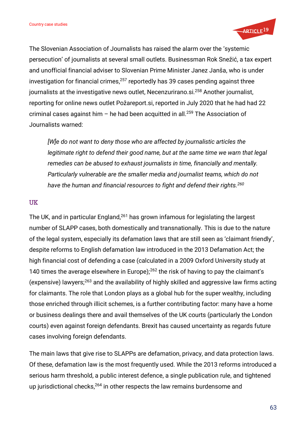

The Slovenian Association of Journalists has raised the alarm over the 'systemic persecution' of journalists at several small outlets. Businessman Rok Snežić, a tax expert and unofficial financial adviser to Slovenian Prime Minister Janez Janša, who is under investigation for financial crimes, <sup>257</sup> reportedly has 39 cases pending against three journalists at the investigative news outlet, Necenzurirano.si.<sup>258</sup> Another journalist, reporting for online news outlet Požareport.si, reported in July 2020 that he had had 22 criminal cases against him – he had been acquitted in all.<sup>259</sup> The Association of Journalists warned:

*[W]e do not want to deny those who are affected by journalistic articles the legitimate right to defend their good name, but at the same time we warn that legal remedies can be abused to exhaust journalists in time, financially and mentally. Particularly vulnerable are the smaller media and journalist teams, which do not have the human and financial resources to fight and defend their rights.<sup>260</sup>*

#### UK

The UK, and in particular England,<sup>261</sup> has grown infamous for legislating the largest number of SLAPP cases, both domestically and transnationally. This is due to the nature of the legal system, especially its defamation laws that are still seen as 'claimant friendly', despite reforms to English defamation law introduced in the 2013 Defamation Act; the high financial cost of defending a case (calculated in a 2009 Oxford University study at 140 times the average elsewhere in Europe);<sup>262</sup> the risk of having to pay the claimant's (expensive) lawyers;<sup>263</sup> and the availability of highly skilled and aggressive law firms acting for claimants. The role that London plays as a global hub for the super wealthy, including those enriched through illicit schemes, is a further contributing factor: many have a home or business dealings there and avail themselves of the UK courts (particularly the London courts) even against foreign defendants. Brexit has caused uncertainty as regards future cases involving foreign defendants.

The main laws that give rise to SLAPPs are defamation, privacy, and data protection laws. Of these, defamation law is the most frequently used. While the 2013 reforms introduced a serious harm threshold, a public interest defence, a single publication rule, and tightened up jurisdictional checks, <sup>264</sup> in other respects the law remains burdensome and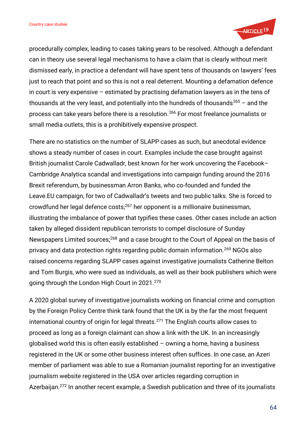

procedurally complex, leading to cases taking years to be resolved. Although a defendant can in theory use several legal mechanisms to have a claim that is clearly without merit dismissed early, in practice a defendant will have spent tens of thousands on lawyers' fees just to reach that point and so this is not a real deterrent. Mounting a defamation defence in court is very expensive – estimated by practising defamation lawyers as in the tens of thousands at the very least, and potentially into the hundreds of thousands<sup>265</sup> – and the process can take years before there is a resolution.<sup>266</sup> For most freelance journalists or small media outlets, this is a prohibitively expensive prospect.

There are no statistics on the number of SLAPP cases as such, but anecdotal evidence shows a steady number of cases in court. Examples include the case brought against British journalist Carole Cadwalladr, best known for her work uncovering the Facebook– Cambridge Analytica scandal and investigations into campaign funding around the 2016 Brexit referendum, by businessman Arron Banks, who co-founded and funded the Leave.EU campaign, for two of Cadwalladr's tweets and two public talks. She is forced to crowdfund her legal defence costs;<sup>267</sup> her opponent is a millionaire businessman, illustrating the imbalance of power that typifies these cases. Other cases include an action taken by alleged dissident republican terrorists to compel disclosure of Sunday Newspapers Limited sources;<sup>268</sup> and a case brought to the Court of Appeal on the basis of privacy and data protection rights regarding public domain information.<sup>269</sup> NGOs also raised concerns regarding SLAPP cases against investigative journalists Catherine Belton and Tom Burgis, who were sued as individuals, as well as their book publishers which were going through the London High Court in 2021.<sup>270</sup>

A 2020 global survey of investigative journalists working on financial crime and corruption by the Foreign Policy Centre think tank found that the UK is by the far the most frequent international country of origin for legal threats. $271$  The English courts allow cases to proceed as long as a foreign claimant can show a link with the UK. In an increasingly globalised world this is often easily established – owning a home, having a business registered in the UK or some other business interest often suffices. In one case, an Azeri member of parliament was able to sue a Romanian journalist reporting for an investigative journalism website registered in the USA over articles regarding corruption in Azerbaijan.<sup>272</sup> In another recent example, a Swedish publication and three of its journalists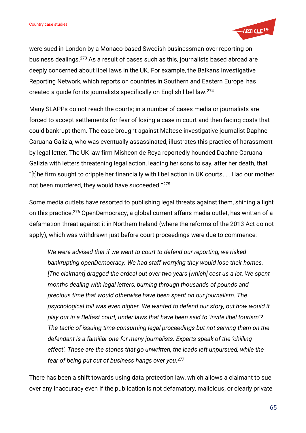

were sued in London by a Monaco-based Swedish businessman over reporting on business dealings.<sup>273</sup> As a result of cases such as this, journalists based abroad are deeply concerned about libel laws in the UK. For example, the Balkans Investigative Reporting Network, which reports on countries in Southern and Eastern Europe, has created a guide for its journalists specifically on English libel law.<sup>274</sup>

Many SLAPPs do not reach the courts; in a number of cases media or journalists are forced to accept settlements for fear of losing a case in court and then facing costs that could bankrupt them. The case brought against Maltese investigative journalist Daphne Caruana Galizia, who was eventually assassinated, illustrates this practice of harassment by legal letter. The UK law firm Mishcon de Reya reportedly hounded Daphne Caruana Galizia with letters threatening legal action, leading her sons to say, after her death, that "[t]he firm sought to cripple her financially with libel action in UK courts. … Had our mother not been murdered, they would have succeeded."<sup>275</sup>

Some media outlets have resorted to publishing legal threats against them, shining a light on this practice.<sup>276</sup> OpenDemocracy, a global current affairs media outlet, has written of a defamation threat against it in Northern Ireland (where the reforms of the 2013 Act do not apply), which was withdrawn just before court proceedings were due to commence:

*We were advised that if we went to court to defend our reporting, we risked bankrupting openDemocracy. We had staff worrying they would lose their homes. [The claimant] dragged the ordeal out over two years [which] cost us a lot. We spent months dealing with legal letters, burning through thousands of pounds and precious time that would otherwise have been spent on our journalism. The psychological toll was even higher. We wanted to defend our story, but how would it play out in a Belfast court, under laws that have been said to 'invite libel tourism'? The tactic of issuing time-consuming legal proceedings but not serving them on the defendant is a familiar one for many journalists. Experts speak of the 'chilling effect'. These are the stories that go unwritten, the leads left unpursued, while the fear of being put out of business hangs over you.<sup>277</sup>*

There has been a shift towards using data protection law, which allows a claimant to sue over any inaccuracy even if the publication is not defamatory, malicious, or clearly private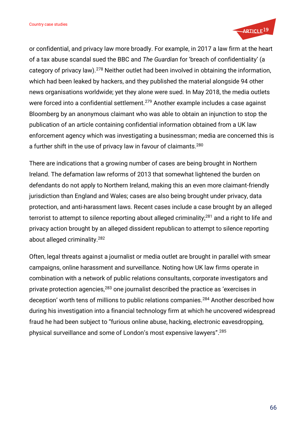

or confidential, and privacy law more broadly. For example, in 2017 a law firm at the heart of a tax abuse scandal sued the BBC and *The Guardian* for 'breach of confidentiality' (a category of privacy law).<sup>278</sup> Neither outlet had been involved in obtaining the information, which had been leaked by hackers, and they published the material alongside 94 other news organisations worldwide; yet they alone were sued. In May 2018, the media outlets were forced into a confidential settlement.<sup>279</sup> Another example includes a case against Bloomberg by an anonymous claimant who was able to obtain an injunction to stop the publication of an article containing confidential information obtained from a UK law enforcement agency which was investigating a businessman; media are concerned this is a further shift in the use of privacy law in favour of claimants.<sup>280</sup>

There are indications that a growing number of cases are being brought in Northern Ireland. The defamation law reforms of 2013 that somewhat lightened the burden on defendants do not apply to Northern Ireland, making this an even more claimant-friendly jurisdiction than England and Wales; cases are also being brought under privacy, data protection, and anti-harassment laws. Recent cases include a case brought by an alleged terrorist to attempt to silence reporting about alleged criminality;<sup>281</sup> and a right to life and privacy action brought by an alleged dissident republican to attempt to silence reporting about alleged criminality.<sup>282</sup>

Often, legal threats against a journalist or media outlet are brought in parallel with smear campaigns, online harassment and surveillance. Noting how UK law firms operate in combination with a network of public relations consultants, corporate investigators and private protection agencies,<sup>283</sup> one journalist described the practice as 'exercises in deception' worth tens of millions to public relations companies.<sup>284</sup> Another described how during his investigation into a financial technology firm at which he uncovered widespread fraud he had been subject to "furious online abuse, hacking, electronic eavesdropping, physical surveillance and some of London's most expensive lawyers". 285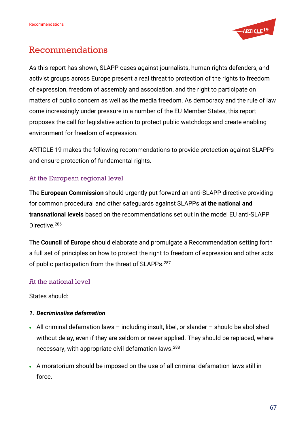

# Recommendations

As this report has shown, SLAPP cases against journalists, human rights defenders, and activist groups across Europe present a real threat to protection of the rights to freedom of expression, freedom of assembly and association, and the right to participate on matters of public concern as well as the media freedom. As democracy and the rule of law come increasingly under pressure in a number of the EU Member States, this report proposes the call for legislative action to protect public watchdogs and create enabling environment for freedom of expression.

ARTICLE 19 makes the following recommendations to provide protection against SLAPPs and ensure protection of fundamental rights.

## At the European regional level

The **European Commission** should urgently put forward an anti-SLAPP directive providing for common procedural and other safeguards against SLAPPs **at the national and transnational levels** based on the recommendations set out in the model EU anti-SLAPP Directive.<sup>286</sup>

The **Council of Europe** should elaborate and promulgate a Recommendation setting forth a full set of principles on how to protect the right to freedom of expression and other acts of public participation from the threat of SLAPPs.<sup>287</sup>

## At the national level

States should:

## *1. Decriminalise defamation*

- All criminal defamation laws including insult, libel, or slander should be abolished without delay, even if they are seldom or never applied. They should be replaced, where necessary, with appropriate civil defamation laws.<sup>288</sup>
- A moratorium should be imposed on the use of all criminal defamation laws still in force.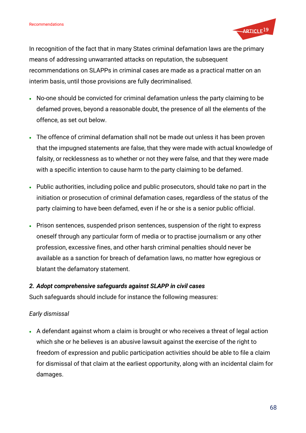

In recognition of the fact that in many States criminal defamation laws are the primary means of addressing unwarranted attacks on reputation, the subsequent recommendations on SLAPPs in criminal cases are made as a practical matter on an interim basis, until those provisions are fully decriminalised.

- No-one should be convicted for criminal defamation unless the party claiming to be defamed proves, beyond a reasonable doubt, the presence of all the elements of the offence, as set out below.
- The offence of criminal defamation shall not be made out unless it has been proven that the impugned statements are false, that they were made with actual knowledge of falsity, or recklessness as to whether or not they were false, and that they were made with a specific intention to cause harm to the party claiming to be defamed.
- Public authorities, including police and public prosecutors, should take no part in the initiation or prosecution of criminal defamation cases, regardless of the status of the party claiming to have been defamed, even if he or she is a senior public official.
- Prison sentences, suspended prison sentences, suspension of the right to express oneself through any particular form of media or to practise journalism or any other profession, excessive fines, and other harsh criminal penalties should never be available as a sanction for breach of defamation laws, no matter how egregious or blatant the defamatory statement.

## *2. Adopt comprehensive safeguards against SLAPP in civil cases*

Such safeguards should include for instance the following measures:

## *Early dismissal*

• A defendant against whom a claim is brought or who receives a threat of legal action which she or he believes is an abusive lawsuit against the exercise of the right to freedom of expression and public participation activities should be able to file a claim for dismissal of that claim at the earliest opportunity, along with an incidental claim for damages.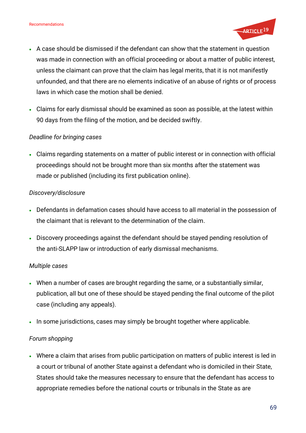

- A case should be dismissed if the defendant can show that the statement in question was made in connection with an official proceeding or about a matter of public interest, unless the claimant can prove that the claim has legal merits, that it is not manifestly unfounded, and that there are no elements indicative of an abuse of rights or of process laws in which case the motion shall be denied.
- Claims for early dismissal should be examined as soon as possible, at the latest within 90 days from the filing of the motion, and be decided swiftly.

## *Deadline for bringing cases*

• Claims regarding statements on a matter of public interest or in connection with official proceedings should not be brought more than six months after the statement was made or published (including its first publication online).

## *Discovery/disclosure*

- Defendants in defamation cases should have access to all material in the possession of the claimant that is relevant to the determination of the claim.
- Discovery proceedings against the defendant should be stayed pending resolution of the anti-SLAPP law or introduction of early dismissal mechanisms.

## *Multiple cases*

- When a number of cases are brought regarding the same, or a substantially similar, publication, all but one of these should be stayed pending the final outcome of the pilot case (including any appeals).
- In some jurisdictions, cases may simply be brought together where applicable.

## *Forum shopping*

• Where a claim that arises from public participation on matters of public interest is led in a court or tribunal of another State against a defendant who is domiciled in their State, States should take the measures necessary to ensure that the defendant has access to appropriate remedies before the national courts or tribunals in the State as are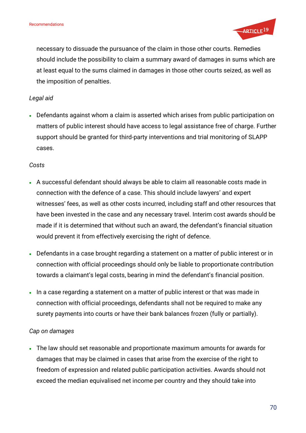

necessary to dissuade the pursuance of the claim in those other courts. Remedies should include the possibility to claim a summary award of damages in sums which are at least equal to the sums claimed in damages in those other courts seized, as well as the imposition of penalties.

### *Legal aid*

• Defendants against whom a claim is asserted which arises from public participation on matters of public interest should have access to legal assistance free of charge. Further support should be granted for third-party interventions and trial monitoring of SLAPP cases.

#### *Costs*

- A successful defendant should always be able to claim all reasonable costs made in connection with the defence of a case. This should include lawyers' and expert witnesses' fees, as well as other costs incurred, including staff and other resources that have been invested in the case and any necessary travel. Interim cost awards should be made if it is determined that without such an award, the defendant's financial situation would prevent it from effectively exercising the right of defence.
- Defendants in a case brought regarding a statement on a matter of public interest or in connection with official proceedings should only be liable to proportionate contribution towards a claimant's legal costs, bearing in mind the defendant's financial position.
- In a case regarding a statement on a matter of public interest or that was made in connection with official proceedings, defendants shall not be required to make any surety payments into courts or have their bank balances frozen (fully or partially).

## *Cap on damages*

• The law should set reasonable and proportionate maximum amounts for awards for damages that may be claimed in cases that arise from the exercise of the right to freedom of expression and related public participation activities. Awards should not exceed the median equivalised net income per country and they should take into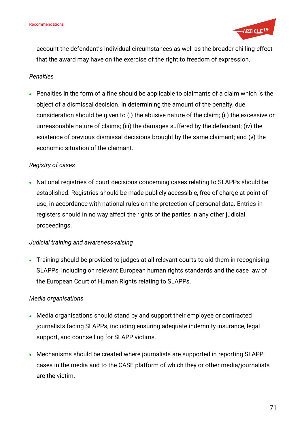

account the defendant's individual circumstances as well as the broader chilling effect that the award may have on the exercise of the right to freedom of expression.

#### *Penalties*

• Penalties in the form of a fine should be applicable to claimants of a claim which is the object of a dismissal decision. In determining the amount of the penalty, due consideration should be given to (i) the abusive nature of the claim; (ii) the excessive or unreasonable nature of claims; (iii) the damages suffered by the defendant; (iv) the existence of previous dismissal decisions brought by the same claimant; and (v) the economic situation of the claimant.

## *Registry of cases*

• National registries of court decisions concerning cases relating to SLAPPs should be established. Registries should be made publicly accessible, free of charge at point of use, in accordance with national rules on the protection of personal data. Entries in registers should in no way affect the rights of the parties in any other judicial proceedings.

## *Judicial training and awareness-raising*

• Training should be provided to judges at all relevant courts to aid them in recognising SLAPPs, including on relevant European human rights standards and the case law of the European Court of Human Rights relating to SLAPPs.

## *Media organisations*

- Media organisations should stand by and support their employee or contracted journalists facing SLAPPs, including ensuring adequate indemnity insurance, legal support, and counselling for SLAPP victims.
- Mechanisms should be created where journalists are supported in reporting SLAPP cases in the media and to the CASE platform of which they or other media/journalists are the victim.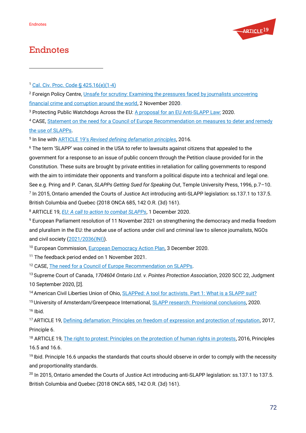

# <span id="page-70-0"></span>Endnotes

<sup>4</sup> CASE, [Statement on the need for a Council of Europe Recommendation on measures to deter and remedy](https://www.the-case.eu/statement-on-the-need-for-a-council-of-europe-recommendation-on-combatting-slapps)  [the use of SLAPPs.](https://www.the-case.eu/statement-on-the-need-for-a-council-of-europe-recommendation-on-combatting-slapps)

5 In line with ARTICLE 19's *Revised defining [defamation principles](https://www.article19.org/data/files/medialibrary/38362/Defamation-Principles-Background-paper.pdf)*, 2016.

<sup>6</sup> The term 'SLAPP' was coined in the USA to refer to lawsuits against citizens that appealed to the government for a response to an issue of public concern through the Petition clause provided for in the Constitution. These suits are brought by private entities in retaliation for calling governments to respond with the aim to intimidate their opponents and transform a political dispute into a technical and legal one. See e.g. Pring and P. Canan, *SLAPPs Getting Sued for Speaking Out*, Temple University Press, 1996, p.7–10. 7 In 2015, Ontario amended the Courts of Justice Act introducing anti-SLAPP legislation: ss.137.1 to 137.5. British Columbia and Quebec (2018 ONCA 685, 142 O.R. (3d) 161).

<sup>8</sup> ARTICLE 19, *[EU: A call to action to combat SLAPPs](https://www.article19.org/resources/eu-a-call-for-action-to-combat-slapps/)*, 1 December 2020.

<sup>9</sup> European Parliament resolution of 11 November 2021 on strengthening the democracy and media freedom and pluralism in the EU: the undue use of actions under civil and criminal law to silence journalists, NGOs and civil society [\(2021/2036\(INI\)\)](https://oeil.secure.europarl.europa.eu/oeil/popups/ficheprocedure.do?lang=en&reference=2021/2036(INI)).

<sup>10</sup> European Commission, [European Democracy Action Plan,](https://ec.europa.eu/commission/presscorner/detail/en/ip_20_2250) 3 December 2020.

<sup>11</sup> The feedback period ended on 1 November 2021.

<sup>12</sup> CASE[, The need for a Council of Europe Recommendation on SLAPPs.](https://www.the-case.eu/campaign-list/the-need-for-a-council-of-europe-recommendation-on-slapps)

<sup>13</sup> Supreme Court of Canada, *1704604 Ontario Ltd. v. Pointes Protection Association*, 2020 SCC 22, Judgment 10 September 2020, [2].

14 American Civil Liberties Union of Ohio[, SLAPPed: A tool for activists. Part 1:](https://www.acluohio.org/sites/default/files/WhatIsSLAPP.pdf) What is a SLAPP suit?

<sup>15</sup> University of Amsterdam/Greenpeace International, **SLAPP research: Provisional conclusions**, 2020.  $16$  Ibid.

<sup>17</sup> ARTICLE 19[, Defining defamation: Principles on freedom of expression and protection of reputation,](https://www.article19.org/data/files/medialibrary/38641/Defamation-Principles-(online)-.pdf) 2017, Principle 6.

<sup>18</sup> ARTICLE 19[, The right to protest: Principles on the protection of human rights in protests,](https://www.article19.org/data/files/medialibrary/38581/Right_to_protest_principles_final.pdf) 2016, Principles 16.5 and 16.6.

<sup>19</sup> Ibid. Principle 16.6 unpacks the standards that courts should observe in order to comply with the necessity and proportionality standards.

<sup>20</sup> In 2015, Ontario amended the Courts of Justice Act introducing anti-SLAPP legislation: ss.137.1 to 137.5. British Columbia and Quebec (2018 ONCA 685, 142 O.R. (3d) 161).

<sup>1</sup> [Cal. Civ. Proc. Code § 425.16\(e\)\(1-4\)](https://leginfo.legislature.ca.gov/faces/codes_displaySection.xhtml?lawCode=CCP§ionNum=425.16)

<sup>&</sup>lt;sup>2</sup> Foreign Policy Centre, *Unsafe for scrutiny: Examining the pressures faced by journalists uncovering* [financial crime and corruption around the world,](https://fpc.org.uk/publications/unsafe-for-scrutiny) 2 November 2020.

<sup>&</sup>lt;sup>3</sup> Protecting Public Watchdogs Across the EU[: A proposal for an EU Anti-SLAPP Law:](https://www.article19.org/wp-content/uploads/2020/12/Anti_SLAPP_Model_Directive-2-1.pdf) 2020.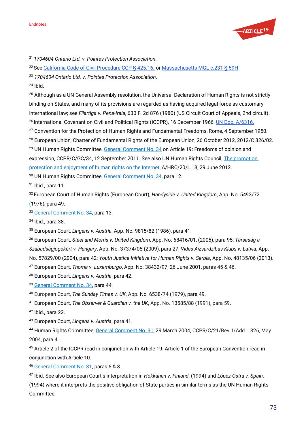

<sup>21</sup> *1704604 Ontario Ltd. v. Pointes Protection Association*.

<sup>22</sup> Se[e California Code of Civil Procedure CCP § 425.16.](https://leginfo.legislature.ca.gov/faces/codes_displayText.xhtml?lawCode=CCP&division=&title=6.&part=2.&chapter=2.&article=1.) o[r Massachusetts MGL c.231 § 59H](https://www.mass.gov/info-details/massachusetts-law-about-anti-slapp#massachusetts-law-)

<sup>23</sup> *1704604 Ontario Ltd. v. Pointes Protection Association*.

 $24$  Ibid.

<sup>25</sup> Although as a UN General Assembly resolution, the Universal Declaration of Human Rights is not strictly binding on States, and many of its provisions are regarded as having acquired legal force as customary international law; see *Filartiga v. Pena-Irala*, 630 F. 2d 876 (1980) (US Circuit Court of Appeals, 2nd circuit). <sup>26</sup> International Covenant on Civil and Political Rights (ICCPR), 16 December 1966, *UN Doc. A/6316*.

<sup>27</sup> Convention for the Protection of Human Rights and Fundamental Freedoms, Rome, 4 September 1950.

<sup>28</sup> European Union, Charter of Fundamental Rights of the European Union, 26 October 2012, 2012/C 326/02.

<sup>29</sup> UN Human Rights Committee, [General Comment No. 34](https://bit.ly/1xmySgV) on Article 19: Freedoms of opinion and

expression, CCPR/C/GC/34, 12 September 2011. See also UN Human Rights Council, [The promotion,](https://ap.ohchr.org/documents/E/HRC/d_res_dec/A_HRC_20_L13.doc) 

[protection and enjoyment of human rights on the Internet,](https://ap.ohchr.org/documents/E/HRC/d_res_dec/A_HRC_20_L13.doc) A/HRC/20/L.13, 29 June 2012.

<sup>30</sup> UN Human Rights Committee, [General Comment No. 34,](https://bit.ly/1xmySgV) para 12.

<sup>31</sup> Ibid., para 11.

<sup>32</sup> European Court of Human Rights (European Court), *Handyside v. United Kingdom*, App. No. 5493/72 (1976), para 49.

<sup>33</sup> [General Comment No. 34,](https://bit.ly/1xmySgV) para 13.

<sup>34</sup> Ibid., para 38.

<sup>35</sup> European Court, *Lingens v. Austria*, App. No. 9815/82 (1986), para 41.

<sup>36</sup> European Court, *Steel and Morris v. United Kingdom*, App. No. 68416/01, (2005), para 95; *Társaság a Szabadságjogokért v. Hungary*, App. No. 37374/05 (2009), para 27; *Vides Aizsardzíbas Klubs v. Latvia*, App. No. 57829/00 (2004), para 42; *Youth Justice Initiative for Human Rights v. Serbia*, App. No. 48135/06 (2013).

<sup>37</sup> European Court, *Thoma v. Luxemburgo*, App. No. 38432/97, 26 June 2001, paras 45 & 46.

<sup>38</sup> European Court, *Lingens v. Austria*, para 42.

<sup>39</sup> [General Comment No. 34,](https://bit.ly/1xmySgV) para 44.

<sup>40</sup> European Court, *The Sunday Times v. UK*, App. No. 6538/74 (1979), para 49.

<sup>41</sup> European Court, *The Observer & Guardian v. the UK*, App. No. 13585/88 (1991), para 59.

<sup>42</sup> Ibid., para 22.

<sup>43</sup> European Court, *Lingens v. Austria*, para 41.

<sup>44</sup> Human Rights Committee, [General Comment No. 31,](http://docstore.ohchr.org/SelfServices/FilesHandler.ashx?enc=6QkG1d%2FPPRiCAqhKb7yhsjYoiCfMKoIRv2FVaVzRkMjTnjRO%2Bfud3cPVrcM9YR0iW6Txaxgp3f9kUFpWoq%2FhW%2FTpKi2tPhZsbEJw%2FGeZRASjdFuuJQRnbJEaUhby31WiQPl2mLFDe6ZSwMMvmQGVHA%3D%3D) 29 March 2004, CCPR/C/21/Rev.1/Add. 1326, May 2004, para 4.

<sup>45</sup> Article 2 of the ICCPR read in conjunction with Article 19. Article 1 of the European Convention read in conjunction with Article 10.

<sup>46</sup> [General Comment No. 31,](http://docstore.ohchr.org/SelfServices/FilesHandler.ashx?enc=6QkG1d%2FPPRiCAqhKb7yhsjYoiCfMKoIRv2FVaVzRkMjTnjRO%2Bfud3cPVrcM9YR0iW6Txaxgp3f9kUFpWoq%2FhW%2FTpKi2tPhZsbEJw%2FGeZRASjdFuuJQRnbJEaUhby31WiQPl2mLFDe6ZSwMMvmQGVHA%3D%3D) paras 6 & 8.

<sup>47</sup> Ibid. See also European Court's interpretation in *Hokkanen v. Finland*, (1994) and *López-Ostra v. Spain*,

(1994) where it interprets the positive obligation of State parties in similar terms as the UN Human Rights Committee.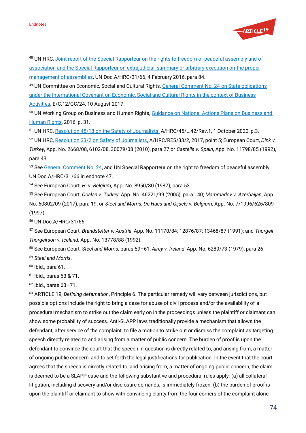

48 UN HRC, Joint report of the Special Rapporteur on the rights to freedom of peaceful assembly and of [association and the Special Rapporteur on extrajudicial, summary or arbitrary execution on](https://documents-dds-ny.un.org/doc/UNDOC/GEN/G16/018/13/PDF/G1601813.pdf?OpenElement) the proper [management of assemblies,](https://documents-dds-ny.un.org/doc/UNDOC/GEN/G16/018/13/PDF/G1601813.pdf?OpenElement) UN Doc.A/HRC/31/66, 4 February 2016, para 84.

<sup>49</sup> UN Committee on Economic, Social and Cultural Rights[, General Comment No. 24 on State obligations](https://docstore.ohchr.org/SelfServices/FilesHandler.ashx?enc=4slQ6QSmlBEDzFEovLCuW1a0Szab0oXTdImnsJZZVQcIMOuuG4TpS9jwIhCJcXiuZ1yrkMD%2FSj8YF%2BSXo4mYx7Y%2F3L3zvM2zSUbw6ujlnCawQrJx3hlK8Odka6DUwG3Y)  [under the International Covenant on Economic, Social and Cultural Rights in the context of Business](https://docstore.ohchr.org/SelfServices/FilesHandler.ashx?enc=4slQ6QSmlBEDzFEovLCuW1a0Szab0oXTdImnsJZZVQcIMOuuG4TpS9jwIhCJcXiuZ1yrkMD%2FSj8YF%2BSXo4mYx7Y%2F3L3zvM2zSUbw6ujlnCawQrJx3hlK8Odka6DUwG3Y)  [Activities,](https://docstore.ohchr.org/SelfServices/FilesHandler.ashx?enc=4slQ6QSmlBEDzFEovLCuW1a0Szab0oXTdImnsJZZVQcIMOuuG4TpS9jwIhCJcXiuZ1yrkMD%2FSj8YF%2BSXo4mYx7Y%2F3L3zvM2zSUbw6ujlnCawQrJx3hlK8Odka6DUwG3Y) E/C.12/GC/24, 10 August 2017.

50 UN Working Group on Business and Human Rights, Guidance on National Actions Plans on Business and [Human Rights,](https://www.ohchr.org/Documents/Issues/Business/UNWG_NAPGuidance.pdf) 2016, p. 31.

<sup>51</sup> UN HRC, [Resolution 45/18 on the Safety of Journalists,](http://undocs.org/en/A/HRC/45/L.42/Rev.1) A/HRC/45/L.42/Rev.1, 1 October 2020, p.3.

<sup>52</sup> UN HRC, [Resolution 33/2 on Safety of Journalists,](https://documents-dds-ny.un.org/doc/UNDOC/GEN/G16/226/24/PDF/G1622624.pdf?OpenElement) A/HRC/RES/33/2, 2017, point 5; European Court, *Dink v. Turkey*, App. No. 2668/08, 6102/08, 30079/08 (2010), para 27 or *Castells v. Spain*, App. No. 11798/85 (1992), para 43.

53 Se[e General Comment No. 24,](https://docstore.ohchr.org/SelfServices/FilesHandler.ashx?enc=4slQ6QSmlBEDzFEovLCuW1a0Szab0oXTdImnsJZZVQcIMOuuG4TpS9jwIhCJcXiuZ1yrkMD%2FSj8YF%2BSXo4mYx7Y%2F3L3zvM2zSUbw6ujlnCawQrJx3hlK8Odka6DUwG3Y) and UN Special Rapporteur on the right to freedom of peaceful assembly UN Doc.A/HRC/31/66 in endnote 47.

<sup>54</sup> See European Court, *H. v. Belgium*, App. No. 8950/80 (1987), para 53.

<sup>55</sup> See European Court, *Ocalan v. Turkey*, App. No. 46221/99 (2005), para 140; *Mammadov v. Azerbaijan*, App. No. 60802/09 (2017), para 19; or *Steel and Morris*, *De Haes and Gijsels v. Belgium*, App. No. 7/1996/626/809 (1997).

<sup>56</sup> UN Doc.A/HRC/31/66.

<sup>57</sup> See European Court, *Brandstetter v. Austria*, App. No. 11170/84; 12876/87; 13468/87 (1991); and *Thorgeir Thorgeirson v. Iceland,* App. No. 13778/88 (1992).

<sup>58</sup> See European Court, *Steel and Morris*, paras 59–61; *Airey v. Ireland*, App. No. 6289/73 (1979), para 26.

<sup>59</sup> *Steel and Morris*.

 $60$  Ibid., para 61.

<sup>61</sup> Ibid., paras 63 & 71.

 $62$  Ibid., paras  $63 - 71$ .

<sup>63</sup> ARTICLE 19, *Defining defamation*, Principle 6. The particular remedy will vary between jurisdictions, but possible options include the right to bring a case for abuse of civil process and/or the availability of a procedural mechanism to strike out the claim early on in the proceedings unless the plaintiff or claimant can show some probability of success. Anti-SLAPP laws traditionally provide a mechanism that allows the defendant, after service of the complaint, to file a motion to strike out or dismiss the complaint as targeting speech directly related to and arising from a matter of public concern. The burden of proof is upon the defendant to convince the court that the speech in question is directly related to, and arising from, a matter of ongoing public concern, and to set forth the legal justifications for publication. In the event that the court agrees that the speech is directly related to, and arising from, a matter of ongoing public concern, the claim is deemed to be a SLAPP case and the following substantive and procedural rules apply: (a) all collateral litigation, including discovery and/or disclosure demands, is immediately frozen; (b) the burden of proof is upon the plaintiff or claimant to show with convincing clarity from the four corners of the complaint alone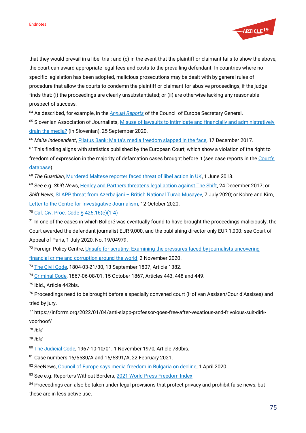

that they would prevail in a libel trial; and (c) in the event that the plaintiff or claimant fails to show the above, the court can award appropriate legal fees and costs to the prevailing defendant. In countries where no specific legislation has been adopted, malicious prosecutions may be dealt with by general rules of procedure that allow the courts to condemn the plaintiff or claimant for abusive proceedings, if the judge finds that: (i) the proceedings are clearly unsubstantiated; or (ii) are otherwise lacking any reasonable prospect of success.

<sup>64</sup> As described, for example, in the *[Annual Reports](https://www.coe.int/en/web/secretary-general/reports)* of the Council of Europe Secretary General.

65 Slovenian Association of Journalists, Misuse of lawsuits to intimidate and financially and administratively [drain the media?](https://novinar.com/novica/zloraba-tozb-za-zastrasevanje-ter-financno-in-administrativno-izcrpavanje-medijev/) (in Slovenian), 25 September 2020.

<sup>66</sup> *Malta Independent*, Pilatus Bank: Malta's [media freedom slapped in the face,](https://www.independent.com.mt/articles/2017-12-17/newspaper-leader/TMIS-Editorial-Pilatus-Bank-Malta-s-media-freedom-SLAPPed-in-the-face-6736182724) 17 December 2017.

<sup>67</sup> This finding aligns with statistics published by the European Court, which show a violation of the right to freedom of expression in the majority of defamation cases brought before it (see case reports in the Court's [database\)](https://hudoc.echr.coe.int/eng#{%22documentcollectionid2%22:[%22GRANDCHAMBER%22,%22CHAMBER%22]}).

<sup>68</sup> The Guardian[, Murdered Maltese reporter faced threat of libel action in UK,](https://www.theguardian.com/world/2018/jun/01/murdered-maltese-reporter-faced-threat-of-libel-action-in-uk) 1 June 2018.

<sup>69</sup> See e.g. *Shift News*[, Henley and Partners threatens legal action against The Shift,](https://theshiftnews.com/2017/12/24/henley-and-partners-threatens-legal-action-against-the-shift/) 24 December 2017; or *Shift News*, *SLAPP threat from Azerbaijani – [British National Turab Musayev,](https://theshiftnews.com/2020/07/07/slapp-threat-from-azerbaijani-british-national-turab-musayev/) 7 July 2020; or Kobre and Kim,* Letter to the [Centre for Investigative Journalism,](https://www.dailymaverick.co.za/wp-content/uploads/FILE-FIVE-JALAN-LAWYERS-RESPONSES-TO-QUESTIONS.pdf) 12 October 2020.

<sup>70</sup> [Cal. Civ. Proc. Code § 425.16\(e\)\(1-4\)](https://leginfo.legislature.ca.gov/faces/codes_displaySection.xhtml?lawCode=CCP§ionNum=425.16)

<sup>71</sup> In one of the cases in which Bolloré was eventually found to have brought the proceedings maliciously, the Court awarded the defendant journalist EUR 9,000, and the publishing director only EUR 1,000: see Court of Appeal of Paris, 1 July 2020, No. 19/04979.

<sup>72</sup> Foreign Policy Centre, *Unsafe for scrutiny: Examining the pressures faced by journalists uncovering* [financial crime and corruption around the world,](https://fpc.org.uk/publications/unsafe-for-scrutiny) 2 November 2020.

<sup>73</sup> [The Civil Code,](http://www.ejustice.just.fgov.be/cgi_loi/loi_a1.pl?DETAIL=1804032133%2FF&caller=list&row_id=1&numero=10&rech=14&cn=1804032133&table_name=LOI&nm=1804032153&la=F&dt=CODE+CIVIL&language=fr&fr=f&choix1=ET&choix2=ET&fromtab=loi_all&trier=promulgation&chercher=t&sql=dt+contains++%27CODE%27%26+%27CIVIL%27and+actif+%3D+%27Y%27&tri=dd+AS+RANK+&imgcn.x=74&imgcn.y=6) 1804-03-21/30, 13 September 1807, Article 1382.

<sup>74</sup> [Criminal Code,](http://www.ejustice.just.fgov.be/cgi_loi/loi_a1.pl?DETAIL=1867060801%2FF&caller=list&row_id=1&numero=2&rech=4&cn=1867060801&table_name=LOI&nm=1867060850&la=F&dt=CODE+PENAL&language=fr&fr=f&choix1=ET&choix2=ET&fromtab=loi_all&trier=promulgation&chercher=t&sql=dt+contains++%27CODE%27%26+%27PENAL%27and+actif+%3D+%27Y%27&tri=dd+AS+RANK+&imgcn.x=41&imgcn.y=12) 1867-06-08/01, 15 October 1867, Articles 443, 448 and 449.

<sup>75</sup> Ibid., Article 442bis.

<sup>76</sup> Proceedings need to be brought before a specially convened court (Hof van Assisen/Cour d'Assises) and tried by jury.

<sup>77</sup> https://inforrm.org/2022/01/04/anti-slapp-professor-goes-free-after-vexatious-and-frivolous-suit-dirkvoorhoof/

<sup>78</sup> *Ibid.*

<sup>79</sup> *Ibid.*

80 [The Judicial Code,](http://www.ejustice.just.fgov.be/cgi_loi/loi_a1.pl?DETAIL=1967101001%2FF&caller=list&row_id=1&numero=3&rech=13&cn=1967101001&table_name=LOI&nm=1967101052&la=F&dt=CODE+JUDICIAIRE&language=fr&fr=f&choix1=ET&choix2=ET&fromtab=loi_all&trier=promulgation&chercher=t&sql=dt+contains++%27CODE%27%26+%27JUDICIAIRE%27and+actif+%3D+%27Y%27&tri=dd+AS+RANK+&imgcn.x=39&imgcn.y=9) 1967-10-10/01, 1 November 1970, Article 780bis.

<sup>81</sup> Case numbers 16/5530/A and 16/5391/A, 22 February 2021.

82 SeeNews[, Council of Europe says media freedom in Bulgaria on decline,](https://seenews.com/news/council-of-europe-says-media-freedom-in-bulgaria-on-decline-693329) 1 April 2020.

83 See e.g. Reporters Without Borders[, 2021 World Press Freedom Index.](https://rsf.org/en/ranking)

84 Proceedings can also be taken under legal provisions that protect privacy and prohibit false news, but these are in less active use.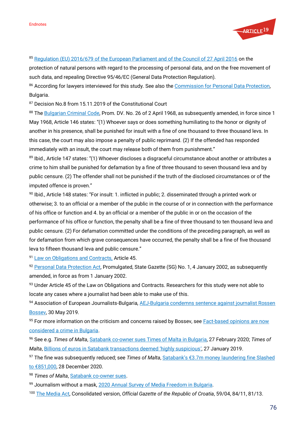

## 85 [Regulation \(EU\) 2016/679 of the European Parliament and of the Council of 27 April 2016](https://eur-lex.europa.eu/eli/reg/2016/679/oj) on the

protection of natural persons with regard to the processing of personal data, and on the free movement of such data, and repealing Directive 95/46/EC (General Data Protection Regulation).

86 According for lawyers interviewed for this study. See also the [Commission for Personal Data Protection,](https://www.cpdp.bg/en/) Bulgaria.

87 Decision No.8 from 15.11.2019 of the Constitutional Court

88 Th[e Bulgarian Criminal Code,](https://www.lex.bg/laws/ldoc/1589654529) Prom. DV. No. 26 of 2 April 1968, as subsequently amended, in force since 1 May 1968, Article 146 states: "(1) Whoever says or does something humiliating to the honor or dignity of another in his presence, shall be punished for insult with a fine of one thousand to three thousand levs. In this case, the court may also impose a penalty of public reprimand. (2) If the offended has responded immediately with an insult, the court may release both of them from punishment."

89 Ibid., Article 147 states: "(1) Whoever discloses a disgraceful circumstance about another or attributes a crime to him shall be punished for defamation by a fine of three thousand to seven thousand leva and by public censure. (2) The offender shall not be punished if the truth of the disclosed circumstances or of the imputed offence is proven."

<sup>90</sup> Ibid., Article 148 states: "For insult: 1. inflicted in public; 2. disseminated through a printed work or otherwise; 3. to an official or a member of the public in the course of or in connection with the performance of his office or function and 4. by an official or a member of the public in or on the occasion of the performance of his office or function, the penalty shall be a fine of three thousand to ten thousand leva and public censure. (2) For defamation committed under the conditions of the preceding paragraph, as well as for defamation from which grave consequences have occurred, the penalty shall be a fine of five thousand leva to fifteen thousand leva and public censure."

91 [Law on Obligations and Contracts,](http://www.bulgaria-law-of-obligations.bg/law.html) Article 45.

92 [Personal Data Protection Act,](https://www.cpdp.bg/en/index.php?p=element&aid=1194) Promulgated, State Gazette (SG) No. 1, 4 January 2002, as subsequently amended, in force as from 1 January 2002.

93 Under Article 45 of the Law on Obligations and Contracts. Researchers for this study were not able to locate any cases where a journalist had been able to make use of this.

94 Association of European Journalists-Bulgaria, AEJ-Bulgaria condemns sentence against journalist Rossen [Bossev,](https://aej-bulgaria.org/en/aej-bulgaria-condemns-sentence-against-journalist-rossen-bossev/) 30 May 2019.

95 For more information on the criticism and concerns raised by Bossev, see Fact-based opinions are now [considered a crime in Bulgaria.](https://rm.coe.int/press-release-capital-31-may-2019-eng/168094c9fe)

<sup>96</sup> See e.g. *Times of Malta*, [Satabank co-owner sues Times of Malta in Bulgaria,](https://timesofmalta.com/articles/view/satabank-co-owner-sues-times-of-malta-in-bulgaria.774038;) 27 February 2020; *Times of Malta*, [Billions of euros in Satabank transactions deemed 'highly suspicious'](https://timesofmalta.com/articles/view/half-of-satabanks-transactions-were-highly-suspicious.700280), 27 January 2019.

<sup>97</sup> The fine was subsequently reduced; see *Times of Malta*, [Satabank's €3.7m money laundering fine Slashed](https://timesofmalta.com/articles/view/satabanks-37m-money-laundering-fine-slashed-to-851000.841598)  [to €851,000](https://timesofmalta.com/articles/view/satabanks-37m-money-laundering-fine-slashed-to-851000.841598), 28 December 2020.

98 Times of Malta[, Satabank co-owner sues.](https://timesofmalta.com/articles/view/satabank-co-owner-sues-times-of-malta-in-bulgaria.774038;)

99 Journalism without a mask[, 2020 Annual Survey of Media Freedom in Bulgaria.](https://aej-bulgaria.org/wp-content/uploads/2020/10/Journalism-without-a-Mask-2020-Annual-Survey-Of-Media-Freedom-in-Bulgaria.pdf)

<sup>100</sup> [The Media Act,](https://www.dzs.hr/Eng/important/PressCorner/Zakon%20o%20medijima_EN.pdf) Consolidated version, *Official Gazette of the Republic of Croatia*, 59/04, 84/11, 81/13.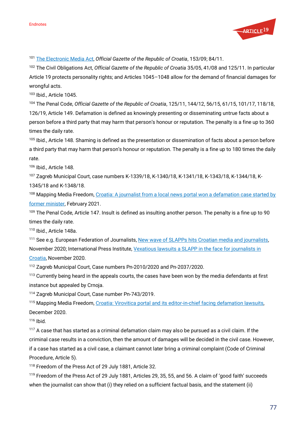

<sup>101</sup> [The Electronic Media Act,](https://narodne-novine.nn.hr/clanci/sluzbeni/2009_12_153_3740.html) *Official Gazette of the Republic of Croatia*, 153/09; 84/11.

<sup>102</sup> The Civil Obligations Act, *Official Gazette of the Republic of Croatia* 35/05, 41/08 and 125/11. In particular Article 19 protects personality rights; and Articles 1045–1048 allow for the demand of financial damages for wrongful acts.

<sup>103</sup> Ibid., Article 1045.

<sup>104</sup> The Penal Code, *Official Gazette of the Republic of Croatia*, 125/11, 144/12, 56/15, 61/15, 101/17, 118/18, 126/19, Article 149. Defamation is defined as knowingly presenting or disseminating untrue facts about a person before a third party that may harm that person's honour or reputation. The penalty is a fine up to 360 times the daily rate.

<sup>105</sup> Ibid., Article 148. Shaming is defined as the presentation or dissemination of facts about a person before a third party that may harm that person's honour or reputation. The penalty is a fine up to 180 times the daily rate.

<sup>106</sup> Ibid., Article 148.

<sup>107</sup> Zagreb Municipal Court, case numbers K-1339/18, K-1340/18, K-1341/18, K-1343/18, K-1344/18, K-1345/18 and K-1348/18.

<sup>108</sup> Mapping Media Freedom, Croatia: A journalist from a local news portal won a defamation case started by [former minister,](https://mappingmediafreedom.ushahidi.io/posts/23801) February 2021.

109 The Penal Code, Article 147. Insult is defined as insulting another person. The penalty is a fine up to 90 times the daily rate.

<sup>110</sup> Ibid., Article 148a.

<sup>111</sup> See e.g. European Federation of Journalists[, New wave of SLAPPs hits Croatian media and journalists,](https://europeanjournalists.org/blog/2020/11/04/new-wave-of-slapps-hits-croatian-media-and-journalists/) November 2020; International Press Institute[, Vexatious lawsuits a SLAPP in the face for journalists in](https://ipi.media/vexatious-lawsuits-a-slapp-in-the-face-for-journalists-in-croatia/)  [Croatia,](https://ipi.media/vexatious-lawsuits-a-slapp-in-the-face-for-journalists-in-croatia/) November 2020.

<sup>112</sup> Zagreb Municipal Court, Case numbers Pn-2010/2020 and Pn-2037/2020.

<sup>113</sup> Currently being heard in the appeals courts, the cases have been won by the media defendants at first instance but appealed by Crnoja.

<sup>114</sup> Zagreb Municipal Court, Case number Pn-743/2019.

<sup>115</sup> Mapping Media Freedom, [Croatia: Virovitica portal and its editor-in-chief facing defamation lawsuits,](https://mappingmediafreedom.ushahidi.io/posts/23646) December 2020.

 $116$  Ibid.

<sup>117</sup> A case that has started as a criminal defamation claim may also be pursued as a civil claim. If the criminal case results in a conviction, then the amount of damages will be decided in the civil case. However, if a case has started as a civil case, a claimant cannot later bring a criminal complaint (Code of Criminal Procedure, Article 5).

<sup>118</sup> Freedom of the Press Act of 29 July 1881, Article 32.

<sup>119</sup> Freedom of the Press Act of 29 July 1881, Articles 29, 35, 55, and 56. A claim of 'good faith' succeeds when the journalist can show that (i) they relied on a sufficient factual basis, and the statement (ii)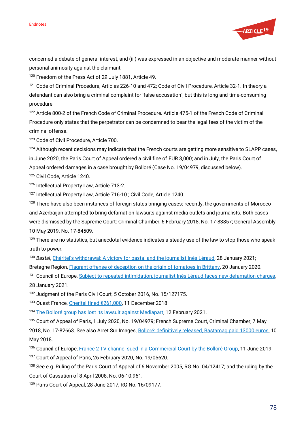

concerned a debate of general interest, and (iii) was expressed in an objective and moderate manner without personal animosity against the claimant.

<sup>120</sup> Freedom of the Press Act of 29 July 1881, Article 49.

<sup>121</sup> Code of Criminal Procedure, Articles 226-10 and 472; Code of Civil Procedure, Article 32-1. In theory a defendant can also bring a criminal complaint for 'false accusation', but this is long and time-consuming procedure.

122 Article 800-2 of the French Code of Criminal Procedure. Article 475-1 of the French Code of Criminal Procedure only states that the perpetrator can be condemned to bear the legal fees of the victim of the criminal offense.

<sup>123</sup> Code of Civil Procedure, Article 700.

<sup>124</sup> Although recent decisions may indicate that the French courts are getting more sensitive to SLAPP cases, in June 2020, the Paris Court of Appeal ordered a civil fine of EUR 3,000; and in July, the Paris Court of Appeal ordered damages in a case brought by Bolloré (Case No. 19/04979, discussed below).

<sup>125</sup> Civil Code, Article 1240.

<sup>126</sup> Intellectual Property Law, Article 713-2.

<sup>127</sup> Intellectual Property Law, Article 716-10 ; Civil Code, Article 1240.

128 There have also been instances of foreign states bringing cases: recently, the governments of Morocco and Azerbaijan attempted to bring defamation lawsuits against media outlets and journalists. Both cases were dismissed by the Supreme Court: Criminal Chamber, 6 February 2018, No. 17-83857; General Assembly, 10 May 2019, No. 17-84509.

 $129$  There are no statistics, but anecdotal evidence indicates a steady use of the law to stop those who speak truth to power.

<sup>130</sup> *Basta!*, [Chéritel's withdrawal: A victory for basta! and the journalist Inès Léraud](https://www.bastamag.net/Desistement-de-Cheritel-une-victoire-pour-basta-et-la-journaliste-Ines-Leraud), 28 January 2021; Bretagne Region[, Flagrant offense of deception on the origin of tomatoes in Brittany,](https://bretagne.dreets.gouv.fr/Flagrant-delit-de-tromperie-sur-l-origine-des-tomates-en-Bretagne) 20 January 2020.

131 Council of Europe[, Subject to repeated intimidation, journalist Inès Léraud faces new defamation charges,](https://go.coe.int/4tIfD) 28 January 2021.

<sup>132</sup> Judgment of the Paris Civil Court, 5 October 2016, No. 15/127175.

133 Ouest France, Cheritel f[ined €261,000](https://www.ouest-france.fr/bretagne/guingamp-22200/cheritel-condamne-une-amende-de-261-000-eu-6123580), 11 December 2018.

<sup>134</sup> [The Bolloré group has lost its lawsuit against Mediapart,](https://blogs.mediapart.fr/edwy-plenel/blog/120221/bollore-group-has-lost-its-lawsuit-against-mediapart) 12 February 2021.

<sup>135</sup> Court of Appeal of Paris, 1 July 2020, No. 19/04979; French Supreme Court, Criminal Chamber, 7 May 2018, No. 17-82663. See also Arret Sur Images, [Bolloré: definitively released, Bastamag paid 13000 euros,](https://www.arretsurimages.net/articles/bollore-definitivement-relaxe-bastamag-a-depense-13-000-euros) 10 May 2018.

136 Council of Europe, France [2 TV channel sued in a Commercial Court by the Bolloré Group,](https://go.coe.int/JiXUr) 11 June 2019.

<sup>137</sup> Court of Appeal of Paris, 26 February 2020, No. 19/05620.

<sup>138</sup> See e.g. Ruling of the Paris Court of Appeal of 6 November 2005, RG No. 04/12417; and the ruling by the Court of Cassation of 8 April 2008, No. 06-10.961.

<sup>139</sup> Paris Court of Appeal, 28 June 2017, RG No. 16/09177.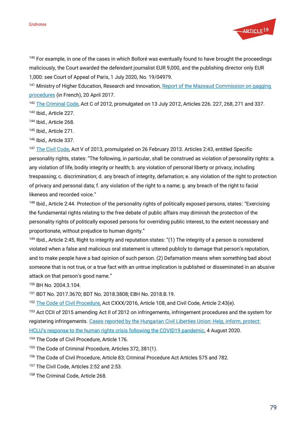

<sup>140</sup> For example, in one of the cases in which Bolloré was eventually found to have brought the proceedings maliciously, the Court awarded the defendant journalist EUR 9,000, and the publishing director only EUR 1,000: see Court of Appeal of Paris, 1 July 2020, No. 19/04979.

<sup>141</sup> Ministry of Higher Education, Research and Innovation, Report of the Mazeaud Commission on gagging [procedures](https://www.enseignementsup-recherche.gouv.fr/cid115784/rapport-de-la-commission-mazeaud-sur-les-procedures-baillons.html) (in French), 20 April 2017.

<sup>142</sup> [The Criminal Code,](https://www.legislationline.org/download/id/5619/file/HUngary_Criminal_Code_of_2012_en.pdf) Act C of 2012, promulgated on 13 July 2012, Articles 226. 227, 268, 271 and 337. <sup>143</sup> Ibid., Article 227.

<sup>144</sup> Ibid., Article 268.

<sup>145</sup> Ibid*.,* Article 271.

<sup>146</sup> Ibid*.,* Article 337.

<sup>147</sup> [The Civil Code,](https://tdziegler.files.wordpress.com/2014/06/civil_code.pdf) Act V of 2013, promulgated on 26 February 2013. Articles 2:43, entitled Specific personality rights, states: "The following, in particular, shall be construed as violation of personality rights: a. any violation of life, bodily integrity or health; b. any violation of personal liberty or privacy, including trespassing; c. discrimination; d. any breach of integrity, defamation; e. any violation of the right to protection of privacy and personal data; f. any violation of the right to a name; g. any breach of the right to facial likeness and recorded voice."

148 Ibid., Article 2:44. Protection of the personality rights of politically exposed persons, states: "Exercising the fundamental rights relating to the free debate of public affairs may diminish the protection of the personality rights of politically exposed persons for overriding public interest, to the extent necessary and proportionate, without prejudice to human dignity."

<sup>149</sup> Ibid., Article 2:45, Right to integrity and reputation states: "(1) The integrity of a person is considered violated when a false and malicious oral statement is uttered publicly to damage that person's reputation, and to make people have a bad opinion of such person. (2) Defamation means when something bad about someone that is not true, or a true fact with an untrue implication is published or disseminated in an abusive attack on that person's good name."

<sup>150</sup> BH No. 2004.3.104.

<sup>151</sup> BDT No. 2017.3670; BDT No. 2018.3808; EBH No. 2018.B.19.

<sup>152</sup> [The Code of Civil Procedure,](http://www.ilo.org/dyn/natlex/docs/ELECTRONIC/105126/128464/F1614908635/MK_16_190.pdf) Act CXXX/2016, Article 108, and Civil Code, Article 2:43(e).

<sup>153</sup> Act CCII of 2015 amending Act II of 2012 on infringements, infringement procedures and the system for registering infringements[. Cases reported by the Hungarian Civil Liberties Union: Help, inform, protect:](https://hclu.hu/en/articles/help-inform-protect-hclus-response-to-the-human-rights-crisis-following-the-covid19-pandemic)  [HCLU's response to the human rights crisis following the COVID19 pandemic](https://hclu.hu/en/articles/help-inform-protect-hclus-response-to-the-human-rights-crisis-following-the-covid19-pandemic), 4 August 2020.

154 The Code of Civil Procedure, Article 176.

<sup>155</sup> The Code of Criminal Procedure, Articles 372, 381(1).

<sup>156</sup> The Code of Civil Procedure, Article 83; Criminal Procedure Act Articles 575 and 782.

<sup>157</sup> The Civil Code, Articles 2:52 and 2:53.

<sup>158</sup> The Criminal Code, Article 268.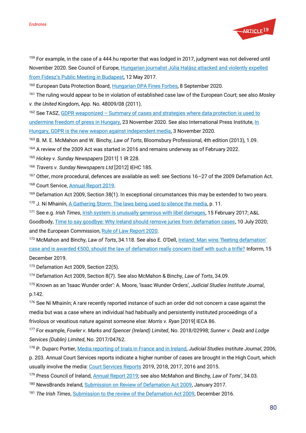

<sup>159</sup> For example, in the case of a 444.hu reporter that was lodged in 2017, judgment was not delivered until November 2020. See Council of Europe, Hungarian journalist Júlia Halász attacked and violently expelled [from Fidesz's Public Meeting in Budapest](https://go.coe.int/ttsFM), 12 May 2017.

<sup>160</sup> European Data Protection Board[, Hungarian DPA Fines Forbes](https://edpb.europa.eu/news/national-news/2020/hungarian-dpa-fines-forbes_en), 8 September 2020.

<sup>161</sup> The ruling would appear to be in violation of established case law of the European Court; see also *Mosley v. the United* Kingdom, App. No. 48009/08 (2011).

162 See TASZ, GDPR weaponized – Summary of cases and strategies where data protection is used to [undermine freedom of press in Hungary,](https://hclu.hu/en/articles/gdpr-weaponized-summary-of-cases-and-strategies-where-data-protection-is-used-to-undermine-freedom-of-press-in-hungary) 23 November 2020. See also International Press Institute, In [Hungary, GDPR is the new weapon against independent media,](https://ipi.media/in-hungary-gdpr-is-the-new-weapon-against-independent-media/) 3 November 2020.

<sup>163</sup> B. M. E. McMahon and W. Binchy, *Law of Torts*, Bloomsbury Professional, 4th edition (2013), 1.09.

<sup>164</sup> A review of the 2009 Act was started in 2016 and remains underway as of February 2022.

<sup>165</sup> *Hickey v. Sunday Newspapers* [2011] 1 IR 228.

<sup>166</sup> *Travers v. Sunday Newspapers Ltd* [2012] IEHC 185.

<sup>167</sup> Other, more procedural, defences are available as well: see Sections 16–27 of the 2009 Defamation Act. <sup>168</sup> Court Service, [Annual Report 2019.](https://www.courts.ie/annual-report)

<sup>169</sup> Defamation Act 2009, Section 38(1). In exceptional circumstances this may be extended to two years.

170 J. Ní Mhainín, [A Gathering Storm: The laws being used to silence the media,](https://www.indexoncensorship.org/wp-content/uploads/2020/06/a-gathering-storm.pdf) p. 11.

<sup>171</sup> See e.g. *Irish Times*[, Irish system is unusually generous with libel damages,](https://www.irishtimes.com/news/crime-and-law/irish-system-is-unusually-generous-with-libel-damages-1.2975338) 15 February 2017; A&L

Goodbody[, Time to say goodbye: Why Ireland should remove juries from defamation cases,](https://www.algoodbody.com/insights-publications/time-to-say-goodbye-why-ireland-should-remove-juries-from-defamation-cases) 10 July 2020; and the European Commission[, Rule of Law Report 2020.](https://ec.europa.eu/info/publications/2020-rule-law-report-communication-and-country-chapters_en)

<sup>172</sup> McMahon and Binchy, *Law of Torts*, 34.118. See also E. O'Dell[, Ireland: Man wins 'fleeting defamation'](https://inforrm.org/2019/12/15/ireland-man-wins-fleeting-defamation-case-and-is-awarded-e500-should-the-law-of-defamation-really-concern-itself-with-such-a-trifle-eoin-odell/)  case and is awarded €500, should the law [of defamation really concern itself with such a trifle?](https://inforrm.org/2019/12/15/ireland-man-wins-fleeting-defamation-case-and-is-awarded-e500-should-the-law-of-defamation-really-concern-itself-with-such-a-trifle-eoin-odell/) Inforrm, 15 December 2019.

<sup>173</sup> Defamation Act 2009, Section 22(5).

<sup>174</sup> Defamation Act 2009, Section 8(7). See also McMahon & Binchy, *Law of Torts*, 34.09.

<sup>175</sup> Known as an 'Isaac Wunder order': A. Moore, 'Isaac Wunder Orders', *Judicial Studies Institute Journal*, p.142.

<sup>176</sup> See Ní Mhainín; A rare recently reported instance of such an order did not concern a case against the media but was a case where an individual had habitually and persistently instituted proceedings of a frivolous or vexatious nature against someone else: *Morris v. Ryan* [2019] IECA 86.

<sup>177</sup> For example, *Fowler v. Marks and Spencer (Ireland) Limited*, No. 2018/02998; *Sunner v. Dealz and Lodge Services (Dublin) Limited*, No. 2017/04762.

<sup>178</sup> P. Duparc Portier[, Media reporting of trials in France and in Ireland,](https://www.ijsj.ie/assets/uploads/documents/pdfs/2006-Edition-01/article/media-reporting-of-trials-in-france-and-in-ireland.pdf) *Judicial Studies Institute Journal*, 2006,

p. 203. Annual Court Services reports indicate a higher number of cases are brought in the High Court, which usually involve the media: [Court Services Reports](https://www.courts.ie/annual-report) 2019, 2018, 2017, 2016 and 2015.

<sup>179</sup> Press Council of Ireland[, Annual Report 2019;](http://www.presscouncil.ie/about-us/recent-decisions-and-news/annual-report-2019-of-the-press-council-of-ireland-and-office-of-the-press-ombudsman-) see also McMahon and Binchy, *Law of Torts*', 34.03.

<sup>180</sup> NewsBrands Ireland, [Submission on Review of Defamation Act 2009,](http://www.justice.ie/en/JELR/NewsBrands_Ireland.pdf/Files/NewsBrands_Ireland.pdf) January 2017.

<sup>181</sup> *The Irish Times*[, Submission to the review of the Defamation Act 2009,](https://www.gov.ie/en/publication/b6698-review-of-the-defamation-act-2009-public-consultation/) December 2016.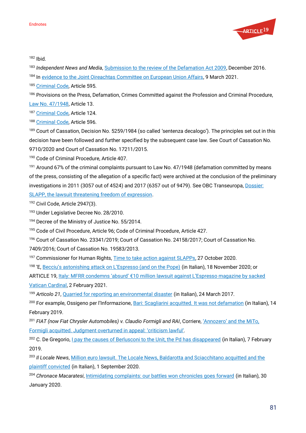

<sup>182</sup> Ibid.

<sup>183</sup> *Independent News and Media*, [Submission to the review of the Defamation Act 2009,](https://www.gov.ie/en/publication/b6698-review-of-the-defamation-act-2009-public-consultation/) December 2016.

184 In [evidence to the Joint Oireachtas Committee on European Union Affairs,](https://www.oireachtas.ie/en/committees/33/european-union-affairs/) 9 March 2021.

<sup>185</sup> [Criminal Code,](http://legaldb.freemedia.at/legal-database/italy/) Article 595.

<sup>186</sup> Provisions on the Press, Defamation, Crimes Committed against the Profession and Criminal Procedure, [Law No. 47/1948,](https://www.altalex.com/documents/codici-altalex/2014/10/30/codice-penale) Article 13.

<sup>187</sup> [Criminal Code,](http://legaldb.freemedia.at/legal-database/italy/) Article 124.

<sup>188</sup> [Criminal Code,](http://legaldb.freemedia.at/legal-database/italy/) Article 596.

<sup>189</sup> Court of Cassation, Decision No. 5259/1984 (so called 'sentenza decalogo'). The principles set out in this decision have been followed and further specified by the subsequent case law. See Court of Cassation No. 9710/2020 and Court of Cassation No. 17211/2015.

<sup>190</sup> Code of Criminal Procedure, Article 407.

<sup>191</sup> Around 67% of the criminal complaints pursuant to Law No. 47/1948 (defamation committed by means of the press, consisting of the allegation of a specific fact) were archived at the conclusion of the preliminary investigations in 2011 (3057 out of 4524) and 2017 (6357 out of 9479). See OBC Transeuropa, Dossier:

[SLAPP, the lawsuit threatening freedom of expression.](https://www.balcanicaucaso.org/ECPMF/ECPMF-news/Dossier-SLAPP-la-querela-che-minaccia-la-liberta-di-espressione-198695)

<sup>192</sup> Civil Code, Article 2947(3).

193 Under Legislative Decree No. 28/2010.

<sup>194</sup> Decree of the Ministry of Justice No. 55/2014.

<sup>195</sup> Code of Civil Procedure, Article 96; Code of Criminal Procedure, Article 427.

<sup>196</sup> Court of Cassation No. 23341/2019; Court of Cassation No. 24158/2017; Court of Cassation No. 7409/2016; Court of Cassation No. 19583/2013.

<sup>197</sup> Commissioner for Human Rights, [Time to take action against SLAPPs,](https://www.coe.int/en/web/commissioner/-/time-to-take-action-against-slapps) 27 October 2020.

<sup>198</sup> 'E[, Becciu's astonishing attack on L'Espresso \(and on the Pope\)](https://espresso.repubblica.it/attualita/2020/11/18/news/lo-stupefacente-attacco-di-becciu-all-espresso-e-al-papa-1.356271) (in Italian), 18 November 2020; or

ARTICLE 19, Italy: MFRR condemns 'absurd' €10 million lawsuit against L'Espresso magazine by sacked [Vatican Cardinal,](https://www.article19.org/resources/lawsuit-against-lespresso-magazine-by-sacked-vatican-cardinal/) 2 February 2021.

<sup>199</sup> *Articolo 21*[, Quarried for reporting an environmental disaster](https://www.articolo21.org/2017/03/querelato-per-aver-denunciato-un-disastro-ambientale/) (in Italian), 24 March 2017.

<sup>200</sup> For example, Ossigeno per l'Informazione, [Bari: Scagliarini acquitted. It was not defamation](https://www.ossigeno.info/bari-scagliarini-assolto-non-fu-diffamazione/) (in Italian), 14 February 2019.

<sup>201</sup> *FIAT (now Fiat Chrysler Automobiles) v. Claudio Formigli and RAI*, Corriere, 'Annozero' [and the MiTo,](https://www.corriere.it/cronache/13_ottobre_28/mito-servizio-annozero-formigli-assolto-sentenza-ribaltata-appello-critica-lecita-cb20ee0a-3fce-11e3-9fdc-0e5d4e86bfe5.shtml)  [Formigli acquitted. Judgment overturned in appeal:](https://www.corriere.it/cronache/13_ottobre_28/mito-servizio-annozero-formigli-assolto-sentenza-ribaltata-appello-critica-lecita-cb20ee0a-3fce-11e3-9fdc-0e5d4e86bfe5.shtml) 'criticism lawful'.

<sup>202</sup> C. De Gregorio, [I pay the causes of Berlusconi to the Unit, the Pd has disappeared](https://www.ilfattoquotidiano.it/in-edicola/articoli/2019/02/07/pago-le-cause-di-berlusconi-allunita-il-pd-si-e-dileguato/4953213/) (in Italian), 7 February 2019.

<sup>203</sup> *Il Locale News*, Million euro lawsuit. The Locale [News, Baldarotta and Sciacchitano acquitted and the](https://www.illocalenews.it/2020/index.asp?pag=news&cat=1&sotcat=23&art=1838)  [plaintiff convicted](https://www.illocalenews.it/2020/index.asp?pag=news&cat=1&sotcat=23&art=1838) (in Italian), 1 September 2020.

<sup>204</sup> *Chronace Macaratesi*[, Intimidating complaints: our battles won chronicles goes forward](https://www.cronachemaceratesi.it/2020/01/30/querele-intimidatorie-le-nostre-battaglie-vinte-cronache-va-avanti/1356590/) (in Italian), 30 January 2020.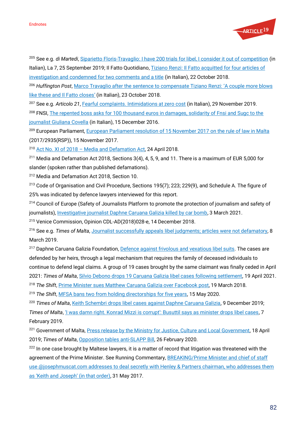

<sup>205</sup> See e.g. *di Martedi*, [Siparietto Floris-Travaglio: I have 200 trials for libel, I consider it out of competition](https://www.la7.it/dimartedi/video/siparietto-floris-travaglio-ho-200-processi-per-diffamazione-la-considero-fuori-concorso-25-09-2019-283802) (in Italian), La 7, 25 September 2019; Il Fatto Quotidiano, Tiziano Renzi: Il Fatto acquitted for four articles of

[investigation and condemned for two comments and a title](https://www.ilfattoquotidiano.it/2018/10/22/tiziano-renzi-il-fatto-assolto-per-quattro-articoli-dinchiesta-e-condannato-per-due-commenti-e-un-titolo/4711490/) (in Italian), 22 October 2018.

<sup>206</sup> *Huffington Post*[, Marco Travaglio after the sentence to compensate Tiziano Renzi:](https://www.huffingtonpost.it/2018/10/23/marco-travaglio-dopo-la-condanna-a-risarcire-tiziano-renzi-ancora-un-paio-di-mazzate-come-queste-e-il-fatto-chiude_a_23568903/) 'A couple more blows [like these and Il Fatto closes](https://www.huffingtonpost.it/2018/10/23/marco-travaglio-dopo-la-condanna-a-risarcire-tiziano-renzi-ancora-un-paio-di-mazzate-come-queste-e-il-fatto-chiude_a_23568903/)' (in Italian), 23 October 2018.

<sup>207</sup> See e.g. *Articolo 21*[, Fearful complaints. Intimidations at zero cost](https://www.articolo21.org/2019/11/querele-temerarie-intimidazioni-a-costo-zero/) (in Italian), 29 November 2019. <sup>208</sup> FNSI, The repented boss asks for 100 thousand euros in damages, solidarity of Fnsi and Sugc to the [journalist Giuliana Covella](https://www.fnsi.it/il-boss-pentito-le-chiede-100mila-euro-di-danni-solidarieta-di-fnsi-e-sugc-alla-giornalista-giuliana-covella) (in Italian), 15 December 2016.

<sup>209</sup> European Parliament[, European Parliament resolution of 15 November 2017 on the rule of law in Malta](https://www.europarl.europa.eu/doceo/document/TA-8-2017-0438_EN.html) [\(2017/2935\(RSP\)\)](https://oeil.secure.europarl.europa.eu/oeil/popups/ficheprocedure.do?lang=en&reference=2017/2935(RSP)), 15 November 2017.

<sup>210</sup> Act No. XI of 2018 – [Media and Defamation Act,](https://www.parlament.mt/en/13th-leg/acts/act-xi-of-2018/) 24 April 2018.

<sup>211</sup> Media and Defamation Act 2018, Sections  $3(4)$ , 4, 5, 9, and 11. There is a maximum of EUR 5,000 for slander (spoken rather than published defamations).

<sup>212</sup> Media and Defamation Act 2018, Section 10.

<sup>213</sup> Code of Organisation and Civil Procedure, Sections 195(7); 223; 229(9), and Schedule A. The figure of 25% was indicated by defence lawyers interviewed for this report.

<sup>214</sup> Council of Europe (Safety of Journalists Platform to promote the protection of journalism and safety of journalists), [Investigative journalist Daphne Caruana Galizia killed by car bomb,](https://fom.coe.int/alerte/detail/29768461?langue=en-GB) 3 March 2021.

<sup>215</sup> Venice Commission, Opinion CDL-AD(2018)028-e, 14 December 2018.

<sup>216</sup> See e.g. *Times of Malta*[, Journalist successfully appeals libel judgments; articles were not](https://timesofmalta.com/articles/view/journalist-successfully-appeals-libel-judgments-articles-were-not.703929) defamatory, 8 March 2019.

<sup>217</sup> Daphne Caruana Galizia Foundation[, Defence against frivolous and vexatious libel suits.](https://www.daphne.foundation/en/justice/vexatious-libel-cases) The cases are defended by her heirs, through a legal mechanism that requires the family of deceased individuals to continue to defend legal claims. A group of 19 cases brought by the same claimant was finally ceded in April 2021: *Times of Malta*, Silvio Debono [drops 19 Caruana Galizia libel cases following settlement,](https://timesofmalta.com/articles/view/silvio-debono-drops-19-caruana-galizia-libel-cases-following.865785) 19 April 2021. <sup>218</sup> The Shift[, Prime Minister sues Matthew Caruana Galizia over Facebook post,](https://theshiftnews.com/2018/03/19/prime-minister-sues-matthew-caruana-galizia-over-facebook-post/) 19 March 2018.

<sup>219</sup> *The Shift*[, MFSA bans two from holding directorships for five years,](https://theshiftnews.com/2020/05/15/mfsa-bans-two-from-holding-directorships-for-five-years/) 15 May 2020.

<sup>220</sup> Times of Malta, [Keith Schembri drops libel cases against Daphne Caruana Galizia,](https://timesofmalta.com/articles/view/keith-schembri-drops-libel-suits-against-daphne-caruana-galizia.755941) 9 December 2019;

*Times of Malta*, '<u>I was damn right. Konrad Mizzi is corrupt': Busuttil says as minister drops libel cases</u>, 7 February 2019.

<sup>221</sup> Government of Malta[, Press release by the Ministry for Justice, Culture and Local Government,](https://www.gov.mt/en/Government/DOI/Press%20Releases/Pages/2019/April/18/pr190837en.aspx) 18 April 2019; *Times of Malta*[, Opposition tables anti-SLAPP Bill,](https://timesofmalta.com/articles/view/opposition-tables-anti-slapp-bill.773864) 26 February 2020.

<sup>222</sup> In one case brought by Maltese lawyers, it is a matter of record that litigation was threatened with the agreement of the Prime Minister. See Running Commentary, BREAKING/Prime Minister and chief of staff use @josephmuscat.com addresses to deal secretly with Henley & Partners chairman, who addresses them [as 'Keith and Joseph' \(in that order\)](https://daphnecaruanagalizia.com/2017/05/prime-minister-chief-staff-use-josephmuscat-com-addresses-deal-secretly-henley-partners-chairman-addresses-keith-joseph-order/), 31 May 2017.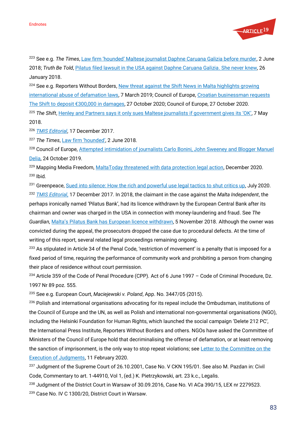

<sup>223</sup> See e.g. *The Times*, [Law firm 'hounded' Maltese journalist Daphne Caruana Galizia before murder](https://www.thetimes.co.uk/article/law-firm-hounded-maltese-journalist-daphne-caruana-galizia-before-murder-62dqhl9g7), 2 June 2018; *Truth Be Told*[, Pilatus filed lawsuit in the USA against Daphne Caruana Galizia.](https://manueldelia.com/2018/01/pilatus-filed-lawsuit-usa-daphne-caruana-galizia-never-knew/) She never knew, 26 January 2018.

<sup>224</sup> See e.g. Reporters Without Borders, New threat against the Shift News in Malta highlights growing [international abuse of defamation laws,](https://rsf.org/en/news/new-threat-against-shift-news-malta-highlights-growing-international-abuse-defamation-laws) 7 March 2019; Council of Europe, Croatian businessman requests The Shift to d[eposit €300,000 in](https://go.coe.int/SoYwN) damages, 27 October 2020; Council of Europe, 27 October 2020*.*

<sup>225</sup> The Shift, [Henley and Partners says it only sues Maltese journalists if government gives its 'OK'](https://theshiftnews.com/2018/05/07/henley-and-partners-says-it-only-sues-maltese-journalists-if-government-gives-its-ok/), 7 May 2018.

<sup>226</sup> *[TMIS Editorial](https://www.independent.com.mt/articles/2017-12-17/newspaper-leader/TMIS-Editorial-Pilatus-Bank-Malta-s-media-freedom-SLAPPed-in-the-face-6736182724)*, 17 December 2017.

<sup>227</sup> *The Times*, [Law firm 'hounded'](https://www.thetimes.co.uk/article/law-firm-hounded-maltese-journalist-daphne-caruana-galizia-before-murder-62dqhl9g7), 2 June 2018*.*

<sup>228</sup> Council of Europe, Attempted intimidation of journalists Carlo Bonini, John Sweeney and Blogger Manuel [Delia,](https://go.coe.int/kS7Fe) 24 October 2019.

<sup>229</sup> Mapping Media Freedom[, MaltaToday threatened with data protection legal action,](https://mappingmediafreedom.ushahidi.io/posts/23713) December 2020. <sup>230</sup> Ibid*.*

<sup>231</sup> Greenpeace, [Sued into silence: How the rich and powerful use legal tactics to shut critics up,](https://www.greenpeace.org/static/planet4-eu-unit-stateless/2020/07/20200722-SLAPPs-Sued-into-Silence.pdf) July 2020.

<sup>232</sup> *[TMIS Editorial](https://www.independent.com.mt/articles/2017-12-17/newspaper-leader/TMIS-Editorial-Pilatus-Bank-Malta-s-media-freedom-SLAPPed-in-the-face-6736182724)*, 17 December 2017*.* In 2018, the claimant in the case against the *Malta Independent*, the perhaps ironically named 'Pilatus Bank', had its licence withdrawn by the European Central Bank after its chairman and owner was charged in the USA in connection with money-laundering and fraud. See *The Guardian*, [Malta's Pilatus Bank has European licence withdrawn](https://www.theguardian.com/world/2018/nov/05/pilatus-bank-malta-european-banking-licence-withdrawn), 5 November 2018. Although the owner was convicted during the appeal, the prosecutors dropped the case due to procedural defects. At the time of writing of this report, several related legal proceedings remaining ongoing.

<sup>233</sup> As stipulated in Article 34 of the Penal Code, 'restriction of movement' is a penalty that is imposed for a fixed period of time, requiring the performance of community work and prohibiting a person from changing their place of residence without court permission.

<sup>234</sup> Article 359 of the Code of Penal Procedure (CPP). Act of 6 June 1997 – Code of Criminal Procedure, Dz. 1997 Nr 89 poz. 555.

<sup>235</sup> See e.g. European Court, *Maciejewski v. Poland*, App. No. 3447/05 (2015).

<sup>236</sup> Polish and international organisations advocating for its repeal include the Ombudsman, institutions of the Council of Europe and the UN, as well as Polish and international non-governmental organisations (NGO), including the Helsinki Foundation for Human Rights, which launched the social campaign 'Delete 212 PC', the International Press Institute, Reporters Without Borders and others. NGOs have asked the Committee of Ministers of the Council of Europe hold that decriminalising the offense of defamation, or at least removing the sanction of imprisonment, is the only way to stop repeat violations; see [Letter to the Committee on the](https://www.hfhr.pl/wp-content/uploads/2020/02/1714_001.pdf)  [Execution of Judgments,](https://www.hfhr.pl/wp-content/uploads/2020/02/1714_001.pdf) 11 February 2020.

<sup>237</sup> Judgment of the Supreme Court of 26.10.2001, Case No. V CKN 195/01. See also M. Pazdan in: Civil Code, Commentary to art. 1-44910, Vol 1, (ed.) K. Pietrzykowski, art. 23 k.c., Legalis.

<sup>238</sup> Judgment of the District Court in Warsaw of 30.09.2016, Case No. VI ACa 390/15, LEX nr 2279523.

<sup>239</sup> Case No. IV C 1300/20, District Court in Warsaw.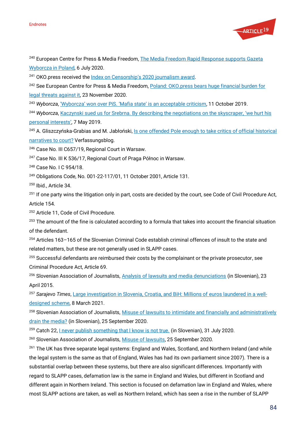

<sup>240</sup> European Centre for Press & Media Freedom, The Media Freedom Rapid Response supports Gazeta [Wyborcza in Poland,](https://www.ecpmf.eu/the-media-freedom-rapid-response-supports-gazeta-wyborcza-in-poland) 6 July 2020.

<sup>241</sup> OKO.press received the [Index on Censorship's 2020 journalism award](https://www.indexoncensorship.org/2020/04/journalism-2020/).

<sup>242</sup> See European Centre for Press & Media Freedom, Poland: OKO.press bears huge financial burden for [legal threats against it,](https://www.ecpmf.eu/poland-oko-press-bears-huge-financial-burden-for-legal-threats-against-it/) 23 November 2020.

<sup>243</sup> *Wyborcza*, ['Wyborcza' won over PiS. '](https://wyborcza.pl/7,75398,25296520,wyborcza-wygrala-z-pis-mafijne-panstwo-to-dopuszczalna.html)Mafia state' is an acceptable criticism, 11 October 2019.

<sup>244</sup> *Wyborcza*, [Kaczynski sued us for Srebrna. By describing the negotiations on the skyscraper,](https://wyborcza.pl/7,75398,24758038,kaczynski-pozwal-nas-za-srebrna-opisujac-negocjacje-w-sprawie.html) 'we hurt his [personal interests](https://wyborcza.pl/7,75398,24758038,kaczynski-pozwal-nas-za-srebrna-opisujac-negocjacje-w-sprawie.html)', 7 May 2019.

<sup>245</sup> A. Gliszczyńska-Grabias and M. Jabłoński, [Is one offended Pole enough to take critics of official historical](https://verfassungsblog.de/is-one-offended-pole-enough-to-take-critics-of-official-historical-narratives-to-court/)  [narratives to court?](https://verfassungsblog.de/is-one-offended-pole-enough-to-take-critics-of-official-historical-narratives-to-court/) Verfassungsblog.

<sup>246</sup> Case No. III C657/19, Regional Court in Warsaw.

<sup>247</sup> Case No. III K 536/17, Regional Court of Praga Północ in Warsaw.

<sup>248</sup> Case No. I C 954/18.

<sup>249</sup> Obligations Code, No. 001-22-117/01, 11 October 2001, Article 131.

<sup>250</sup> Ibid., Article 34.

 $251$  If one party wins the litigation only in part, costs are decided by the court, see Code of Civil Procedure Act, Article 154.

<sup>252</sup> Article 11, Code of Civil Procedure.

<sup>253</sup> The amount of the fine is calculated according to a formula that takes into account the financial situation of the defendant.

<sup>254</sup> Articles 163–165 of the Slovenian Criminal Code establish criminal offences of insult to the state and related matters, but these are not generally used in SLAPP cases.

<sup>255</sup> Successful defendants are reimbursed their costs by the complainant or the private prosecutor, see Criminal Procedure Act, Article 69.

<sup>256</sup> Slovenian Association of Journalists[, Analysis of lawsuits and media denunciations](https://novinar.com/novica/analiza-tozb-in-ovadb-medijev/) (in Slovenian), 23 April 2015.

<sup>257</sup> *Sarajevo Times*[, Large investigation in Slovenia, Croatia, and BiH: Millions of euros laundered in a well](http://www.sarajevotimes.com/large-investigation-in-slovenia-croatia-and-bih-millions-of-euros-laundered-in-a-well-designed-scheme/)[designed scheme,](http://www.sarajevotimes.com/large-investigation-in-slovenia-croatia-and-bih-millions-of-euros-laundered-in-a-well-designed-scheme/) 8 March 2021.

<sup>258</sup> Slovenian Association of Journalists, Misuse of lawsuits to intimidate and financially and administratively [drain the media?](https://novinar.com/novica/zloraba-tozb-za-zastrasevanje-ter-financno-in-administrativno-izcrpavanje-medijev/) (in Slovenian), 25 September 2020.

<sup>259</sup> Catch 22, <u>I never publish something that I know is not true.</u> (in Slovenian), 31 July 2020.

<sup>260</sup> Slovenian Association of Journalists[, Misuse of lawsuits,](https://novinar.com/novica/zloraba-tozb-za-zastrasevanje-ter-financno-in-administrativno-izcrpavanje-medijev/) 25 September 2020*.*

<sup>261</sup> The UK has three separate legal systems: England and Wales, Scotland, and Northern Ireland (and while the legal system is the same as that of England, Wales has had its own parliament since 2007). There is a substantial overlap between these systems, but there are also significant differences. Importantly with regard to SLAPP cases, defamation law is the same in England and Wales, but different in Scotland and different again in Northern Ireland. This section is focused on defamation law in England and Wales, where most SLAPP actions are taken, as well as Northern Ireland, which has seen a rise in the number of SLAPP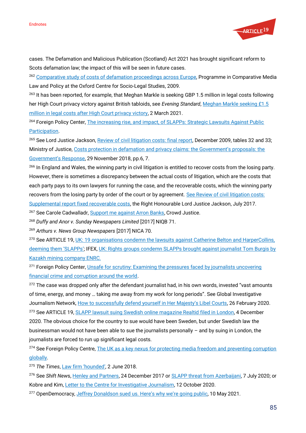

cases. The Defamation and Malicious Publication (Scotland) Act 2021 has brought significant reform to Scots defamation law; the impact of this will be seen in future cases.

<sup>262</sup> [Comparative study of costs of defamation proceedings across Europe,](https://www.yumpu.com/en/document/view/11615181/a-comparative-study-of-costs-in-defamation-proceedings-the-) Programme in Comparative Media Law and Policy at the Oxford Centre for Socio-Legal Studies, 2009.

<sup>263</sup> It has been reported, for example, that Meghan Markle is seeking GBP 1.5 million in legal costs following her High Court privacy victory against British tabloids, see *Evening Standard*, [Meghan Markle seeking £1.5](https://www.standard.co.uk/news/uk/meghan-markle-legal-costs-court-privacy-case-b921798.html)  [million in legal costs after High Court privacy victory,](https://www.standard.co.uk/news/uk/meghan-markle-legal-costs-court-privacy-case-b921798.html) 2 March 2021.

<sup>264</sup> Foreign Policy Center, *The increasing rise, and impact, of SLAPPs: Strategic Lawsuits Against Public* [Participation.](https://fpc.org.uk/the-increasing-rise-and-impact-of-slapps-strategic-lawsuits-against-public-participation)

<sup>265</sup> See Lord Justice Jackson, [Review of civil litigation costs: final report,](https://www.judiciary.uk/wp-content/uploads/JCO/Documents/Reports/jackson-final-report-140110.pdf) December 2009, tables 32 and 33; Ministry of Justice, [Costs protection in defamation and privacy claims: the Government's proposals: the](https://consult.justice.gov.uk/digital-communications/costs-protection-in-defamation-and-privacy-claims/results/costs-protection-defamation-privacy-claims-government-response.pdf)  [Government's Response](https://consult.justice.gov.uk/digital-communications/costs-protection-in-defamation-and-privacy-claims/results/costs-protection-defamation-privacy-claims-government-response.pdf), 29 November 2018, pp.6, 7.

<sup>266</sup> In England and Wales, the winning party in civil litigation is entitled to recover costs from the losing party. However, there is sometimes a discrepancy between the actual costs of litigation, which are the costs that each party pays to its own lawyers for running the case, and the recoverable costs, which the winning party recovers from the losing party by order of the court or by agreement. See Review of civil litigation costs: [Supplemental report fixed recoverable costs,](https://www.judiciary.uk/wp-content/uploads/2017/07/fixed-recoverable-costs-supplemental-report-online-3.pdf) the Right Honourable Lord Justice Jackson, July 2017. <sup>267</sup> See Carole Cadwalladr, **Support me against Arron Banks**, Crowd Justice.

<sup>268</sup> *Duffy and Anor v. Sunday Newspapers Limited* [2017] NIQB 71.

<sup>269</sup> *Arthurs v. News Group Newspapers* [2017] NICA 70.

<sup>270</sup> See ARTICLE 19[, UK: 19 organisations condemn the lawsuits against Catherine](https://www.article19.org/resources/uk-19-organisations-condemn-the-lawsuits-against-catherine-belton-and-harpercollins-deeming-them-slapps/) Belton and HarperCollins, [deeming them](https://www.article19.org/resources/uk-19-organisations-condemn-the-lawsuits-against-catherine-belton-and-harpercollins-deeming-them-slapps/) 'SLAPPs'; IFEX, UK: Rights groups condemn SLAPPs brought against journalist Tom Burgis by [Kazakh mining company ENRC.](https://ifex.org/uk-rights-groups-condemn-slapps-brought-against-journalist-tom-burgis-by-kazakh-mining-company-enrc/)

<sup>271</sup> Foreign Policy Center, Unsafe for scrutiny: Examining the pressures faced by journalists uncovering [financial crime and corruption around the world.](https://fpc.org.uk/publications/unsafe-for-scrutiny/)

<sup>272</sup> The case was dropped only after the defendant journalist had, in his own words, invested "vast amounts of time, energy, and money … taking me away from my work for long periods". See Global Investigative Journalism Network, [How to successfully defend yourself in Her Majesty's Libel Courts](https://gijn.org/2020/02/26/how-to-successfully-defend-yourself-in-her-majestys-libel-courts/), 26 February 2020. <sup>273</sup> See ARTICLE 19, **SLAPP lawsuit suing Swedish online magazine Realtid filed in London**, 4 December 2020. The obvious choice for the country to sue would have been Sweden, but under Swedish law the businessman would not have been able to sue the journalists personally – and by suing in London, the journalists are forced to run up significant legal costs.

<sup>274</sup> See Foreign Policy Centre, The UK as a key nexus for protecting media freedom and preventing corruption [globally.](https://fpc.org.uk/the-uk-as-a-key-nexus-for-protecting-media-freedom-and-preventing-corruption-globally/)

<sup>275</sup> *The Times*, [Law firm 'hounded'](https://www.thetimes.co.uk/article/law-firm-hounded-maltese-journalist-daphne-caruana-galizia-before-murder-62dqhl9g7), 2 June 2018.

<sup>276</sup> See *Shift New*s[, Henley and Partners,](https://theshiftnews.com/2017/12/24/henley-and-partners-threatens-legal-action-against-the-shift/) 24 December 2017 or [SLAPP threat from Azerbaijani,](https://theshiftnews.com/2020/07/07/slapp-threat-from-azerbaijani-british-national-turab-musayev/) 7 July 2020; or Kobre and Kim[, Letter to the Centre for Investigative Journalism,](https://www.dailymaverick.co.za/wp-content/uploads/FILE-FIVE-JALAN-LAWYERS-RESPONSES-TO-QUESTIONS.pdf) 12 October 2020.

<sup>277</sup> OpenDemocracy, [Jeffrey Donaldson sued us. Here's why we'](https://www.opendemocracy.net/en/opendemocracyuk/jeffrey-donaldson-sued-us-heres-why-were-going-public/)re going public, 10 May 2021.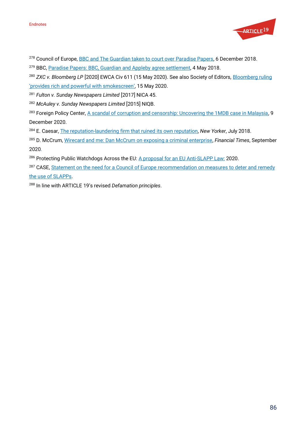

- <sup>278</sup> Council of Europe[, BBC and The Guardian taken to court over Paradise Papers,](https://go.coe.int/tBExx) 6 December 2018.
- <sup>279</sup> BBC[, Paradise Papers: BBC, Guardian and Appleby agree settlement,](https://www.bbc.co.uk/news/uk-44001176) 4 May 2018.
- <sup>280</sup> ZXC v. Bloomberg LP [2020] EWCA Civ 611 (15 May 2020). See also Society of Editors, Bloomberg ruling '[provides rich and powerful with smokescreen](https://www.societyofeditors.org/soe_news/bloomberg-ruling-provides-rich-and-powerful-with-smokescreen-soe/)', 15 May 2020.
- <sup>281</sup> *Fulton v. Sunday Newspapers Limited* [2017] NICA 45.
- <sup>282</sup> *McAuley v. Sunday Newspapers Limited* [2015] NIQB.
- <sup>283</sup> Foreign Policy Center[, A scandal of corruption and censorship: Uncovering the 1MDB case in Malaysia,](https://fpc.org.uk/a-scandal-of-corruption-and-censorship-uncovering-the-1mdb-case-in-malaysia/) 9 December 2020.
- <sup>284</sup> E. Caesar[, The reputation-laundering firm that ruined its own reputation,](https://www.newyorker.com/magazine/2018/06/25/the-reputation-laundering-firm-that-ruined-its-own-reputation) *New Yorker*, July 2018.
- <sup>285</sup> D. McCrum[, Wirecard and me: Dan McCrum on exposing a criminal enterprise,](https://www.ft.com/content/745e34a1-0ca7-432c-b062-950c20e41f03) *Financial Times*, September 2020.
- <sup>286</sup> Protecting Public Watchdogs Across the EU: [A proposal for an EU Anti-SLAPP Law:](https://www.article19.org/wp-content/uploads/2020/12/Anti_SLAPP_Model_Directive-2-1.pdf) 2020.
- <sup>287</sup> CASE[, Statement on the need for a Council of Europe recommendation on measures to deter and](https://www.the-case.eu/statement-on-the-need-for-a-council-of-europe-recommendation-on-combatting-slapps) remedy

[the use of SLAPPs.](https://www.the-case.eu/statement-on-the-need-for-a-council-of-europe-recommendation-on-combatting-slapps)

<sup>288</sup> In line with ARTICLE 19's revised *Defamation principles*.